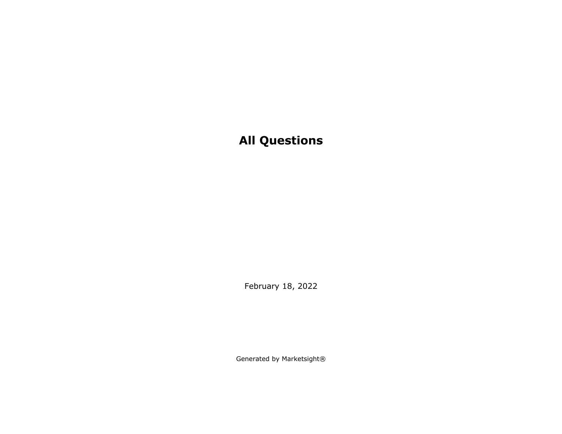February 18, 2022

Generated by Marketsight®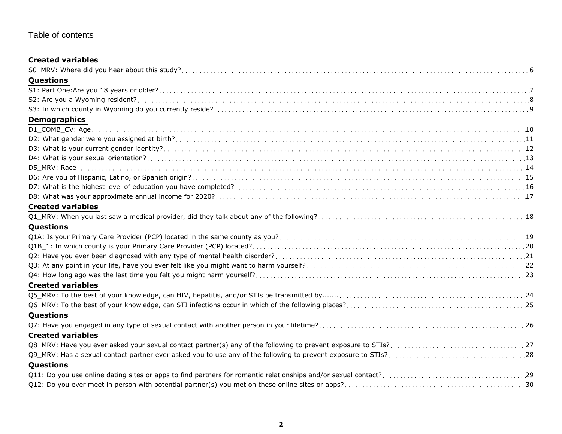## Table of contents

## **Created variables**

| Questions                |
|--------------------------|
|                          |
|                          |
|                          |
| <b>Demographics</b>      |
|                          |
|                          |
|                          |
|                          |
|                          |
|                          |
|                          |
|                          |
| <b>Created variables</b> |
|                          |
| Questions                |
|                          |
|                          |
|                          |
|                          |
|                          |
| <b>Created variables</b> |
|                          |
|                          |
| Questions                |
|                          |
| <b>Created variables</b> |
|                          |
|                          |
| Questions                |
|                          |
|                          |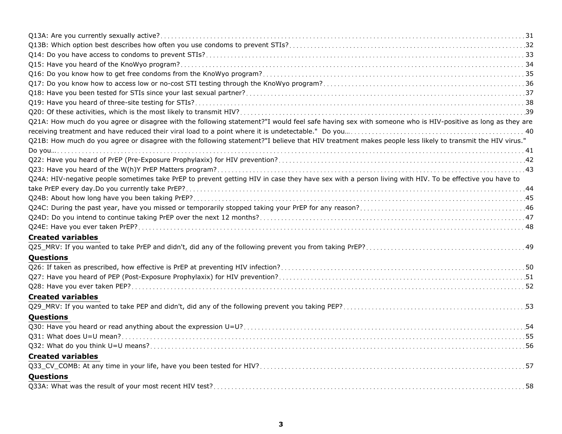| Q21A: How much do you agree or disagree with the following statement?"I would feel safe having sex with someone who is HIV-positive as long as they are |
|---------------------------------------------------------------------------------------------------------------------------------------------------------|
|                                                                                                                                                         |
| Q21B: How much do you agree or disagree with the following statement?"I believe that HIV treatment makes people less likely to transmit the HIV virus." |
|                                                                                                                                                         |
|                                                                                                                                                         |
|                                                                                                                                                         |
| Q24A: HIV-negative people sometimes take PrEP to prevent getting HIV in case they have sex with a person living with HIV. To be effective you have to   |
|                                                                                                                                                         |
|                                                                                                                                                         |
|                                                                                                                                                         |
|                                                                                                                                                         |
|                                                                                                                                                         |
| <b>Created variables</b>                                                                                                                                |
|                                                                                                                                                         |
| Questions                                                                                                                                               |
|                                                                                                                                                         |
|                                                                                                                                                         |
|                                                                                                                                                         |
| <b>Created variables</b>                                                                                                                                |
|                                                                                                                                                         |
| Questions                                                                                                                                               |
|                                                                                                                                                         |
|                                                                                                                                                         |
|                                                                                                                                                         |
| <b>Created variables</b>                                                                                                                                |
|                                                                                                                                                         |
| Questions                                                                                                                                               |
|                                                                                                                                                         |
|                                                                                                                                                         |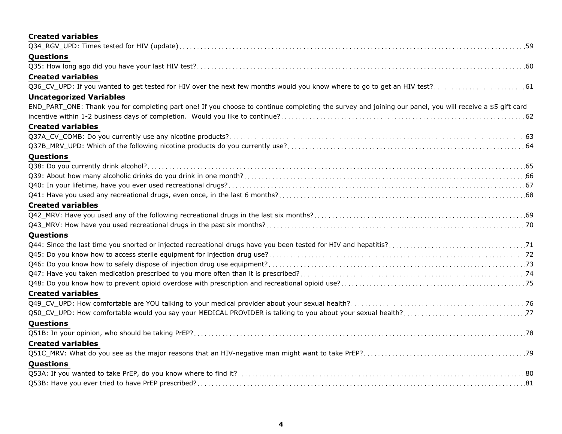| <b>Created variables</b>                                                                                                                                 |
|----------------------------------------------------------------------------------------------------------------------------------------------------------|
|                                                                                                                                                          |
| Questions                                                                                                                                                |
|                                                                                                                                                          |
| <b>Created variables</b>                                                                                                                                 |
|                                                                                                                                                          |
| <b>Uncategorized Variables</b>                                                                                                                           |
| END_PART_ONE: Thank you for completing part one! If you choose to continue completing the survey and joining our panel, you will receive a \$5 gift card |
|                                                                                                                                                          |
| <b>Created variables</b>                                                                                                                                 |
|                                                                                                                                                          |
|                                                                                                                                                          |
| Questions                                                                                                                                                |
|                                                                                                                                                          |
|                                                                                                                                                          |
|                                                                                                                                                          |
|                                                                                                                                                          |
| <b>Created variables</b>                                                                                                                                 |
|                                                                                                                                                          |
|                                                                                                                                                          |
| Questions                                                                                                                                                |
|                                                                                                                                                          |
|                                                                                                                                                          |
|                                                                                                                                                          |
|                                                                                                                                                          |
|                                                                                                                                                          |
| <b>Created variables</b>                                                                                                                                 |
|                                                                                                                                                          |
|                                                                                                                                                          |
| Questions                                                                                                                                                |
|                                                                                                                                                          |
| <b>Created variables</b>                                                                                                                                 |
|                                                                                                                                                          |
| <b>Questions</b>                                                                                                                                         |
|                                                                                                                                                          |
|                                                                                                                                                          |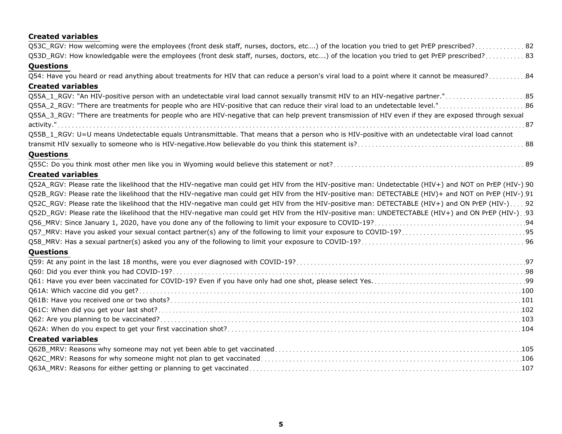## **Created variables**

| Q53C_RGV: How welcoming were the employees (front desk staff, nurses, doctors, etc) of the location you tried to get PrEP prescribed?82               |
|-------------------------------------------------------------------------------------------------------------------------------------------------------|
| Q53D_RGV: How knowledgable were the employees (front desk staff, nurses, doctors, etc) of the location you tried to get PrEP prescribed? 83           |
| Questions                                                                                                                                             |
| Q54: Have you heard or read anything about treatments for HIV that can reduce a person's viral load to a point where it cannot be measured? 84        |
| <b>Created variables</b>                                                                                                                              |
|                                                                                                                                                       |
| Q55A_2_RGV: "There are treatments for people who are HIV-positive that can reduce their viral load to an undetectable level."86                       |
| Q55A_3_RGV: "There are treatments for people who are HIV-negative that can help prevent transmission of HIV even if they are exposed through sexual   |
|                                                                                                                                                       |
| Q55B_1_RGV: U=U means Undetectable equals Untransmittable. That means that a person who is HIV-positive with an undetectable viral load cannot        |
|                                                                                                                                                       |
| <b>Questions</b>                                                                                                                                      |
|                                                                                                                                                       |
| <b>Created variables</b>                                                                                                                              |
| Q52A_RGV: Please rate the likelihood that the HIV-negative man could get HIV from the HIV-positive man: Undetectable (HIV+) and NOT on PrEP (HIV-) 90 |
| Q52B_RGV: Please rate the likelihood that the HIV-negative man could get HIV from the HIV-positive man: DETECTABLE (HIV)+ and NOT on PrEP (HIV-) 91   |
| Q52C_RGV: Please rate the likelihood that the HIV-negative man could get HIV from the HIV-positive man: DETECTABLE (HIV+) and ON PrEP (HIV-) 92       |
| Q52D_RGV: Please rate the likelihood that the HIV-negative man could get HIV from the HIV-positive man: UNDETECTABLE (HIV+) and ON PrEP (HIV-). 93    |
|                                                                                                                                                       |
|                                                                                                                                                       |
|                                                                                                                                                       |
| <b>Questions</b>                                                                                                                                      |
|                                                                                                                                                       |
|                                                                                                                                                       |
|                                                                                                                                                       |
|                                                                                                                                                       |
|                                                                                                                                                       |
|                                                                                                                                                       |
|                                                                                                                                                       |
|                                                                                                                                                       |
| <b>Created variables</b>                                                                                                                              |
|                                                                                                                                                       |
|                                                                                                                                                       |
|                                                                                                                                                       |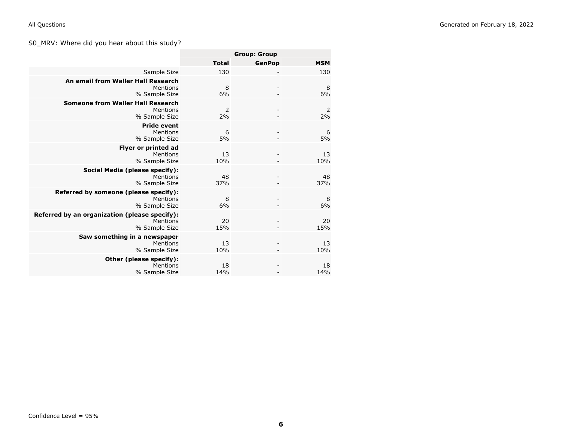## <span id="page-5-0"></span>S0\_MRV: Where did you hear about this study?

|                                                                            |              | <b>Group: Group</b> |                      |
|----------------------------------------------------------------------------|--------------|---------------------|----------------------|
|                                                                            | <b>Total</b> | <b>GenPop</b>       | <b>MSM</b>           |
| Sample Size                                                                | 130          |                     | 130                  |
| An email from Waller Hall Research<br>Mentions<br>% Sample Size            | 8<br>6%      |                     | 8<br>6%              |
| <b>Someone from Waller Hall Research</b><br>Mentions<br>% Sample Size      | 2<br>2%      |                     | $\overline{2}$<br>2% |
| <b>Pride event</b><br>Mentions<br>% Sample Size                            | 6<br>5%      |                     | 6<br>5%              |
| <b>Flyer or printed ad</b><br>Mentions<br>% Sample Size                    | 13<br>10%    |                     | 13<br>10%            |
| Social Media (please specify):<br>Mentions<br>% Sample Size                | 48<br>37%    |                     | 48<br>37%            |
| Referred by someone (please specify):<br>Mentions<br>% Sample Size         | 8<br>6%      |                     | 8<br>6%              |
| Referred by an organization (please specify):<br>Mentions<br>% Sample Size | 20<br>15%    |                     | 20<br>15%            |
| Saw something in a newspaper<br>Mentions<br>% Sample Size                  | 13<br>10%    |                     | 13<br>10%            |
| Other (please specify):<br>Mentions<br>% Sample Size                       | 18<br>14%    |                     | 18<br>14%            |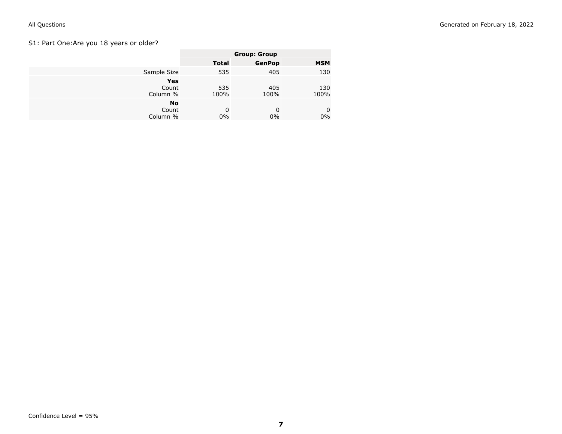## <span id="page-6-0"></span>S1: Part One:Are you 18 years or older?

|                                | <b>Group: Group</b> |               |             |
|--------------------------------|---------------------|---------------|-------------|
|                                | <b>Total</b>        | <b>GenPop</b> | <b>MSM</b>  |
| Sample Size                    | 535                 | 405           | 130         |
| Yes<br>Count<br>Column %       | 535<br>100%         | 405<br>100%   | 130<br>100% |
| <b>No</b><br>Count<br>Column % | 0<br>0%             | 0<br>$0\%$    | 0<br>$0\%$  |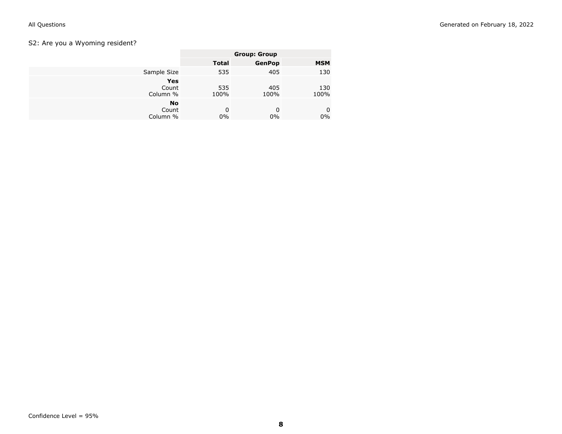## <span id="page-7-0"></span>S2: Are you a Wyoming resident?

|                                | <b>Group: Group</b> |               |             |
|--------------------------------|---------------------|---------------|-------------|
|                                | <b>Total</b>        | <b>GenPop</b> | <b>MSM</b>  |
| Sample Size                    | 535                 | 405           | 130         |
| Yes<br>Count<br>Column %       | 535<br>100%         | 405<br>100%   | 130<br>100% |
| <b>No</b><br>Count<br>Column % | 0<br>$0\%$          | 0<br>$0\%$    | 0<br>$0\%$  |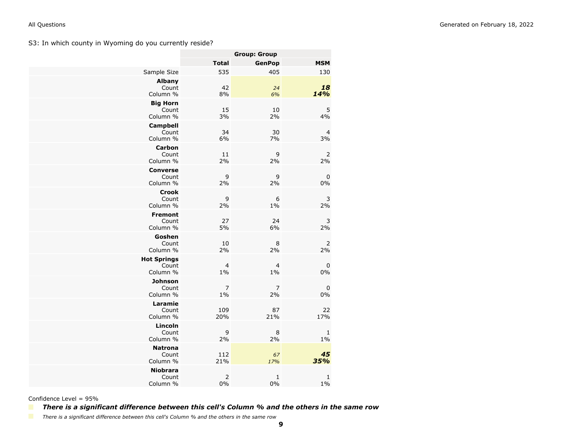<span id="page-8-0"></span>S3: In which county in Wyoming do you currently reside?

|                         | <b>Group: Group</b> |               |            |  |
|-------------------------|---------------------|---------------|------------|--|
|                         | Total               | <b>GenPop</b> | <b>MSM</b> |  |
| Sample Size             | 535                 | 405           | 130        |  |
| <b>Albany</b><br>Count  | 42                  | 24            | 18         |  |
| Column %                | 8%                  | 6%            | 14%        |  |
| <b>Big Horn</b>         |                     |               |            |  |
| Count<br>Column %       | 15<br>3%            | 10<br>2%      | 5<br>4%    |  |
| <b>Campbell</b>         |                     |               |            |  |
| Count                   | 34                  | 30            | 4          |  |
| Column %                | 6%                  | 7%            | 3%         |  |
| <b>Carbon</b><br>Count  | 11                  | 9             | 2          |  |
| Column %                | 2%                  | 2%            | 2%         |  |
| <b>Converse</b>         |                     |               |            |  |
| Count<br>Column %       | 9<br>2%             | 9<br>2%       | 0<br>$0\%$ |  |
| <b>Crook</b>            |                     |               |            |  |
| Count                   | 9                   | 6             | 3          |  |
| Column %                | 2%                  | $1\%$         | 2%         |  |
| <b>Fremont</b><br>Count | 27                  | 24            | 3          |  |
| Column %                | 5%                  | 6%            | 2%         |  |
| Goshen                  |                     |               |            |  |
| Count<br>Column %       | 10<br>2%            | 8<br>2%       | 2<br>2%    |  |
| <b>Hot Springs</b>      |                     |               |            |  |
| Count                   | $\overline{4}$      | 4             | 0          |  |
| Column %                | $1\%$               | $1\%$         | 0%         |  |
| Johnson<br>Count        | 7                   | 7             | 0          |  |
| Column %                | $1\%$               | 2%            | 0%         |  |
| Laramie                 |                     |               |            |  |
| Count<br>Column %       | 109<br>20%          | 87<br>21%     | 22<br>17%  |  |
| Lincoln                 |                     |               |            |  |
| Count                   | 9                   | 8             | 1          |  |
| Column %                | 2%                  | 2%            | $1\%$      |  |
| <b>Natrona</b><br>Count | 112                 | 67            | 45         |  |
| Column %                | 21%                 | 17%           | 35%        |  |
| <b>Niobrara</b>         |                     |               |            |  |
| Count<br>Column %       | 2<br>0%             | 1<br>$0\%$    | 1<br>$1\%$ |  |

Confidence Level = 95%

*There is a significant difference between this cell's Column % and the others in the same row*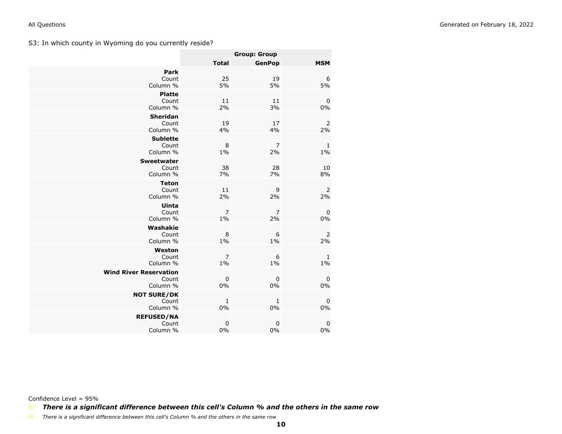<span id="page-9-0"></span>S3: In which county in Wyoming do you currently reside?

|                                                    | <b>Group: Group</b>     |                      |                       |
|----------------------------------------------------|-------------------------|----------------------|-----------------------|
|                                                    | <b>Total</b>            | <b>GenPop</b>        | <b>MSM</b>            |
| Park<br>Count<br>Column %                          | 25<br>5%                | 19<br>5%             | 6<br>5%               |
| <b>Platte</b><br>Count<br>Column %                 | 11<br>2%                | 11<br>3%             | 0<br>$0\%$            |
| <b>Sheridan</b><br>Count<br>Column %               | 19<br>4%                | 17<br>4%             | $\overline{2}$<br>2%  |
| <b>Sublette</b><br>Count<br>Column %               | 8<br>$1\%$              | 7<br>2%              | $\mathbf{1}$<br>$1\%$ |
| <b>Sweetwater</b><br>Count<br>Column %             | 38<br>7%                | 28<br>7%             | 10<br>8%              |
| <b>Teton</b><br>Count<br>Column %                  | 11<br>2%                | 9<br>2%              | $\overline{2}$<br>2%  |
| Uinta<br>Count<br>Column %                         | $\overline{7}$<br>$1\%$ | $\overline{7}$<br>2% | 0<br>$0\%$            |
| Washakie<br>Count<br>Column %                      | 8<br>$1\%$              | 6<br>$1\%$           | 2<br>2%               |
| Weston<br>Count<br>Column %                        | 7<br>$1\%$              | 6<br>$1\%$           | 1<br>$1\%$            |
| <b>Wind River Reservation</b><br>Count<br>Column % | 0<br>0%                 | 0<br>0%              | 0<br>$0\%$            |
| <b>NOT SURE/DK</b><br>Count<br>Column %            | 1<br>$0\%$              | 1<br>0%              | 0<br>0%               |
| <b>REFUSED/NA</b><br>Count<br>Column %             | 0<br>0%                 | 0<br>0%              | 0<br>0%               |

Confidence Level = 95%

*There is a significant difference between this cell's Column % and the others in the same row*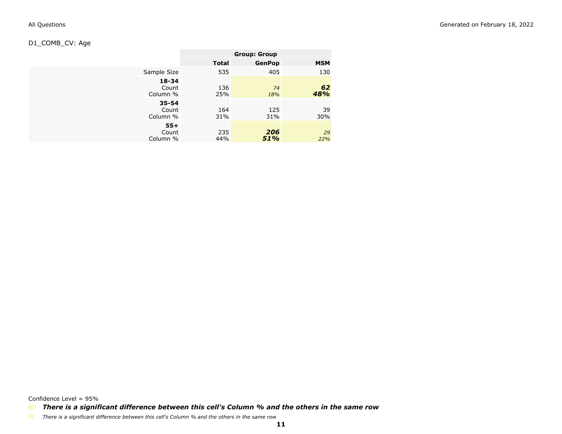## <span id="page-10-0"></span>D1\_COMB\_CV: Age

|                                | <b>Group: Group</b> |               |            |
|--------------------------------|---------------------|---------------|------------|
|                                | <b>Total</b>        | <b>GenPop</b> | <b>MSM</b> |
| Sample Size                    | 535                 | 405           | 130        |
| $18 - 34$<br>Count<br>Column % | 136<br>25%          | 74<br>18%     | 62<br>48%  |
| $35 - 54$<br>Count<br>Column % | 164<br>31%          | 125<br>31%    | 39<br>30%  |
| $55+$<br>Count<br>Column %     | 235<br>44%          | 206<br>51%    | 29<br>22%  |

Confidence Level = 95%

*There is a significant difference between this cell's Column % and the others in the same row*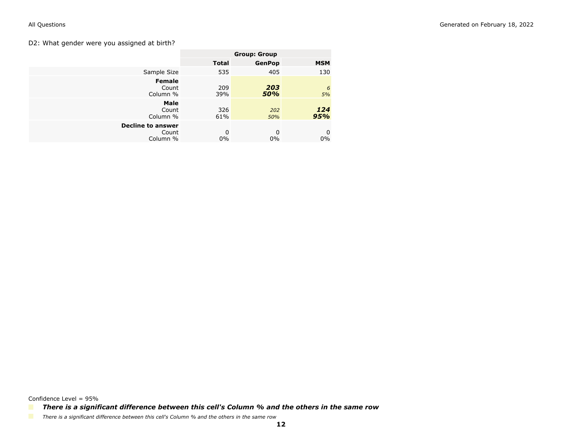### <span id="page-11-0"></span>D2: What gender were you assigned at birth?

|                                               | <b>Group: Group</b> |               |            |
|-----------------------------------------------|---------------------|---------------|------------|
|                                               | <b>Total</b>        | <b>GenPop</b> | <b>MSM</b> |
| Sample Size                                   | 535                 | 405           | 130        |
| <b>Female</b><br>Count<br>Column %            | 209<br>39%          | 203<br>50%    | 6<br>5%    |
| Male<br>Count<br>Column %                     | 326<br>61%          | 202<br>50%    | 124<br>95% |
| <b>Decline to answer</b><br>Count<br>Column % | $\Omega$<br>$0\%$   | 0<br>$0\%$    | 0<br>$0\%$ |

Confidence Level = 95%

*There is a significant difference between this cell's Column % and the others in the same row*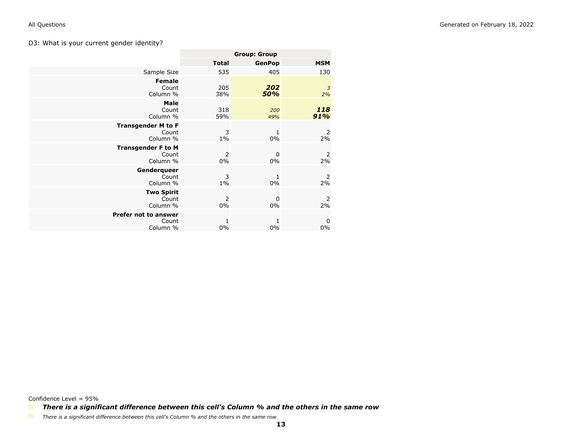### <span id="page-12-0"></span>D3: What is your current gender identity?

|                                                | <b>Group: Group</b> |                    |                      |
|------------------------------------------------|---------------------|--------------------|----------------------|
|                                                | <b>Total</b>        | <b>GenPop</b>      | <b>MSM</b>           |
| Sample Size                                    | 535                 | 405                | 130                  |
| <b>Female</b><br>Count<br>Column %             | 205<br>38%          | 202<br>50%         | 3<br>2%              |
| Male<br>Count<br>Column %                      | 318<br>59%          | 200<br>49%         | 118<br>91%           |
| <b>Transgender M to F</b><br>Count<br>Column % | 3<br>$1\%$          | 1<br>0%            | 2<br>2%              |
| <b>Transgender F to M</b><br>Count<br>Column % | 2<br>$0\%$          | 0<br>0%            | 2<br>2%              |
| Genderqueer<br>Count<br>Column %               | 3<br>$1\%$          | $\mathbf{1}$<br>0% | $\overline{2}$<br>2% |
| <b>Two Spirit</b><br>Count<br>Column %         | 2<br>$0\%$          | $\mathbf 0$<br>0%  | 2<br>2%              |
| Prefer not to answer<br>Count<br>Column %      | 1<br>$0\%$          | $\mathbf{1}$<br>0% | 0<br>$0\%$           |

Confidence Level = 95%

*There is a significant difference between this cell's Column % and the others in the same row*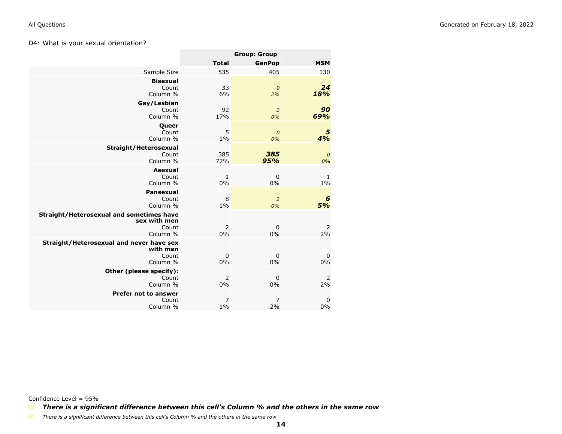### <span id="page-13-0"></span>D4: What is your sexual orientation?

|                                                                               | <b>Group: Group</b>     |                        |                      |
|-------------------------------------------------------------------------------|-------------------------|------------------------|----------------------|
|                                                                               | <b>Total</b>            | <b>GenPop</b>          | <b>MSM</b>           |
| Sample Size                                                                   | 535                     | 405                    | 130                  |
| <b>Bisexual</b><br>Count<br>Column %                                          | 33<br>6%                | 9<br>2%                | 24<br>18%            |
| Gay/Lesbian<br>Count<br>Column %                                              | 92<br>17%               | $\overline{2}$<br>0%   | 90<br>69%            |
| <b>Queer</b><br>Count<br>Column %                                             | 5<br>$1\%$              | $\boldsymbol{0}$<br>0% | 5<br>4%              |
| Straight/Heterosexual<br>Count<br>Column %                                    | 385<br>72%              | 385<br>95%             | $\cal O$<br>0%       |
| <b>Asexual</b><br>Count<br>Column %                                           | 1<br>0%                 | $\mathbf 0$<br>0%      | 1<br>1%              |
| <b>Pansexual</b><br>Count<br>Column %                                         | 8<br>$1\%$              | $\overline{2}$<br>0%   | 6<br>5%              |
| Straight/Heterosexual and sometimes have<br>sex with men<br>Count<br>Column % | 2<br>0%                 | $\mathbf 0$<br>0%      | $\overline{2}$<br>2% |
| Straight/Heterosexual and never have sex<br>with men<br>Count<br>Column %     | $\mathbf 0$<br>0%       | $\mathbf 0$<br>0%      | $\mathbf 0$<br>0%    |
| Other (please specify):<br>Count<br>Column %                                  | $\overline{2}$<br>0%    | $\mathbf 0$<br>0%      | $\overline{2}$<br>2% |
| Prefer not to answer<br>Count<br>Column %                                     | $\overline{7}$<br>$1\%$ | $\overline{7}$<br>2%   | $\mathbf 0$<br>0%    |

Confidence Level = 95%

*There is a significant difference between this cell's Column % and the others in the same row*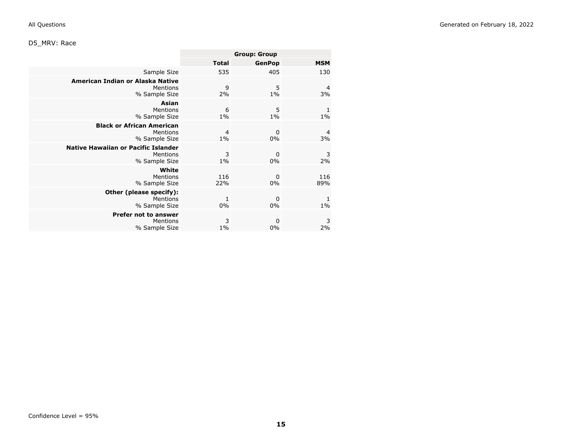## <span id="page-14-0"></span>D5\_MRV: Race

|                                                                         | <b>Group: Group</b>     |                      |                      |
|-------------------------------------------------------------------------|-------------------------|----------------------|----------------------|
|                                                                         | <b>Total</b>            | <b>GenPop</b>        | <b>MSM</b>           |
| Sample Size                                                             | 535                     | 405                  | 130                  |
| American Indian or Alaska Native<br>Mentions<br>% Sample Size           | 9<br>2%                 | 5<br>$1\%$           | 4<br>3%              |
| Asian<br>Mentions<br>% Sample Size                                      | 6<br>$1\%$              | 5<br>$1\%$           | 1<br>$1\%$           |
| <b>Black or African American</b><br>Mentions<br>% Sample Size           | $\overline{4}$<br>$1\%$ | $\mathbf 0$<br>$0\%$ | $\overline{a}$<br>3% |
| <b>Native Hawaiian or Pacific Islander</b><br>Mentions<br>% Sample Size | 3<br>$1\%$              | $\mathbf 0$<br>0%    | 3<br>2%              |
| White<br>Mentions<br>% Sample Size                                      | 116<br>22%              | 0<br>0%              | 116<br>89%           |
| Other (please specify):<br>Mentions<br>% Sample Size                    | $\mathbf{1}$<br>0%      | $\mathbf 0$<br>0%    | 1<br>$1\%$           |
| <b>Prefer not to answer</b><br>Mentions<br>% Sample Size                | 3<br>$1\%$              | 0<br>0%              | 3<br>2%              |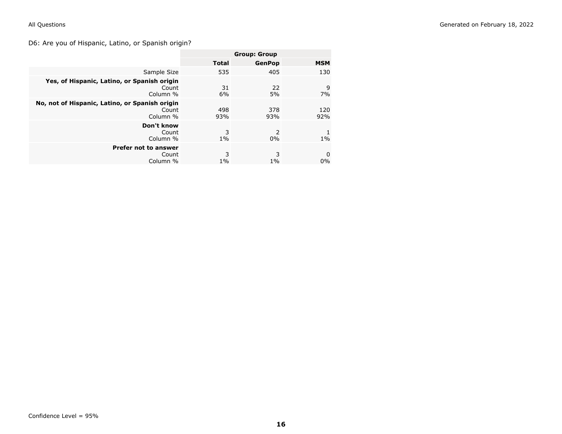## <span id="page-15-0"></span>D6: Are you of Hispanic, Latino, or Spanish origin?

|                                                                     | <b>Group: Group</b> |               |            |
|---------------------------------------------------------------------|---------------------|---------------|------------|
|                                                                     | <b>Total</b>        | <b>GenPop</b> | <b>MSM</b> |
| Sample Size                                                         | 535                 | 405           | 130        |
| Yes, of Hispanic, Latino, or Spanish origin<br>Count<br>Column %    | 31<br>6%            | 22<br>5%      | 9<br>7%    |
| No, not of Hispanic, Latino, or Spanish origin<br>Count<br>Column % | 498<br>93%          | 378<br>93%    | 120<br>92% |
| Don't know<br>Count<br>Column %                                     | 3<br>$1\%$          | 2<br>$0\%$    | $1\%$      |
| <b>Prefer not to answer</b><br>Count<br>Column %                    | 3<br>$1\%$          | 3<br>$1\%$    | 0<br>$0\%$ |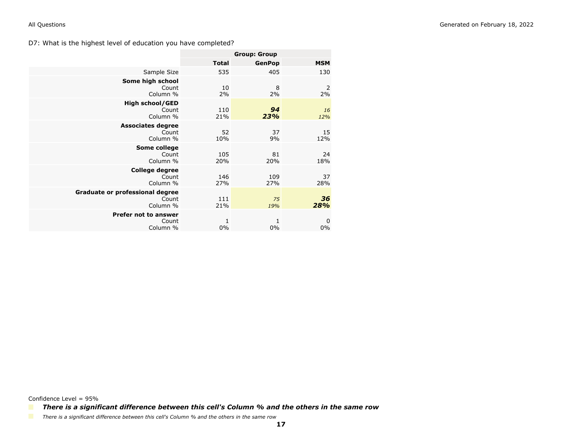<span id="page-16-0"></span>D7: What is the highest level of education you have completed?

|                                                      | <b>Group: Group</b> |               |            |
|------------------------------------------------------|---------------------|---------------|------------|
|                                                      | <b>Total</b>        | <b>GenPop</b> | <b>MSM</b> |
| Sample Size                                          | 535                 | 405           | 130        |
| Some high school<br>Count<br>Column %                | 10<br>2%            | 8<br>2%       | 2<br>2%    |
| <b>High school/GED</b><br>Count<br>Column %          | 110<br>21%          | 94<br>23%     | 16<br>12%  |
| <b>Associates degree</b><br>Count<br>Column %        | 52<br>10%           | 37<br>9%      | 15<br>12%  |
| Some college<br>Count<br>Column %                    | 105<br>20%          | 81<br>20%     | 24<br>18%  |
| <b>College degree</b><br>Count<br>Column %           | 146<br>27%          | 109<br>27%    | 37<br>28%  |
| Graduate or professional degree<br>Count<br>Column % | 111<br>21%          | 75<br>19%     | 36<br>28%  |
| <b>Prefer not to answer</b><br>Count<br>Column %     | 1<br>0%             | 1<br>$0\%$    | 0<br>0%    |

Confidence Level = 95%

*There is a significant difference between this cell's Column % and the others in the same row*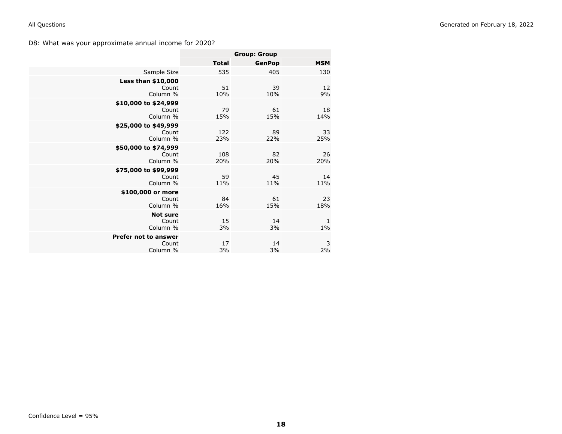<span id="page-17-0"></span>D8: What was your approximate annual income for 2020?

|                                                  | <b>Group: Group</b> |               |            |
|--------------------------------------------------|---------------------|---------------|------------|
|                                                  | <b>Total</b>        | <b>GenPop</b> | <b>MSM</b> |
| Sample Size                                      | 535                 | 405           | 130        |
| <b>Less than \$10,000</b><br>Count<br>Column %   | 51<br>10%           | 39<br>10%     | 12<br>9%   |
| \$10,000 to \$24,999<br>Count<br>Column %        | 79<br>15%           | 61<br>15%     | 18<br>14%  |
| \$25,000 to \$49,999<br>Count<br>Column %        | 122<br>23%          | 89<br>22%     | 33<br>25%  |
| \$50,000 to \$74,999<br>Count<br>Column %        | 108<br>20%          | 82<br>20%     | 26<br>20%  |
| \$75,000 to \$99,999<br>Count<br>Column %        | 59<br>11%           | 45<br>11%     | 14<br>11%  |
| \$100,000 or more<br>Count<br>Column %           | 84<br>16%           | 61<br>15%     | 23<br>18%  |
| <b>Not sure</b><br>Count<br>Column %             | 15<br>3%            | 14<br>3%      | 1<br>$1\%$ |
| <b>Prefer not to answer</b><br>Count<br>Column % | 17<br>3%            | 14<br>3%      | 3<br>2%    |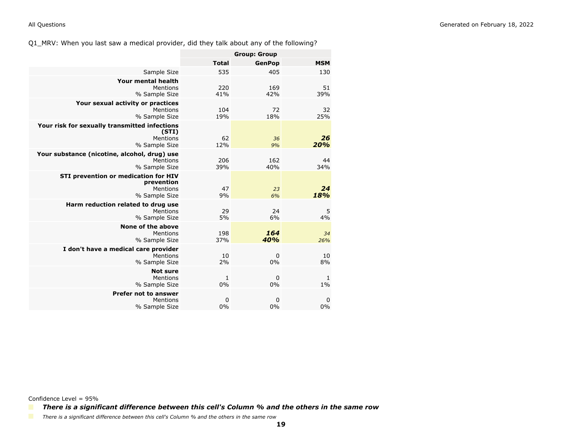<span id="page-18-0"></span>Q1\_MRV: When you last saw a medical provider, did they talk about any of the following?

|                                                                                     | <b>Group: Group</b> |                   |            |
|-------------------------------------------------------------------------------------|---------------------|-------------------|------------|
|                                                                                     | <b>Total</b>        | <b>GenPop</b>     | <b>MSM</b> |
| Sample Size                                                                         | 535                 | 405               | 130        |
| Your mental health<br>Mentions                                                      | 220                 | 169               | 51         |
| % Sample Size                                                                       | 41%                 | 42%               | 39%        |
| Your sexual activity or practices<br>Mentions<br>% Sample Size                      | 104<br>19%          | 72<br>18%         | 32<br>25%  |
| Your risk for sexually transmitted infections<br>(STI)<br>Mentions<br>% Sample Size | 62<br>12%           | 36<br>9%          | 26<br>20%  |
| Your substance (nicotine, alcohol, drug) use<br>Mentions<br>% Sample Size           | 206<br>39%          | 162<br>40%        | 44<br>34%  |
| STI prevention or medication for HIV<br>prevention<br>Mentions<br>% Sample Size     | 47<br>9%            | 23<br>6%          | 24<br>18%  |
| Harm reduction related to drug use<br>Mentions<br>% Sample Size                     | 29<br>5%            | 24<br>6%          | 5<br>4%    |
| None of the above<br>Mentions<br>% Sample Size                                      | 198<br>37%          | 164<br>40%        | 34<br>26%  |
| I don't have a medical care provider<br>Mentions<br>% Sample Size                   | 10<br>2%            | $\mathbf 0$<br>0% | 10<br>8%   |
| <b>Not sure</b><br>Mentions<br>% Sample Size                                        | 1<br>0%             | 0<br>$0\%$        | 1<br>$1\%$ |
| <b>Prefer not to answer</b><br>Mentions<br>% Sample Size                            | 0<br>0%             | 0<br>0%           | 0<br>0%    |

Confidence Level = 95%

*There is a significant difference between this cell's Column % and the others in the same row*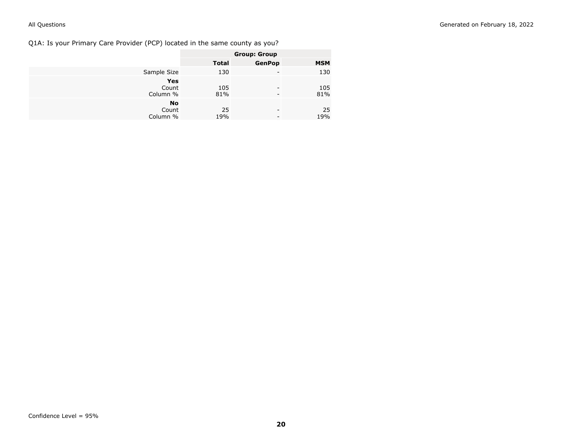<span id="page-19-0"></span>Q1A: Is your Primary Care Provider (PCP) located in the same county as you?

|                                | <b>Group: Group</b> |               |            |
|--------------------------------|---------------------|---------------|------------|
|                                | <b>Total</b>        | <b>GenPop</b> | <b>MSM</b> |
| Sample Size                    | 130                 | -             | 130        |
| Yes<br>Count<br>Column %       | 105<br>81%          | -             | 105<br>81% |
| <b>No</b><br>Count<br>Column % | 25<br>19%           | -             | 25<br>19%  |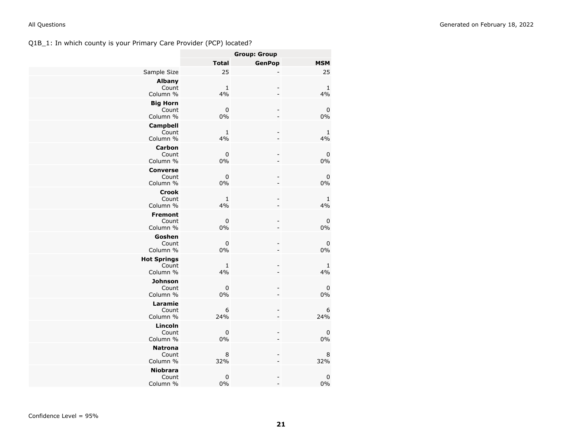## <span id="page-20-0"></span>Q1B\_1: In which county is your Primary Care Provider (PCP) located?

|                                         |                   | <b>Group: Group</b>      |                    |
|-----------------------------------------|-------------------|--------------------------|--------------------|
|                                         | <b>Total</b>      | <b>GenPop</b>            | <b>MSM</b>         |
| Sample Size                             | 25                |                          | 25                 |
| <b>Albany</b><br>Count<br>Column %      | $\mathbf 1$<br>4% |                          | $\mathbf{1}$<br>4% |
| <b>Big Horn</b><br>Count<br>Column %    | $\pmb{0}$<br>0%   | $\overline{a}$           | $\pmb{0}$<br>0%    |
| <b>Campbell</b><br>Count<br>Column %    | 1<br>4%           | ۳                        | $\mathbf{1}$<br>4% |
| <b>Carbon</b><br>Count<br>Column %      | $\pmb{0}$<br>0%   | $\overline{a}$           | 0<br>0%            |
| <b>Converse</b><br>Count<br>Column %    | $\pmb{0}$<br>0%   |                          | 0<br>0%            |
| <b>Crook</b><br>Count<br>Column %       | $\mathbf 1$<br>4% | $\overline{a}$           | 1<br>4%            |
| <b>Fremont</b><br>Count<br>Column %     | $\pmb{0}$<br>0%   | $\overline{a}$<br>۳      | $\mathbf 0$<br>0%  |
| Goshen<br>Count<br>Column %             | 0<br>0%           | $\frac{1}{2}$            | 0<br>0%            |
| <b>Hot Springs</b><br>Count<br>Column % | $\mathbf 1$<br>4% |                          | $\mathbf{1}$<br>4% |
| <b>Johnson</b><br>Count<br>Column %     | $\pmb{0}$<br>0%   | $\overline{\phantom{0}}$ | $\pmb{0}$<br>0%    |
| Laramie<br>Count<br>Column %            | 6<br>24%          |                          | 6<br>24%           |
| Lincoln<br>Count<br>Column %            | $\mathbf 0$<br>0% | $\overline{\phantom{0}}$ | 0<br>0%            |
| <b>Natrona</b><br>Count<br>Column %     | 8<br>32%          | $\overline{a}$           | 8<br>32%           |
| <b>Niobrara</b><br>Count<br>Column %    | $\pmb{0}$<br>0%   | $\overline{\phantom{0}}$ | $\pmb{0}$<br>0%    |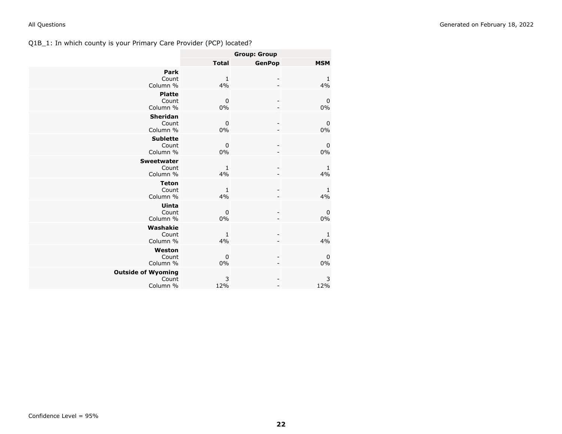## <span id="page-21-0"></span>Q1B\_1: In which county is your Primary Care Provider (PCP) located?

|                                                |                    | <b>Group: Group</b> |                        |
|------------------------------------------------|--------------------|---------------------|------------------------|
|                                                | <b>Total</b>       | <b>GenPop</b>       | <b>MSM</b>             |
| Park<br>Count<br>Column %                      | $\mathbf{1}$<br>4% |                     | $\mathbf{1}$<br>4%     |
| <b>Platte</b><br>Count<br>Column %             | $\mathbf 0$<br>0%  |                     | $\pmb{0}$<br>$0\%$     |
| <b>Sheridan</b><br>Count<br>Column %           | $\mathbf 0$<br>0%  |                     | $\pmb{0}$<br>0%        |
| <b>Sublette</b><br>Count<br>Column %           | 0<br>0%            |                     | $\boldsymbol{0}$<br>0% |
| <b>Sweetwater</b><br>Count<br>Column %         | 1<br>4%            |                     | $\mathbf{1}$<br>4%     |
| <b>Teton</b><br>Count<br>Column %              | $\mathbf{1}$<br>4% |                     | $\mathbf{1}$<br>4%     |
| Uinta<br>Count<br>Column %                     | $\mathbf 0$<br>0%  |                     | $\pmb{0}$<br>0%        |
| Washakie<br>Count<br>Column %                  | $\mathbf{1}$<br>4% |                     | $\mathbf{1}$<br>4%     |
| Weston<br>Count<br>Column %                    | $\mathbf 0$<br>0%  |                     | $\mathbf 0$<br>0%      |
| <b>Outside of Wyoming</b><br>Count<br>Column % | 3<br>12%           |                     | 3<br>12%               |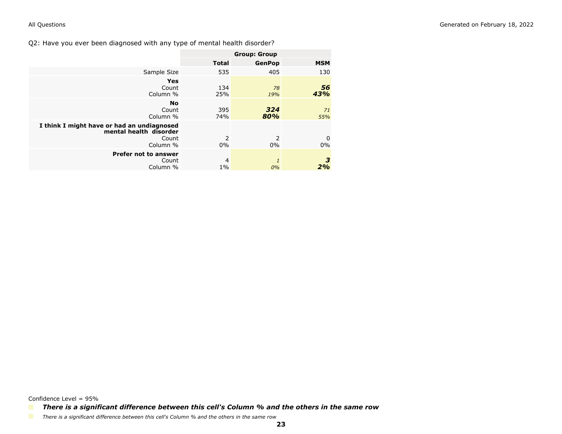<span id="page-22-0"></span>Q2: Have you ever been diagnosed with any type of mental health disorder?

|                                                                                           | <b>Group: Group</b> |               |            |
|-------------------------------------------------------------------------------------------|---------------------|---------------|------------|
|                                                                                           | <b>Total</b>        | <b>GenPop</b> | <b>MSM</b> |
| Sample Size                                                                               | 535                 | 405           | 130        |
| <b>Yes</b><br>Count<br>Column %                                                           | 134<br>25%          | 78<br>19%     | 56<br>43%  |
| <b>No</b><br>Count<br>Column %                                                            | 395<br>74%          | 324<br>80%    | 71<br>55%  |
| I think I might have or had an undiagnosed<br>mental health disorder<br>Count<br>Column % | 2<br>$0\%$          | 2<br>0%       | 0<br>0%    |
| <b>Prefer not to answer</b><br>Count<br>Column %                                          | 4<br>$1\%$          | 1<br>0%       | З<br>2%    |

Confidence Level = 95%

*There is a significant difference between this cell's Column % and the others in the same row*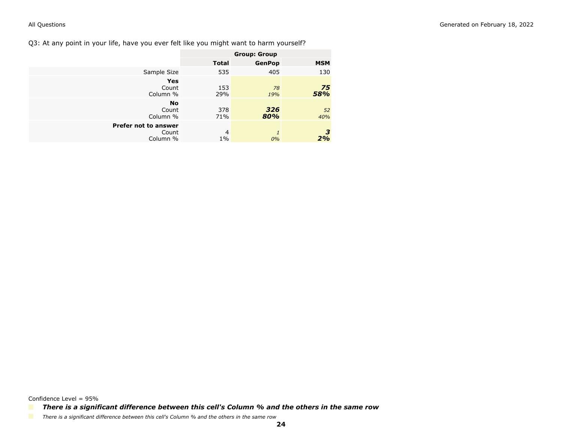<span id="page-23-0"></span>Q3: At any point in your life, have you ever felt like you might want to harm yourself?

|                                           |                         | <b>Group: Group</b> |            |
|-------------------------------------------|-------------------------|---------------------|------------|
|                                           | <b>Total</b>            | <b>GenPop</b>       | <b>MSM</b> |
| Sample Size                               | 535                     | 405                 | 130        |
| <b>Yes</b><br>Count<br>Column %           | 153<br>29%              | 78<br>19%           | 75<br>58%  |
| <b>No</b><br>Count<br>Column %            | 378<br>71%              | 326<br>80%          | 52<br>40%  |
| Prefer not to answer<br>Count<br>Column % | $\overline{4}$<br>$1\%$ | $\mathbf{1}$<br>0%  | З<br>2%    |

Confidence Level = 95%

*There is a significant difference between this cell's Column % and the others in the same row*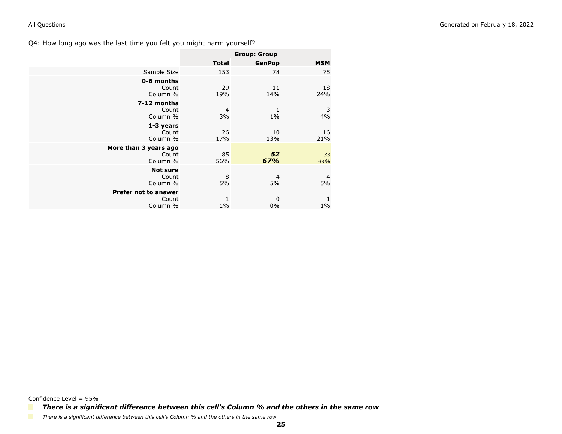<span id="page-24-0"></span>

|                                                  | <b>Group: Group</b> |               |            |
|--------------------------------------------------|---------------------|---------------|------------|
|                                                  | <b>Total</b>        | <b>GenPop</b> | <b>MSM</b> |
| Sample Size                                      | 153                 | 78            | 75         |
| 0-6 months<br>Count<br>Column %                  | 29<br>19%           | 11<br>14%     | 18<br>24%  |
| 7-12 months<br>Count<br>Column %                 | 4<br>3%             | 1<br>$1\%$    | 3<br>4%    |
| 1-3 years<br>Count<br>Column %                   | 26<br>17%           | 10<br>13%     | 16<br>21%  |
| More than 3 years ago<br>Count<br>Column %       | 85<br>56%           | 52<br>67%     | 33<br>44%  |
| <b>Not sure</b><br>Count<br>Column %             | 8<br>5%             | 4<br>5%       | 4<br>5%    |
| <b>Prefer not to answer</b><br>Count<br>Column % | 1<br>$1\%$          | 0<br>$0\%$    | 1<br>$1\%$ |

Confidence Level = 95%

*There is a significant difference between this cell's Column % and the others in the same row*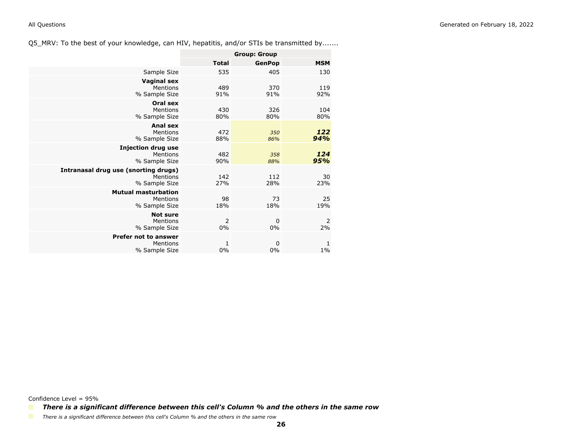<span id="page-25-0"></span>Q5\_MRV: To the best of your knowledge, can HIV, hepatitis, and/or STIs be transmitted by.......

|                                                                   | <b>Group: Group</b> |                   |            |
|-------------------------------------------------------------------|---------------------|-------------------|------------|
|                                                                   | <b>Total</b>        | <b>GenPop</b>     | <b>MSM</b> |
| Sample Size                                                       | 535                 | 405               | 130        |
| <b>Vaginal sex</b><br>Mentions<br>% Sample Size                   | 489<br>91%          | 370<br>91%        | 119<br>92% |
| Oral sex<br>Mentions<br>% Sample Size                             | 430<br>80%          | 326<br>80%        | 104<br>80% |
| <b>Anal sex</b><br>Mentions<br>% Sample Size                      | 472<br>88%          | 350<br>86%        | 122<br>94% |
| <b>Injection drug use</b><br>Mentions<br>% Sample Size            | 482<br>90%          | 358<br>88%        | 124<br>95% |
| Intranasal drug use (snorting drugs)<br>Mentions<br>% Sample Size | 142<br>27%          | 112<br>28%        | 30<br>23%  |
| <b>Mutual masturbation</b><br>Mentions<br>% Sample Size           | 98<br>18%           | 73<br>18%         | 25<br>19%  |
| <b>Not sure</b><br>Mentions<br>% Sample Size                      | 2<br>0%             | $\mathbf 0$<br>0% | 2<br>2%    |
| <b>Prefer not to answer</b><br>Mentions<br>% Sample Size          | 1<br>0%             | 0<br>$0\%$        | 1<br>$1\%$ |

Confidence Level = 95%

*There is a significant difference between this cell's Column % and the others in the same row*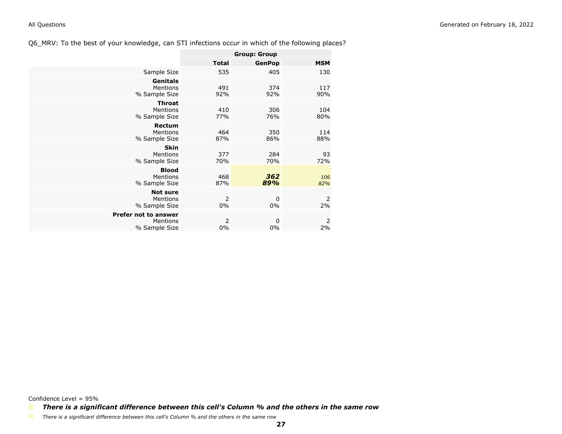<span id="page-26-0"></span>Q6\_MRV: To the best of your knowledge, can STI infections occur in which of the following places?

|                                                          | <b>Group: Group</b> |                   |                      |
|----------------------------------------------------------|---------------------|-------------------|----------------------|
|                                                          | <b>Total</b>        | <b>GenPop</b>     | <b>MSM</b>           |
| Sample Size                                              | 535                 | 405               | 130                  |
| <b>Genitals</b><br>Mentions<br>% Sample Size             | 491<br>92%          | 374<br>92%        | 117<br>90%           |
| <b>Throat</b><br>Mentions<br>% Sample Size               | 410<br>77%          | 306<br>76%        | 104<br>80%           |
| Rectum<br>Mentions<br>% Sample Size                      | 464<br>87%          | 350<br>86%        | 114<br>88%           |
| <b>Skin</b><br><b>Mentions</b><br>% Sample Size          | 377<br>70%          | 284<br>70%        | 93<br>72%            |
| <b>Blood</b><br>Mentions<br>% Sample Size                | 468<br>87%          | 362<br>89%        | 106<br>82%           |
| <b>Not sure</b><br><b>Mentions</b><br>% Sample Size      | 2<br>$0\%$          | $\mathbf 0$<br>0% | 2<br>2%              |
| <b>Prefer not to answer</b><br>Mentions<br>% Sample Size | 2<br>$0\%$          | 0<br>$0\%$        | $\overline{2}$<br>2% |

Confidence Level = 95%

*There is a significant difference between this cell's Column % and the others in the same row*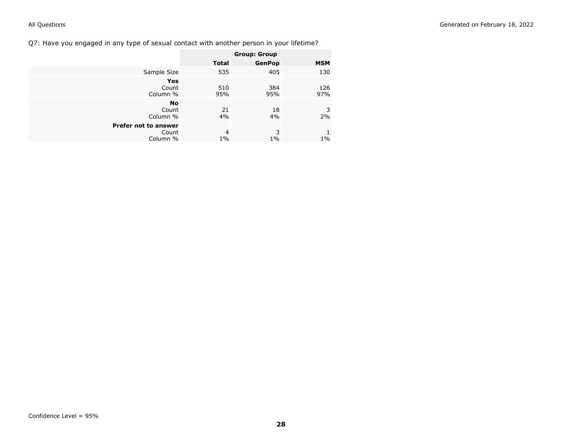<span id="page-27-0"></span>Q7: Have you engaged in any type of sexual contact with another person in your lifetime?

|                                           |                         | <b>Group: Group</b> |            |
|-------------------------------------------|-------------------------|---------------------|------------|
|                                           | <b>Total</b>            | <b>GenPop</b>       | <b>MSM</b> |
| Sample Size                               | 535                     | 405                 | 130        |
| <b>Yes</b><br>Count<br>Column %           | 510<br>95%              | 384<br>95%          | 126<br>97% |
| <b>No</b><br>Count<br>Column %            | 21<br>4%                | 18<br>4%            | 3<br>$2\%$ |
| Prefer not to answer<br>Count<br>Column % | $\overline{4}$<br>$1\%$ | 3<br>$1\%$          | 1<br>$1\%$ |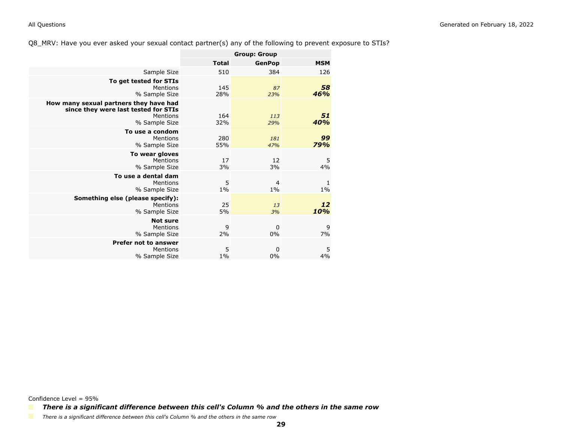### <span id="page-28-0"></span>Q8\_MRV: Have you ever asked your sexual contact partner(s) any of the following to prevent exposure to STIs?

|                                                                                                             | <b>Group: Group</b> |                         |            |
|-------------------------------------------------------------------------------------------------------------|---------------------|-------------------------|------------|
|                                                                                                             | <b>Total</b>        | <b>GenPop</b>           | <b>MSM</b> |
| Sample Size                                                                                                 | 510                 | 384                     | 126        |
| To get tested for STIs<br>Mentions<br>% Sample Size                                                         | 145<br>28%          | 87<br>23%               | 58<br>46%  |
| How many sexual partners they have had<br>since they were last tested for STIs<br>Mentions<br>% Sample Size | 164<br>32%          | 113<br>29%              | 51<br>40%  |
| To use a condom<br>Mentions<br>% Sample Size                                                                | 280<br>55%          | 181<br>47%              | 99<br>79%  |
| To wear gloves<br>Mentions<br>% Sample Size                                                                 | 17<br>3%            | 12<br>3%                | 5<br>4%    |
| To use a dental dam<br>Mentions<br>% Sample Size                                                            | 5<br>$1\%$          | $\overline{4}$<br>$1\%$ | 1<br>$1\%$ |
| Something else (please specify):<br>Mentions<br>% Sample Size                                               | 25<br>5%            | 13<br>3%                | 12<br>10%  |
| <b>Not sure</b><br>Mentions<br>% Sample Size                                                                | 9<br>2%             | 0<br>0%                 | 9<br>7%    |
| Prefer not to answer<br>Mentions<br>% Sample Size                                                           | 5<br>$1\%$          | 0<br>0%                 | 5<br>4%    |

Confidence Level = 95%

*There is a significant difference between this cell's Column % and the others in the same row*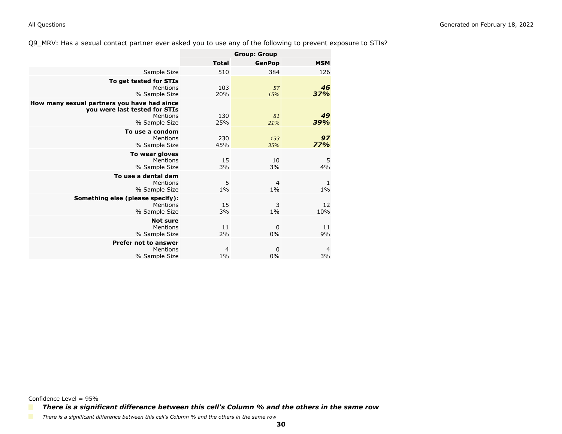### <span id="page-29-0"></span>Q9\_MRV: Has a sexual contact partner ever asked you to use any of the following to prevent exposure to STIs?

|                                                                                                           | <b>Group: Group</b>     |                         |                      |
|-----------------------------------------------------------------------------------------------------------|-------------------------|-------------------------|----------------------|
|                                                                                                           | <b>Total</b>            | <b>GenPop</b>           | <b>MSM</b>           |
| Sample Size                                                                                               | 510                     | 384                     | 126                  |
| To get tested for STIs<br>Mentions<br>% Sample Size                                                       | 103<br>20%              | 57<br>15%               | 46<br>37%            |
| How many sexual partners you have had since<br>you were last tested for STIs<br>Mentions<br>% Sample Size | 130<br>25%              | 81<br>21%               | 49<br>39%            |
| To use a condom<br>Mentions<br>% Sample Size                                                              | 230<br>45%              | 133<br>35%              | 97<br>77%            |
| To wear gloves<br>Mentions<br>% Sample Size                                                               | 15<br>3%                | 10<br>3%                | 5<br>4%              |
| To use a dental dam<br>Mentions<br>% Sample Size                                                          | 5<br>$1\%$              | $\overline{4}$<br>$1\%$ | 1<br>$1\%$           |
| Something else (please specify):<br>Mentions<br>% Sample Size                                             | 15<br>3%                | 3<br>$1\%$              | 12<br>10%            |
| <b>Not sure</b><br>Mentions<br>% Sample Size                                                              | 11<br>2%                | $\mathbf 0$<br>0%       | 11<br>9%             |
| <b>Prefer not to answer</b><br>Mentions<br>% Sample Size                                                  | $\overline{4}$<br>$1\%$ | $\mathbf 0$<br>0%       | $\overline{a}$<br>3% |

Confidence Level = 95%

*There is a significant difference between this cell's Column % and the others in the same row*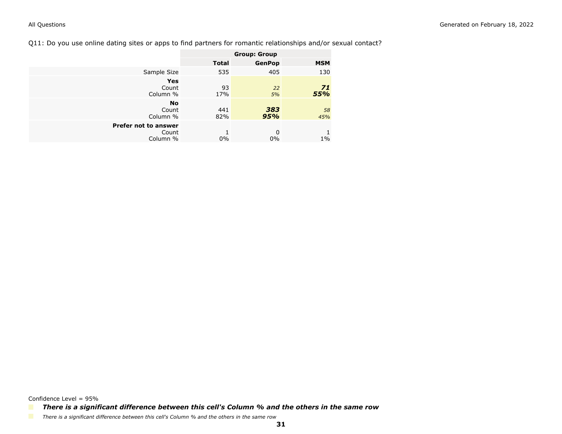### <span id="page-30-0"></span>Q11: Do you use online dating sites or apps to find partners for romantic relationships and/or sexual contact?

|                                           |              | <b>Group: Group</b> |            |
|-------------------------------------------|--------------|---------------------|------------|
|                                           | <b>Total</b> | <b>GenPop</b>       | <b>MSM</b> |
| Sample Size                               | 535          | 405                 | 130        |
| Yes<br>Count<br>Column %                  | 93<br>17%    | 22<br>5%            | 71<br>55%  |
| <b>No</b><br>Count<br>Column %            | 441<br>82%   | 383<br>95%          | 58<br>45%  |
| Prefer not to answer<br>Count<br>Column % | 1<br>$0\%$   | 0<br>0%             | $1\%$      |

Confidence Level = 95%

*There is a significant difference between this cell's Column % and the others in the same row*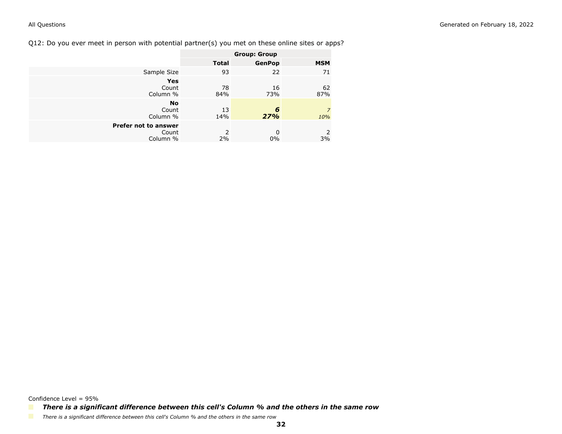<span id="page-31-0"></span>Q12: Do you ever meet in person with potential partner(s) you met on these online sites or apps?

|                      |              | <b>Group: Group</b> |                       |
|----------------------|--------------|---------------------|-----------------------|
|                      | <b>Total</b> | <b>GenPop</b>       | <b>MSM</b>            |
| Sample Size          | 93           | 22                  | 71                    |
| <b>Yes</b>           |              |                     |                       |
| Count<br>Column %    | 78<br>84%    | 16<br>73%           | 62<br>87%             |
| <b>No</b>            |              |                     |                       |
| Count<br>Column %    | 13<br>14%    | 6<br>27%            | $\overline{z}$<br>10% |
| Prefer not to answer |              |                     |                       |
| Count<br>Column %    | 2<br>2%      | $\Omega$<br>$0\%$   | $\mathcal{L}$<br>3%   |

Confidence Level = 95%

*There is a significant difference between this cell's Column % and the others in the same row*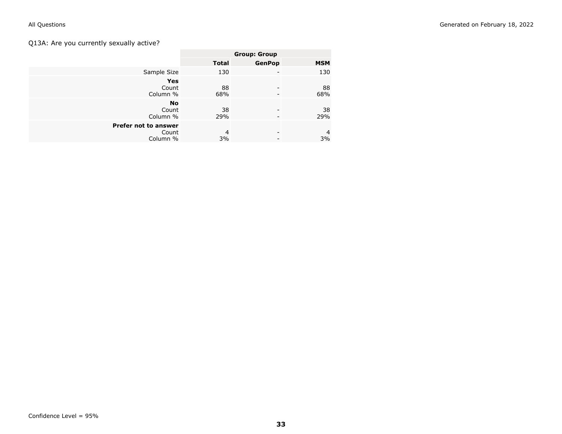## <span id="page-32-0"></span>Q13A: Are you currently sexually active?

|                      |                | <b>Group: Group</b> |                |
|----------------------|----------------|---------------------|----------------|
|                      | <b>Total</b>   | <b>GenPop</b>       | <b>MSM</b>     |
| Sample Size          | 130            |                     | 130            |
| <b>Yes</b>           |                |                     |                |
| Count                | 88             |                     | 88             |
| Column %             | 68%            |                     | 68%            |
| <b>No</b>            |                |                     |                |
| Count                | 38             | -                   | 38             |
| Column %             | 29%            |                     | 29%            |
| Prefer not to answer |                |                     |                |
| Count                | $\overline{4}$ | -                   | $\overline{4}$ |
|                      |                |                     |                |
| Column %             | 3%             |                     | 3%             |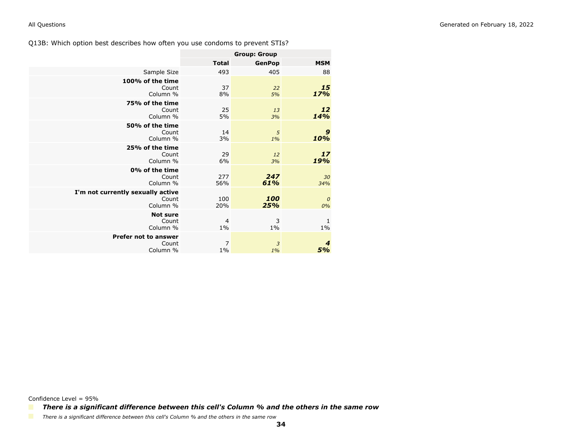<span id="page-33-0"></span>Q13B: Which option best describes how often you use condoms to prevent STIs?

|                                                        | <b>Group: Group</b>     |               |                         |
|--------------------------------------------------------|-------------------------|---------------|-------------------------|
|                                                        | <b>Total</b>            | <b>GenPop</b> | <b>MSM</b>              |
| Sample Size                                            | 493                     | 405           | 88                      |
| 100% of the time<br>Count<br>Column %                  | 37<br>8%                | 22<br>5%      | 15<br>17%               |
| 75% of the time<br>Count<br>Column %                   | 25<br>5%                | 13<br>3%      | 12<br>14%               |
| 50% of the time<br>Count<br>Column %                   | 14<br>3%                | 5<br>$1\%$    | $\boldsymbol{9}$<br>10% |
| 25% of the time<br>Count<br>Column %                   | 29<br>6%                | 12<br>3%      | 17<br>19%               |
| 0% of the time<br>Count<br>Column %                    | 277<br>56%              | 247<br>61%    | 30<br>34%               |
| I'm not currently sexually active<br>Count<br>Column % | 100<br>20%              | 100<br>25%    | $\boldsymbol{0}$<br>0%  |
| <b>Not sure</b><br>Count<br>Column %                   | $\overline{4}$<br>$1\%$ | 3<br>$1\%$    | 1<br>$1\%$              |
| <b>Prefer not to answer</b><br>Count<br>Column %       | $\overline{7}$<br>$1\%$ | 3<br>1%       | $\boldsymbol{4}$<br>5%  |

Confidence Level = 95%

*There is a significant difference between this cell's Column % and the others in the same row*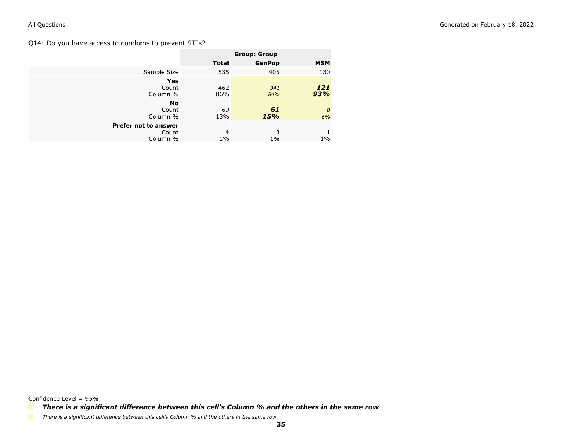### <span id="page-34-0"></span>Q14: Do you have access to condoms to prevent STIs?

|                                           |              | <b>Group: Group</b> |            |
|-------------------------------------------|--------------|---------------------|------------|
|                                           | <b>Total</b> | <b>GenPop</b>       | <b>MSM</b> |
| Sample Size                               | 535          | 405                 | 130        |
| <b>Yes</b><br>Count<br>Column %           | 462<br>86%   | 341<br>84%          | 121<br>93% |
| <b>No</b><br>Count<br>Column %            | 69<br>13%    | 61<br>15%           | 8<br>6%    |
| Prefer not to answer<br>Count<br>Column % | 4<br>$1\%$   | 3<br>$1\%$          | $1\%$      |

*There is a significant difference between this cell's Column % and the others in the same row*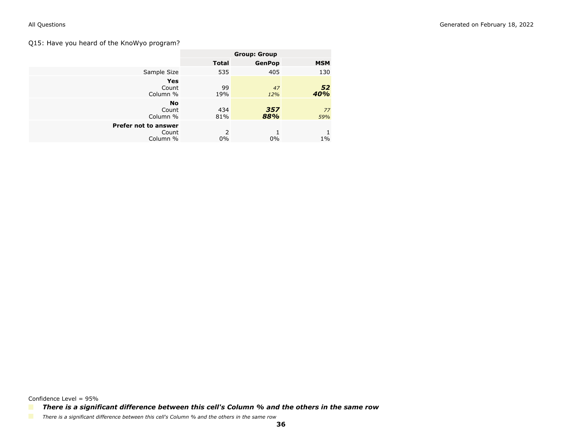### <span id="page-35-0"></span>Q15: Have you heard of the KnoWyo program?

|                                           |              | <b>Group: Group</b> |            |
|-------------------------------------------|--------------|---------------------|------------|
|                                           | <b>Total</b> | <b>GenPop</b>       | <b>MSM</b> |
| Sample Size                               | 535          | 405                 | 130        |
| <b>Yes</b><br>Count<br>Column %           | 99<br>19%    | 47<br>12%           | 52<br>40%  |
| <b>No</b><br>Count<br>Column %            | 434<br>81%   | 357<br>88%          | 77<br>59%  |
| Prefer not to answer<br>Count<br>Column % | 2<br>$0\%$   | $0\%$               | $1\%$      |

Confidence Level = 95%

*There is a significant difference between this cell's Column % and the others in the same row*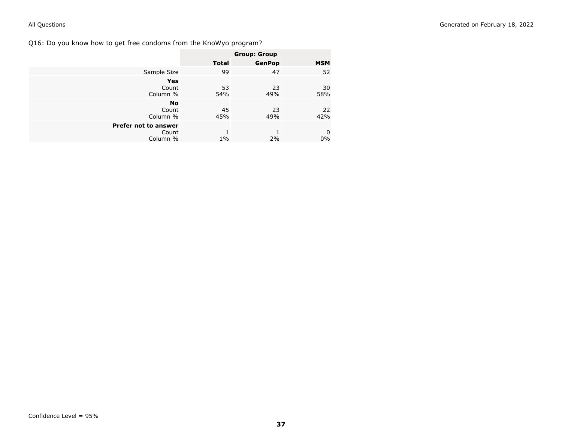Q16: Do you know how to get free condoms from the KnoWyo program?

|                      | <b>Group: Group</b> |               |            |
|----------------------|---------------------|---------------|------------|
|                      | <b>Total</b>        | <b>GenPop</b> | <b>MSM</b> |
| Sample Size          | 99                  | 47            | 52         |
| <b>Yes</b>           |                     |               |            |
| Count                | 53                  | 23            | 30         |
| Column %             | 54%                 | 49%           | 58%        |
| <b>No</b>            |                     |               |            |
| Count                | 45                  | 23            | 22         |
| Column %             | 45%                 | 49%           | 42%        |
| Prefer not to answer |                     |               |            |
| Count                |                     |               | 0          |
| Column %             | $1\%$               | 2%            | $0\%$      |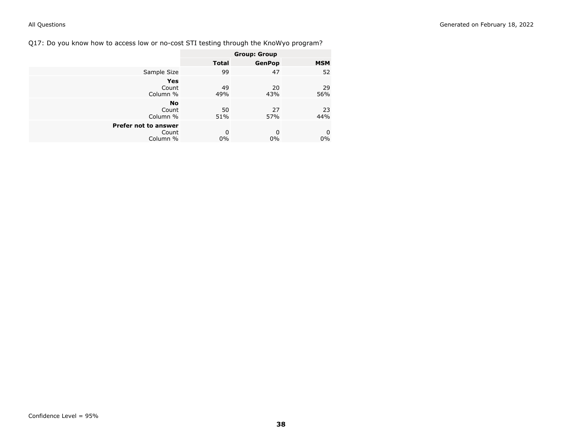Q17: Do you know how to access low or no-cost STI testing through the KnoWyo program?

|                      | <b>Group: Group</b> |               |            |
|----------------------|---------------------|---------------|------------|
|                      | <b>Total</b>        | <b>GenPop</b> | <b>MSM</b> |
| Sample Size          | 99                  | 47            | 52         |
| Yes                  |                     |               |            |
| Count                | 49                  | 20            | 29         |
| Column %             | 49%                 | 43%           | 56%        |
| <b>No</b>            |                     |               |            |
| Count                | 50                  | 27            | 23         |
| Column %             | 51%                 | 57%           | 44%        |
| Prefer not to answer |                     |               |            |
| Count                | 0                   | 0             | 0          |
| Column %             | $0\%$               | $0\%$         | $0\%$      |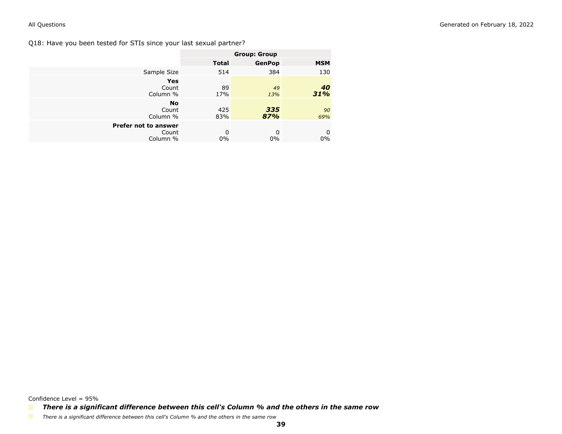Q18: Have you been tested for STIs since your last sexual partner?

|                                           | <b>Group: Group</b> |               |            |
|-------------------------------------------|---------------------|---------------|------------|
|                                           | <b>Total</b>        | <b>GenPop</b> | <b>MSM</b> |
| Sample Size                               | 514                 | 384           | 130        |
| Yes<br>Count<br>Column %                  | 89<br>17%           | 49<br>13%     | 40<br>31%  |
| <b>No</b><br>Count<br>Column %            | 425<br>83%          | 335<br>87%    | 90<br>69%  |
| Prefer not to answer<br>Count<br>Column % | 0<br>0%             | 0<br>$0\%$    | 0<br>$0\%$ |

Confidence Level = 95%

*There is a significant difference between this cell's Column % and the others in the same row*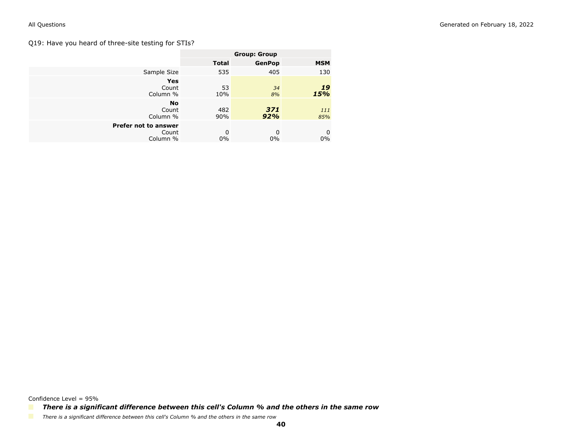## Q19: Have you heard of three-site testing for STIs?

|                                           |              | <b>Group: Group</b> |            |
|-------------------------------------------|--------------|---------------------|------------|
|                                           | <b>Total</b> | <b>GenPop</b>       | <b>MSM</b> |
| Sample Size                               | 535          | 405                 | 130        |
| Yes<br>Count<br>Column %                  | 53<br>10%    | 34<br>8%            | 19<br>15%  |
| <b>No</b><br>Count<br>Column %            | 482<br>90%   | 371<br>92%          | 111<br>85% |
| Prefer not to answer<br>Count<br>Column % | 0<br>0%      | 0<br>$0\%$          | 0<br>$0\%$ |

Confidence Level = 95%

*There is a significant difference between this cell's Column % and the others in the same row*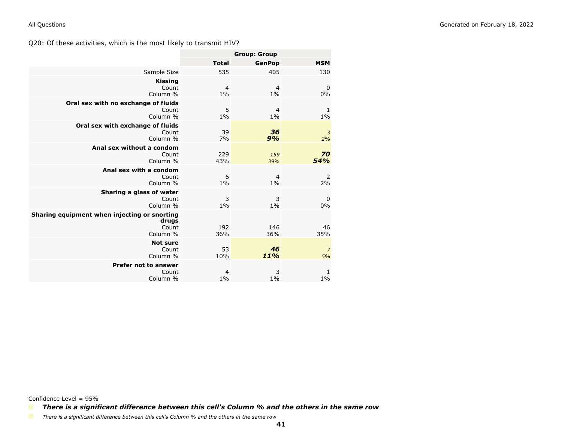|                                                                            |                         | <b>Group: Group</b>     |                      |
|----------------------------------------------------------------------------|-------------------------|-------------------------|----------------------|
|                                                                            | <b>Total</b>            | <b>GenPop</b>           | <b>MSM</b>           |
| Sample Size                                                                | 535                     | 405                     | 130                  |
| <b>Kissing</b><br>Count<br>Column %                                        | $\overline{4}$<br>$1\%$ | $\overline{4}$<br>$1\%$ | $\mathbf 0$<br>0%    |
| Oral sex with no exchange of fluids<br>Count<br>Column %                   | 5<br>$1\%$              | $\overline{4}$<br>$1\%$ | 1<br>$1\%$           |
| Oral sex with exchange of fluids<br>Count<br>Column %                      | 39<br>7%                | 36<br>9%                | $\overline{3}$<br>2% |
| Anal sex without a condom<br>Count<br>Column %                             | 229<br>43%              | 159<br>39%              | 70<br>54%            |
| Anal sex with a condom<br>Count<br>Column %                                | 6<br>$1\%$              | $\overline{4}$<br>$1\%$ | 2<br>2%              |
| Sharing a glass of water<br>Count<br>Column %                              | 3<br>$1\%$              | 3<br>1%                 | $\mathbf 0$<br>0%    |
| Sharing equipment when injecting or snorting<br>drugs<br>Count<br>Column % | 192<br>36%              | 146<br>36%              | 46<br>35%            |
| <b>Not sure</b><br>Count<br>Column %                                       | 53<br>10%               | 46<br>11%               | $\overline{7}$<br>5% |
| <b>Prefer not to answer</b><br>Count<br>Column %                           | 4<br>$1\%$              | 3<br>$1\%$              | 1<br>$1\%$           |

Confidence Level = 95%

*There is a significant difference between this cell's Column % and the others in the same row*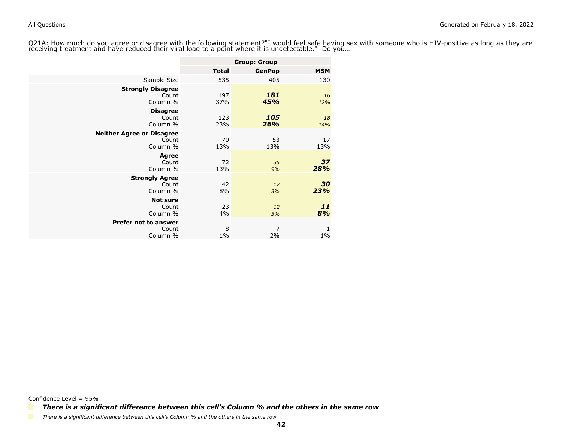Q21A: How much do you agree or disagree with the following statement?"I would feel safe having sex with someone who is HIV-positive as long as they arereceiving treatment and have reduced their viral load to a point where it is undetectable." Do you…

|                                                       | <b>Group: Group</b> |               |            |
|-------------------------------------------------------|---------------------|---------------|------------|
|                                                       | <b>Total</b>        | <b>GenPop</b> | <b>MSM</b> |
| Sample Size                                           | 535                 | 405           | 130        |
| <b>Strongly Disagree</b><br>Count<br>Column %         | 197<br>37%          | 181<br>45%    | 16<br>12%  |
| <b>Disagree</b><br>Count<br>Column %                  | 123<br>23%          | 105<br>26%    | 18<br>14%  |
| <b>Neither Agree or Disagree</b><br>Count<br>Column % | 70<br>13%           | 53<br>13%     | 17<br>13%  |
| <b>Agree</b><br>Count<br>Column %                     | 72<br>13%           | 35<br>9%      | 37<br>28%  |
| <b>Strongly Agree</b><br>Count<br>Column %            | 42<br>8%            | 12<br>3%      | 30<br>23%  |
| <b>Not sure</b><br>Count<br>Column %                  | 23<br>4%            | 12<br>3%      | 11<br>8%   |
| Prefer not to answer<br>Count<br>Column %             | 8<br>$1\%$          | 7<br>2%       | 1<br>$1\%$ |

Confidence Level = 95%

*There is a significant difference between this cell's Column % and the others in the same row*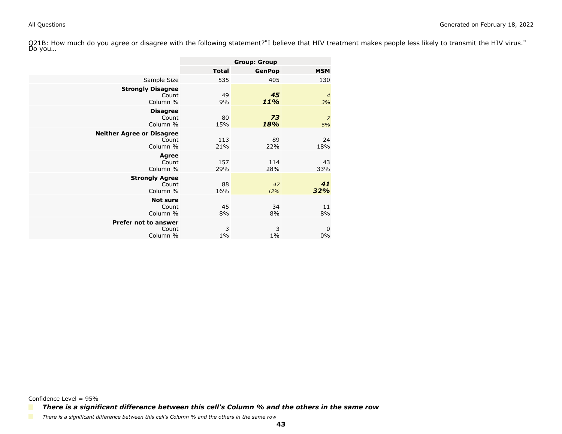Q21B: How much do you agree or disagree with the following statement?"I believe that HIV treatment makes people less likely to transmit the HIV virus."<br>Do you…

|                                                       |              | <b>Group: Group</b> |                      |
|-------------------------------------------------------|--------------|---------------------|----------------------|
|                                                       | <b>Total</b> | <b>GenPop</b>       | <b>MSM</b>           |
| Sample Size                                           | 535          | 405                 | 130                  |
| <b>Strongly Disagree</b><br>Count<br>Column %         | 49<br>9%     | 45<br>11%           | $\overline{4}$<br>3% |
| <b>Disagree</b><br>Count<br>Column %                  | 80<br>15%    | 73<br>18%           | $\overline{z}$<br>5% |
| <b>Neither Agree or Disagree</b><br>Count<br>Column % | 113<br>21%   | 89<br>22%           | 24<br>18%            |
| <b>Agree</b><br>Count<br>Column %                     | 157<br>29%   | 114<br>28%          | 43<br>33%            |
| <b>Strongly Agree</b><br>Count<br>Column %            | 88<br>16%    | 47<br>12%           | 41<br>32%            |
| <b>Not sure</b><br>Count<br>Column %                  | 45<br>8%     | 34<br>8%            | 11<br>8%             |
| Prefer not to answer<br>Count<br>Column %             | 3<br>$1\%$   | 3<br>$1\%$          | 0<br>0%              |

Confidence Level = 95%

*There is a significant difference between this cell's Column % and the others in the same row*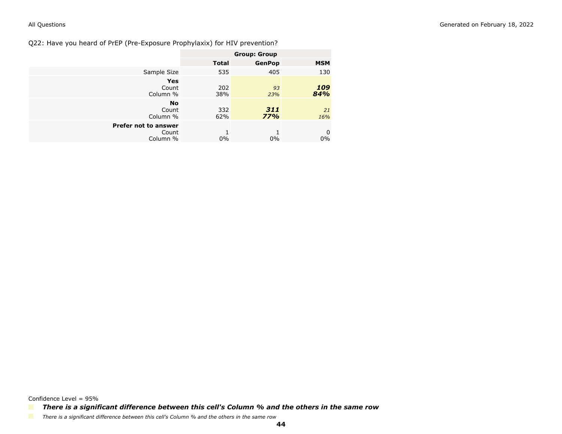Q22: Have you heard of PrEP (Pre-Exposure Prophylaxix) for HIV prevention?

|                                                  |              | <b>Group: Group</b> |            |
|--------------------------------------------------|--------------|---------------------|------------|
|                                                  | <b>Total</b> | <b>GenPop</b>       | <b>MSM</b> |
| Sample Size                                      | 535          | 405                 | 130        |
| <b>Yes</b><br>Count<br>Column %                  | 202<br>38%   | 93<br>23%           | 109<br>84% |
| <b>No</b><br>Count<br>Column %                   | 332<br>62%   | 311<br>77%          | 21<br>16%  |
| <b>Prefer not to answer</b><br>Count<br>Column % | $0\%$        | $0\%$               | 0<br>$0\%$ |

Confidence Level = 95%

*There is a significant difference between this cell's Column % and the others in the same row*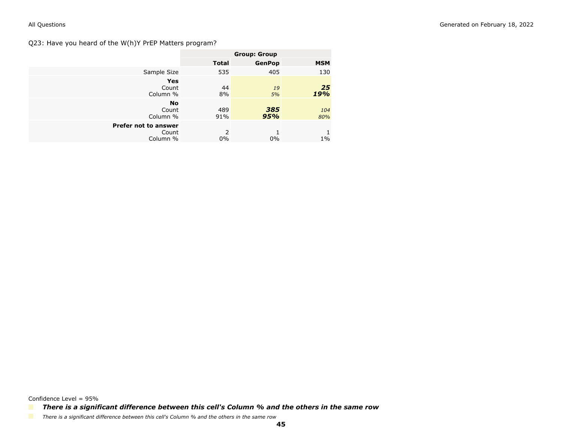## Q23: Have you heard of the W(h)Y PrEP Matters program?

|                                           | <b>Group: Group</b> |               |            |
|-------------------------------------------|---------------------|---------------|------------|
|                                           | <b>Total</b>        | <b>GenPop</b> | <b>MSM</b> |
| Sample Size                               | 535                 | 405           | 130        |
| <b>Yes</b>                                |                     |               |            |
| Count<br>Column %                         | 44<br>8%            | 19<br>5%      | 25<br>19%  |
| <b>No</b><br>Count<br>Column %            | 489<br>91%          | 385<br>95%    | 104<br>80% |
| Prefer not to answer<br>Count<br>Column % | 2<br>$0\%$          | $0\%$         | $1\%$      |

*There is a significant difference between this cell's Column % and the others in the same row*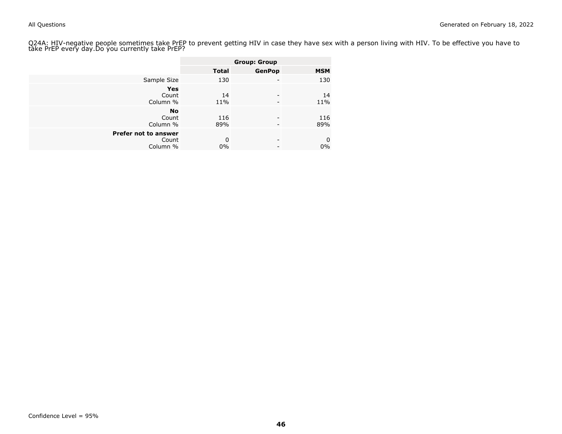Q24A: HIV-negative people sometimes take PrEP to prevent getting HIV in case they have sex with a person living with HIV. To be effective you have to<br>take PrEP every day.Do you currently take PrEP?

|                      |              | <b>Group: Group</b> |             |
|----------------------|--------------|---------------------|-------------|
|                      | <b>Total</b> | <b>GenPop</b>       | <b>MSM</b>  |
| Sample Size          | 130          |                     | 130         |
| Yes                  |              |                     |             |
| Count                | 14           |                     | 14          |
| Column %             | 11%          |                     | 11%         |
| <b>No</b>            |              |                     |             |
| Count                | 116          |                     | 116         |
| Column %             | 89%          |                     | 89%         |
| Prefer not to answer |              |                     |             |
| Count                | $\Omega$     | ۰                   | $\mathbf 0$ |
| Column %             | 0%           |                     | $0\%$       |
|                      |              |                     |             |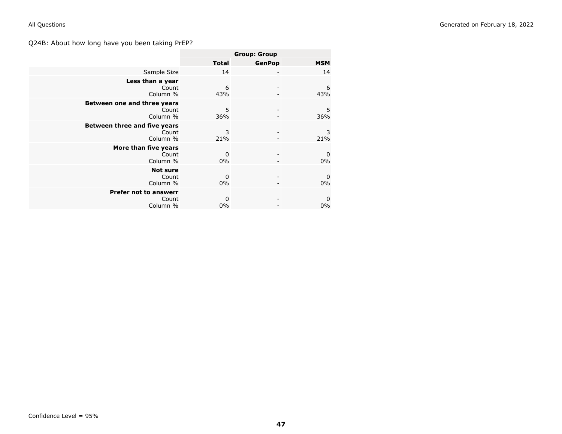# Q24B: About how long have you been taking PrEP?

|                                                   | <b>Group: Group</b> |               |                           |
|---------------------------------------------------|---------------------|---------------|---------------------------|
|                                                   | <b>Total</b>        | <b>GenPop</b> | <b>MSM</b>                |
| Sample Size                                       | 14                  |               | 14                        |
| Less than a year<br>Count<br>Column %             | 6<br>43%            |               | 6<br>43%                  |
| Between one and three years<br>Count<br>Column %  | 5<br>36%            |               | 5<br>36%                  |
| Between three and five years<br>Count<br>Column % | 3<br>21%            |               | 3<br>21%                  |
| More than five years<br>Count<br>Column %         | 0<br>0%             |               | $\mathbf 0$<br>0%         |
| <b>Not sure</b><br>Count<br>Column %              | 0<br>$0\%$          |               | $\boldsymbol{0}$<br>$0\%$ |
| <b>Prefer not to answerr</b><br>Count<br>Column % | 0<br>0%             |               | $\mathbf 0$<br>0%         |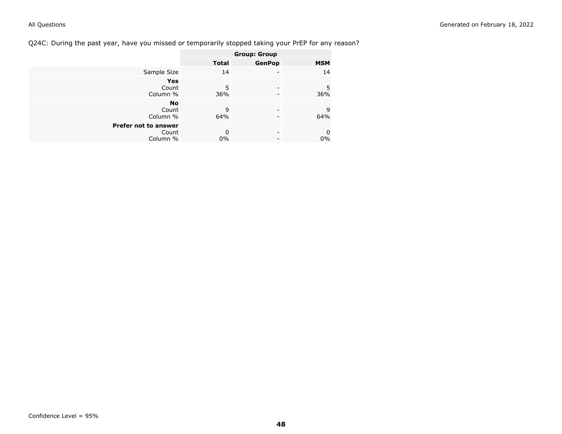# Q24C: During the past year, have you missed or temporarily stopped taking your PrEP for any reason?

|                      | <b>Group: Group</b> |               |            |
|----------------------|---------------------|---------------|------------|
|                      | <b>Total</b>        | <b>GenPop</b> | <b>MSM</b> |
| Sample Size          | 14                  |               | 14         |
| Yes                  |                     |               |            |
| Count                | 5                   |               | 5          |
| Column %             | 36%                 |               | 36%        |
| <b>No</b>            |                     |               |            |
| Count                | 9                   |               | 9          |
| Column %             | 64%                 |               | 64%        |
| Prefer not to answer |                     |               |            |
| Count                | 0                   |               | 0          |
| Column %             | $0\%$               |               | $0\%$      |
|                      |                     |               |            |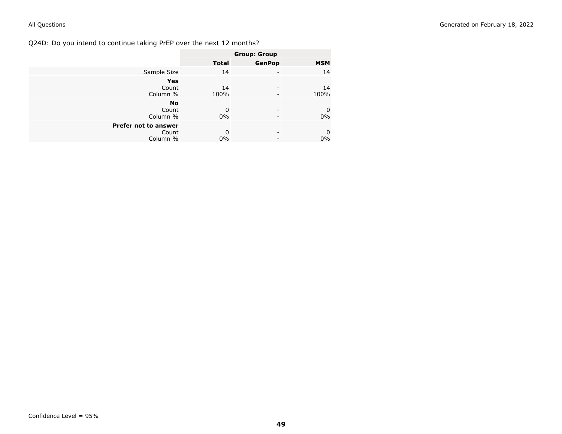Q24D: Do you intend to continue taking PrEP over the next 12 months?

|                                           | <b>Group: Group</b> |               |                |
|-------------------------------------------|---------------------|---------------|----------------|
|                                           | <b>Total</b>        | <b>GenPop</b> | <b>MSM</b>     |
| Sample Size                               | 14                  |               | 14             |
| <b>Yes</b><br>Count<br>Column %           | 14<br>100%          |               | 14<br>100%     |
| <b>No</b><br>Count<br>Column %            | $\Omega$<br>0%      | -             | 0<br>0%        |
| Prefer not to answer<br>Count<br>Column % | $\Omega$<br>0%      | ۰             | $\bf{0}$<br>0% |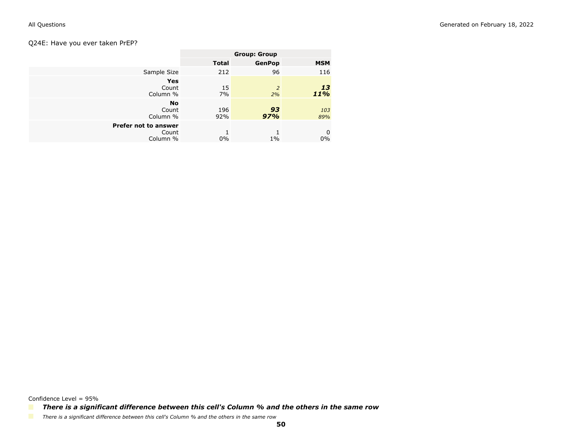## Q24E: Have you ever taken PrEP?

|                                           | <b>Group: Group</b> |                      |            |
|-------------------------------------------|---------------------|----------------------|------------|
|                                           | <b>Total</b>        | <b>GenPop</b>        | <b>MSM</b> |
| Sample Size                               | 212                 | 96                   | 116        |
| Yes<br>Count<br>Column %                  | 15<br>7%            | $\overline{2}$<br>2% | 13<br>11%  |
| No<br>Count<br>Column %                   | 196<br>92%          | 93<br>97%            | 103<br>89% |
| Prefer not to answer<br>Count<br>Column % | $0\%$               | $1\%$                | 0<br>$0\%$ |

Confidence Level = 95%

*There is a significant difference between this cell's Column % and the others in the same row*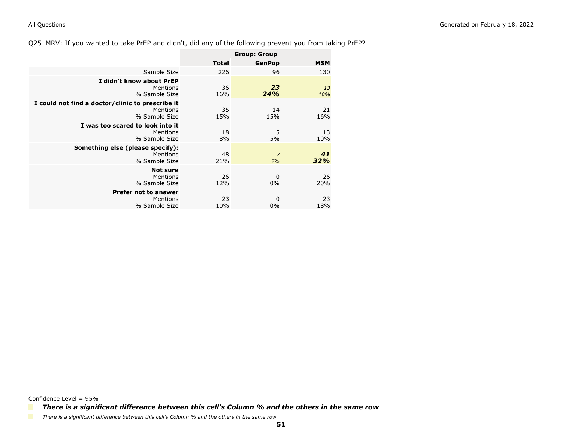Q25\_MRV: If you wanted to take PrEP and didn't, did any of the following prevent you from taking PrEP?

|                                                                               | <b>Group: Group</b> |                      |            |
|-------------------------------------------------------------------------------|---------------------|----------------------|------------|
|                                                                               | <b>Total</b>        | <b>GenPop</b>        | <b>MSM</b> |
| Sample Size                                                                   | 226                 | 96                   | 130        |
| I didn't know about PrEP<br>Mentions<br>% Sample Size                         | 36<br>16%           | 23<br>24%            | 13<br>10%  |
| I could not find a doctor/clinic to prescribe it<br>Mentions<br>% Sample Size | 35<br>15%           | 14<br>15%            | 21<br>16%  |
| I was too scared to look into it<br>Mentions<br>% Sample Size                 | 18<br>8%            | 5<br>5%              | 13<br>10%  |
| Something else (please specify):<br>Mentions<br>% Sample Size                 | 48<br>21%           | $\overline{7}$<br>7% | 41<br>32%  |
| <b>Not sure</b><br>Mentions<br>% Sample Size                                  | 26<br>12%           | 0<br>$0\%$           | 26<br>20%  |
| <b>Prefer not to answer</b><br>Mentions<br>% Sample Size                      | 23<br>10%           | 0<br>0%              | 23<br>18%  |

*There is a significant difference between this cell's Column % and the others in the same row*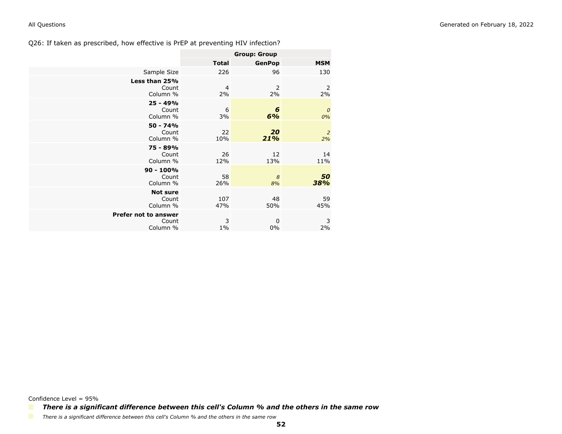|                                           | <b>Group: Group</b> |               |                        |
|-------------------------------------------|---------------------|---------------|------------------------|
|                                           | <b>Total</b>        | <b>GenPop</b> | <b>MSM</b>             |
| Sample Size                               | 226                 | 96            | 130                    |
| Less than 25%<br>Count<br>Column %        | 4<br>2%             | 2<br>2%       | 2<br>2%                |
| $25 - 49%$<br>Count<br>Column %           | 6<br>3%             | 6<br>6%       | $\boldsymbol{o}$<br>0% |
| $50 - 74%$<br>Count<br>Column %           | 22<br>10%           | 20<br>21%     | $\overline{2}$<br>2%   |
| 75 - 89%<br>Count<br>Column %             | 26<br>12%           | 12<br>13%     | 14<br>11%              |
| $90 - 100%$<br>Count<br>Column %          | 58<br>26%           | 8<br>8%       | 50<br>38%              |
| <b>Not sure</b><br>Count<br>Column %      | 107<br>47%          | 48<br>50%     | 59<br>45%              |
| Prefer not to answer<br>Count<br>Column % | 3<br>$1\%$          | 0<br>0%       | 3<br>2%                |

Confidence Level = 95%

*There is a significant difference between this cell's Column % and the others in the same row*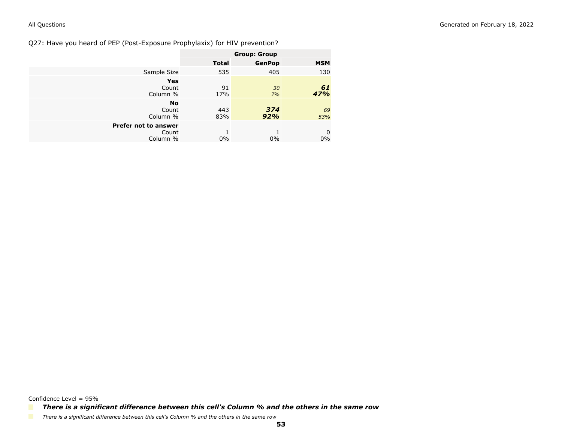Q27: Have you heard of PEP (Post-Exposure Prophylaxix) for HIV prevention?

|                                           | <b>Group: Group</b> |               |            |
|-------------------------------------------|---------------------|---------------|------------|
|                                           | <b>Total</b>        | <b>GenPop</b> | <b>MSM</b> |
| Sample Size                               | 535                 | 405           | 130        |
| <b>Yes</b><br>Count<br>Column %           | 91<br>17%           | 30<br>7%      | 61<br>47%  |
| <b>No</b><br>Count<br>Column %            | 443<br>83%          | 374<br>92%    | 69<br>53%  |
| Prefer not to answer<br>Count<br>Column % | $0\%$               | $0\%$         | 0<br>$0\%$ |

*There is a significant difference between this cell's Column % and the others in the same row*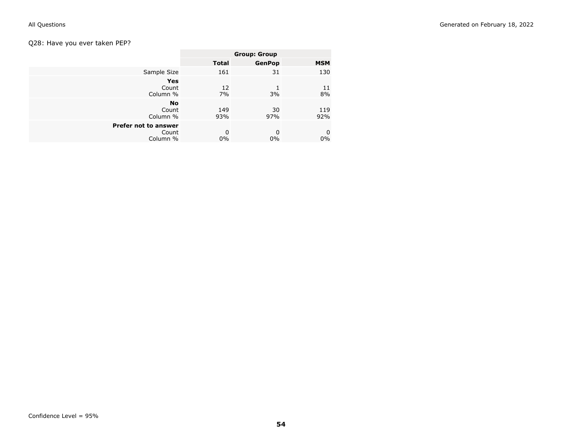# Q28: Have you ever taken PEP?

| <b>Group: Group</b> |               |             |
|---------------------|---------------|-------------|
| <b>Total</b>        | <b>GenPop</b> | <b>MSM</b>  |
| 161                 | 31            | 130         |
|                     |               |             |
| 12                  |               | 11<br>8%    |
|                     |               |             |
| 149<br>93%          | 30<br>97%     | 119<br>92%  |
|                     |               |             |
| 0                   | $\Omega$      | 0<br>$0\%$  |
|                     | 7%<br>$0\%$   | 3%<br>$0\%$ |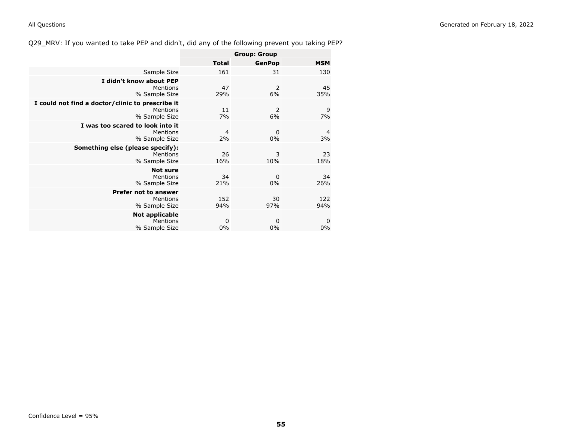Q29\_MRV: If you wanted to take PEP and didn't, did any of the following prevent you taking PEP?

|                                                                               | <b>Group: Group</b> |               |                      |
|-------------------------------------------------------------------------------|---------------------|---------------|----------------------|
|                                                                               | <b>Total</b>        | <b>GenPop</b> | <b>MSM</b>           |
| Sample Size                                                                   | 161                 | 31            | 130                  |
| I didn't know about PEP<br>Mentions<br>% Sample Size                          | 47<br>29%           | 2<br>6%       | 45<br>35%            |
| I could not find a doctor/clinic to prescribe it<br>Mentions<br>% Sample Size | 11<br>7%            | 2<br>6%       | 9<br>7%              |
| I was too scared to look into it<br>Mentions<br>% Sample Size                 | 4<br>2%             | 0<br>0%       | $\overline{4}$<br>3% |
| Something else (please specify):<br>Mentions<br>% Sample Size                 | 26<br>16%           | 3<br>10%      | 23<br>18%            |
| <b>Not sure</b><br>Mentions<br>% Sample Size                                  | 34<br>21%           | 0<br>$0\%$    | 34<br>26%            |
| <b>Prefer not to answer</b><br>Mentions<br>% Sample Size                      | 152<br>94%          | 30<br>97%     | 122<br>94%           |
| Not applicable<br>Mentions<br>% Sample Size                                   | 0<br>0%             | 0<br>0%       | 0<br>0%              |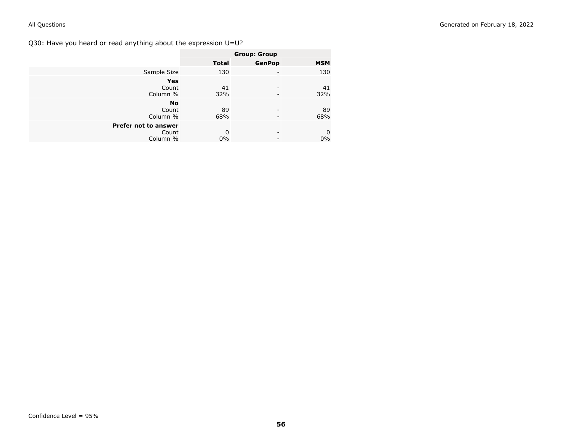Q30: Have you heard or read anything about the expression U=U?

|                      | <b>Group: Group</b> |                          |                |
|----------------------|---------------------|--------------------------|----------------|
|                      | <b>Total</b>        | <b>GenPop</b>            | <b>MSM</b>     |
| Sample Size          | 130                 | -                        | 130            |
| <b>Yes</b>           |                     |                          |                |
| Count                | 41                  | -                        | 41             |
| Column %             | 32%                 | -                        | 32%            |
| <b>No</b>            |                     |                          |                |
| Count                | 89                  | -                        | 89             |
| Column %             | 68%                 | -                        | 68%            |
| Prefer not to answer |                     |                          |                |
| Count                | 0                   | $\overline{\phantom{0}}$ | $\overline{0}$ |
| Column %             | 0%                  | -                        | $0\%$          |
|                      |                     |                          |                |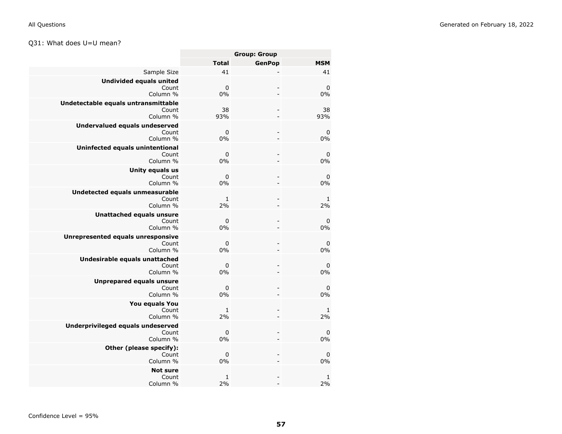# Q31: What does U=U mean?

|                    | <b>Group: Group</b>      |                   |
|--------------------|--------------------------|-------------------|
| <b>Total</b>       | <b>GenPop</b>            | <b>MSM</b>        |
| 41                 |                          | 41                |
| $\mathbf 0$<br>0%  | $\overline{\phantom{a}}$ | $\pmb{0}$<br>0%   |
| 38<br>93%          | $\frac{1}{2}$            | 38<br>93%         |
| $\pmb{0}$<br>0%    |                          | 0<br>0%           |
| $\mathbf 0$<br>0%  | $\qquad \qquad -$        | $\pmb{0}$<br>0%   |
| $\mathbf 0$<br>0%  | $\overline{\phantom{0}}$ | $\pmb{0}$<br>0%   |
| 1<br>2%            | $\qquad \qquad -$        | 1<br>2%           |
| $\mathbf 0$<br>0%  | $\overline{a}$           | 0<br>0%           |
| $\pmb{0}$<br>0%    | $\overline{\phantom{a}}$ | 0<br>0%           |
| $\mathbf 0$<br>0%  | $\overline{\phantom{0}}$ | $\pmb{0}$<br>0%   |
| $\mathbf 0$<br>0%  |                          | $\pmb{0}$<br>0%   |
| $\mathbf{1}$<br>2% | ÷.                       | 1<br>2%           |
| 0<br>0%            | $\overline{a}$           | $\mathbf 0$<br>0% |
| $\mathbf 0$<br>0%  | $\overline{a}$           | $\mathbf 0$<br>0% |
| 1<br>2%            |                          | 1<br>2%           |
|                    |                          |                   |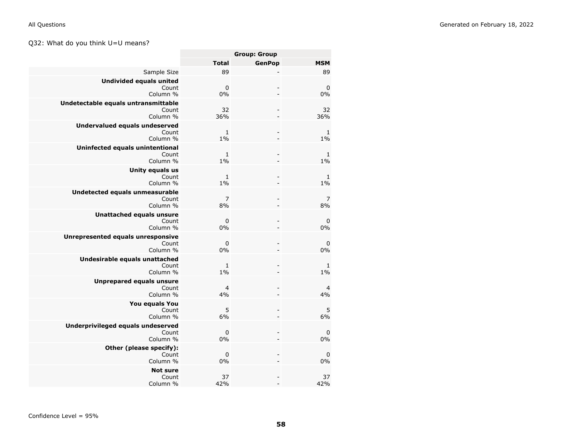# Q32: What do you think U=U means?

|                                                           | <b>Group: Group</b>   |                          |                      |
|-----------------------------------------------------------|-----------------------|--------------------------|----------------------|
|                                                           | <b>Total</b>          | <b>GenPop</b>            | <b>MSM</b>           |
| Sample Size                                               | 89                    |                          | 89                   |
| <b>Undivided equals united</b><br>Count<br>Column %       | $\pmb{0}$<br>0%       |                          | $\pmb{0}$<br>0%      |
| Undetectable equals untransmittable<br>Count<br>Column %  | 32<br>36%             | $\overline{a}$           | 32<br>36%            |
| <b>Undervalued equals undeserved</b><br>Count<br>Column % | $\mathbf{1}$<br>$1\%$ | ۳                        | 1<br>$1\%$           |
| Uninfected equals unintentional<br>Count<br>Column %      | $\mathbf{1}$<br>$1\%$ | $\overline{a}$           | $\mathbf 1$<br>$1\%$ |
| Unity equals us<br>Count<br>Column %                      | $\mathbf{1}$<br>$1\%$ |                          | 1<br>$1\%$           |
| Undetected equals unmeasurable<br>Count<br>Column %       | $\overline{7}$<br>8%  | $\frac{1}{2}$            | $\overline{7}$<br>8% |
| <b>Unattached equals unsure</b><br>Count<br>Column %      | $\mathbf 0$<br>0%     | $\overline{a}$<br>L,     | $\pmb{0}$<br>0%      |
| Unrepresented equals unresponsive<br>Count<br>Column %    | 0<br>0%               | $\overline{a}$           | 0<br>0%              |
| Undesirable equals unattached<br>Count<br>Column %        | $\mathbf{1}$<br>1%    |                          | 1<br>$1\%$           |
| <b>Unprepared equals unsure</b><br>Count<br>Column %      | $\overline{4}$<br>4%  | $\overline{\phantom{0}}$ | $\overline{a}$<br>4% |
| You equals You<br>Count<br>Column %                       | 5<br>6%               |                          | $\overline{5}$<br>6% |
| Underprivileged equals undeserved<br>Count<br>Column %    | $\mathbf 0$<br>0%     | $\overline{\phantom{a}}$ | $\pmb{0}$<br>0%      |
| Other (please specify):<br>Count<br>Column %              | $\mathbf 0$<br>0%     | $\overline{a}$           | $\pmb{0}$<br>0%      |
| <b>Not sure</b><br>Count<br>Column %                      | 37<br>42%             |                          | 37<br>42%            |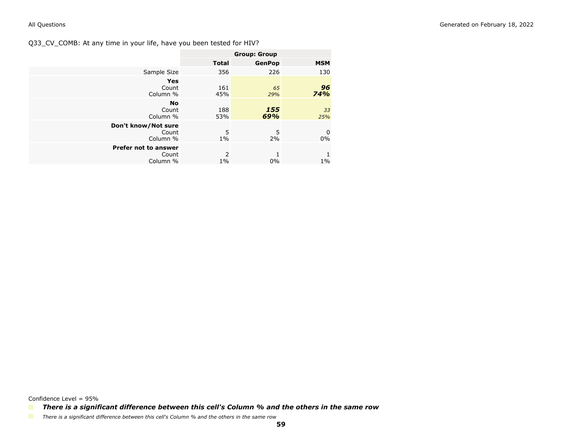Q33\_CV\_COMB: At any time in your life, have you been tested for HIV?

|                                           | <b>Group: Group</b>     |               |            |
|-------------------------------------------|-------------------------|---------------|------------|
|                                           | <b>Total</b>            | <b>GenPop</b> | <b>MSM</b> |
| Sample Size                               | 356                     | 226           | 130        |
| <b>Yes</b><br>Count<br>Column %           | 161<br>45%              | 65<br>29%     | 96<br>74%  |
| <b>No</b><br>Count<br>Column %            | 188<br>53%              | 155<br>69%    | 33<br>25%  |
| Don't know/Not sure<br>Count<br>Column %  | 5<br>$1\%$              | 5<br>2%       | 0<br>0%    |
| Prefer not to answer<br>Count<br>Column % | $\overline{2}$<br>$1\%$ | $0\%$         | 1<br>$1\%$ |

Confidence Level = 95%

*There is a significant difference between this cell's Column % and the others in the same row*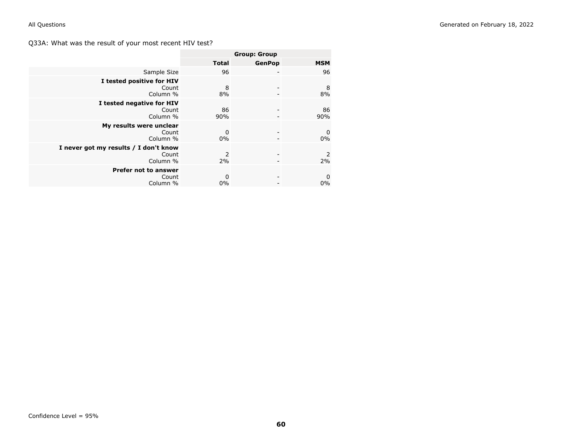Q33A: What was the result of your most recent HIV test?

|                                       | <b>Group: Group</b> |                          |            |
|---------------------------------------|---------------------|--------------------------|------------|
|                                       | <b>Total</b>        | <b>GenPop</b>            | <b>MSM</b> |
| Sample Size                           | 96                  | ۰                        | 96         |
| I tested positive for HIV             |                     |                          |            |
| Count<br>Column %                     | 8<br>8%             |                          | 8<br>8%    |
| I tested negative for HIV             |                     |                          |            |
| Count                                 | 86                  |                          | 86         |
| Column %                              | 90%                 |                          | 90%        |
| My results were unclear               |                     |                          |            |
| Count                                 | $\mathbf 0$         | $\overline{\phantom{0}}$ | 0          |
| Column %                              | $0\%$               |                          | 0%         |
| I never got my results / I don't know |                     |                          |            |
| Count                                 | 2                   |                          | 2          |
| Column %                              | 2%                  |                          | 2%         |
| <b>Prefer not to answer</b>           |                     |                          |            |
| Count                                 | 0                   |                          | 0          |
| Column %                              | $0\%$               |                          | 0%         |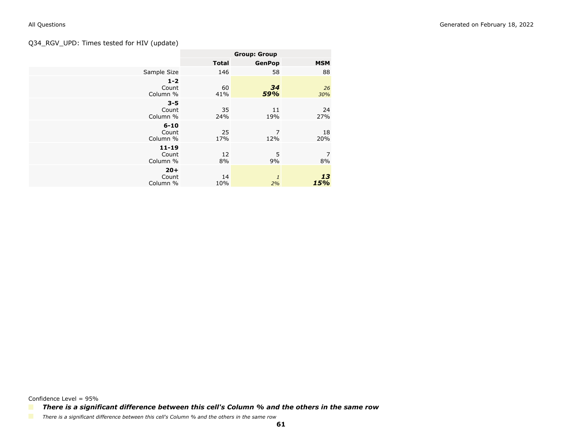# Q34\_RGV\_UPD: Times tested for HIV (update)

|                                | <b>Group: Group</b> |                    |            |
|--------------------------------|---------------------|--------------------|------------|
|                                | <b>Total</b>        | <b>GenPop</b>      | <b>MSM</b> |
| Sample Size                    | 146                 | 58                 | 88         |
| $1 - 2$<br>Count<br>Column %   | 60<br>41%           | 34<br>59%          | 26<br>30%  |
| $3 - 5$<br>Count<br>Column %   | 35<br>24%           | 11<br>19%          | 24<br>27%  |
| $6 - 10$<br>Count<br>Column %  | 25<br>17%           | 7<br>12%           | 18<br>20%  |
| $11 - 19$<br>Count<br>Column % | 12<br>8%            | 5<br>9%            | 7<br>8%    |
| $20 +$<br>Count<br>Column %    | 14<br>10%           | $\mathbf{1}$<br>2% | 13<br>15%  |

Confidence Level = 95%

*There is a significant difference between this cell's Column % and the others in the same row*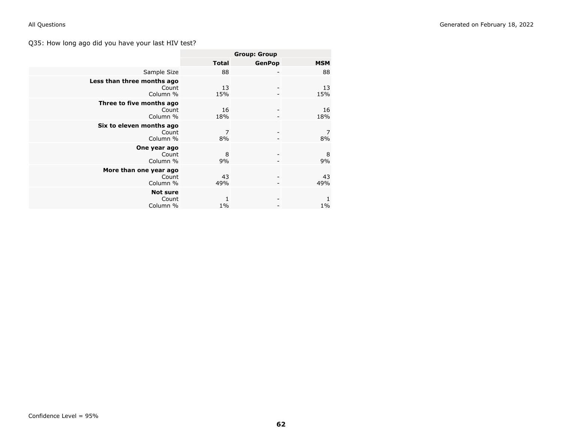# Q35: How long ago did you have your last HIV test?

|                                                 | <b>Group: Group</b> |               |                       |
|-------------------------------------------------|---------------------|---------------|-----------------------|
|                                                 | <b>Total</b>        | <b>GenPop</b> | <b>MSM</b>            |
| Sample Size                                     | 88                  |               | 88                    |
| Less than three months ago<br>Count<br>Column % | 13<br>15%           |               | 13<br>15%             |
| Three to five months ago<br>Count<br>Column %   | 16<br>18%           |               | 16<br>18%             |
| Six to eleven months ago<br>Count<br>Column %   | 7<br>8%             |               | 7<br>8%               |
| One year ago<br>Count<br>Column %               | 8<br>9%             |               | 8<br>9%               |
| More than one year ago<br>Count<br>Column %     | 43<br>49%           |               | 43<br>49%             |
| <b>Not sure</b><br>Count<br>Column %            | 1<br>$1\%$          |               | $\mathbf{1}$<br>$1\%$ |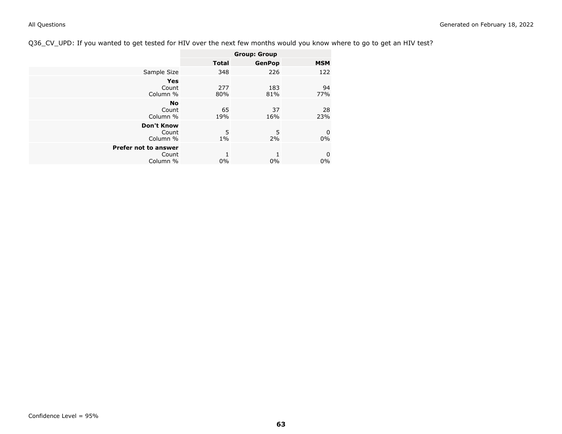# Q36\_CV\_UPD: If you wanted to get tested for HIV over the next few months would you know where to go to get an HIV test?

|                                                  | <b>Group: Group</b> |               |                   |
|--------------------------------------------------|---------------------|---------------|-------------------|
|                                                  | <b>Total</b>        | <b>GenPop</b> | <b>MSM</b>        |
| Sample Size                                      | 348                 | 226           | 122               |
| <b>Yes</b><br>Count<br>Column %                  | 277<br>80%          | 183<br>81%    | 94<br>77%         |
| <b>No</b><br>Count<br>Column %                   | 65<br>19%           | 37<br>16%     | 28<br>23%         |
| <b>Don't Know</b><br>Count<br>Column %           | 5<br>$1\%$          | 5<br>2%       | $\mathbf 0$<br>0% |
| <b>Prefer not to answer</b><br>Count<br>Column % | $0\%$               | $0\%$         | $\mathbf 0$<br>0% |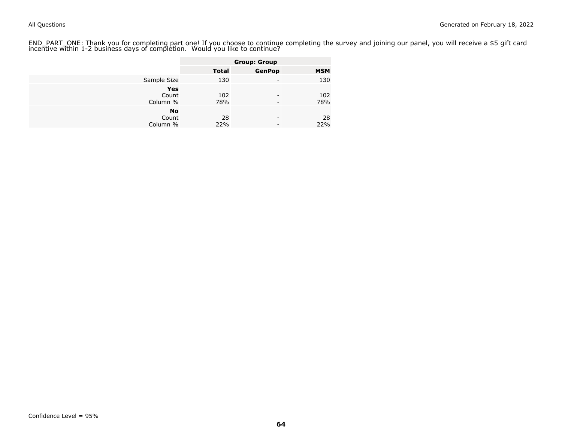END\_PART\_ONE: Thank you for completing part one! If you choose to continue completing the survey and joining our panel, you will receive a \$5 gift card<br>incentive within 1-2 business days of completion. Would you like to co

|                                |              | <b>Group: Group</b> |            |
|--------------------------------|--------------|---------------------|------------|
|                                | <b>Total</b> | <b>GenPop</b>       | <b>MSM</b> |
| Sample Size                    | 130          | -                   | 130        |
| Yes<br>Count<br>Column %       | 102<br>78%   | -                   | 102<br>78% |
| <b>No</b><br>Count<br>Column % | 28<br>22%    | -                   | 28<br>22%  |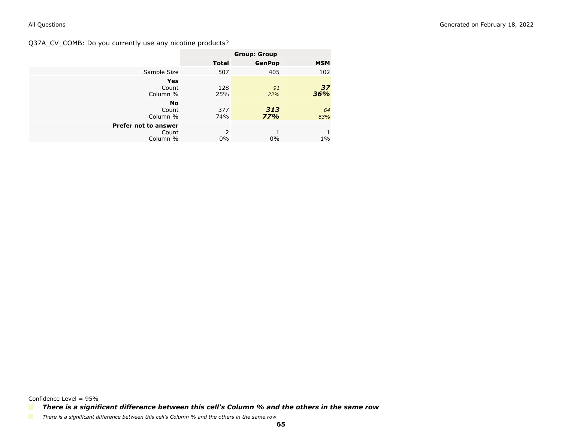Q37A\_CV\_COMB: Do you currently use any nicotine products?

|                                           | <b>Group: Group</b> |               |            |
|-------------------------------------------|---------------------|---------------|------------|
|                                           | <b>Total</b>        | <b>GenPop</b> | <b>MSM</b> |
| Sample Size                               | 507                 | 405           | 102        |
| <b>Yes</b><br>Count<br>Column %           | 128<br>25%          | 91<br>22%     | 37<br>36%  |
| <b>No</b><br>Count<br>Column %            | 377<br>74%          | 313<br>77%    | 64<br>63%  |
| Prefer not to answer<br>Count<br>Column % | 2<br>$0\%$          | $0\%$         | $1\%$      |

Confidence Level = 95%

*There is a significant difference between this cell's Column % and the others in the same row*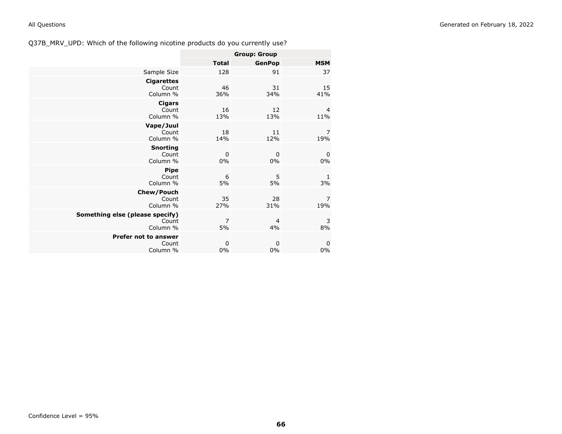|                                                      | <b>Group: Group</b> |                      |                   |
|------------------------------------------------------|---------------------|----------------------|-------------------|
|                                                      | <b>Total</b>        | <b>GenPop</b>        | <b>MSM</b>        |
| Sample Size                                          | 128                 | 91                   | 37                |
| <b>Cigarettes</b><br>Count<br>Column %               | 46<br>36%           | 31<br>34%            | 15<br>41%         |
| <b>Cigars</b><br>Count<br>Column %                   | 16<br>13%           | 12<br>13%            | 4<br>11%          |
| Vape/Juul<br>Count<br>Column %                       | 18<br>14%           | 11<br>12%            | 7<br>19%          |
| <b>Snorting</b><br>Count<br>Column %                 | 0<br>$0\%$          | $\mathbf 0$<br>$0\%$ | 0<br>$0\%$        |
| <b>Pipe</b><br>Count<br>Column %                     | 6<br>5%             | 5<br>5%              | 1<br>3%           |
| Chew/Pouch<br>Count<br>Column %                      | 35<br>27%           | 28<br>31%            | 7<br>19%          |
| Something else (please specify)<br>Count<br>Column % | 7<br>5%             | 4<br>4%              | 3<br>8%           |
| <b>Prefer not to answer</b><br>Count<br>Column %     | 0<br>$0\%$          | 0<br>0%              | $\mathbf 0$<br>0% |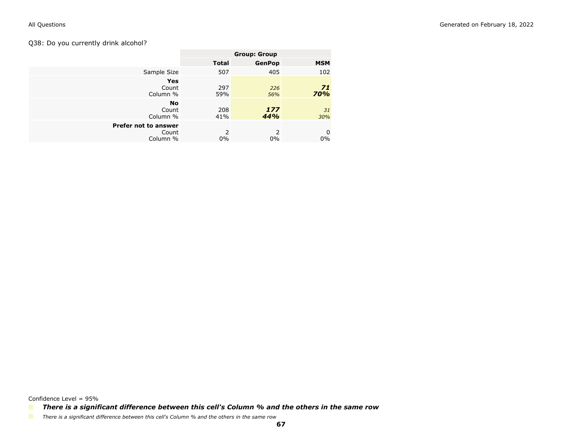## Q38: Do you currently drink alcohol?

|                                           | <b>Group: Group</b>    |                        |            |
|-------------------------------------------|------------------------|------------------------|------------|
|                                           | <b>Total</b>           | <b>GenPop</b>          | <b>MSM</b> |
| Sample Size                               | 507                    | 405                    | 102        |
| <b>Yes</b><br>Count<br>Column %           | 297<br>59%             | 226<br>56%             | 71<br>70%  |
| <b>No</b><br>Count<br>Column %            | 208<br>41%             | 177<br>44%             | 31<br>30%  |
| Prefer not to answer<br>Count<br>Column % | $\mathcal{P}$<br>$0\%$ | $\mathcal{P}$<br>$0\%$ | 0<br>0%    |

Confidence Level = 95%

*There is a significant difference between this cell's Column % and the others in the same row*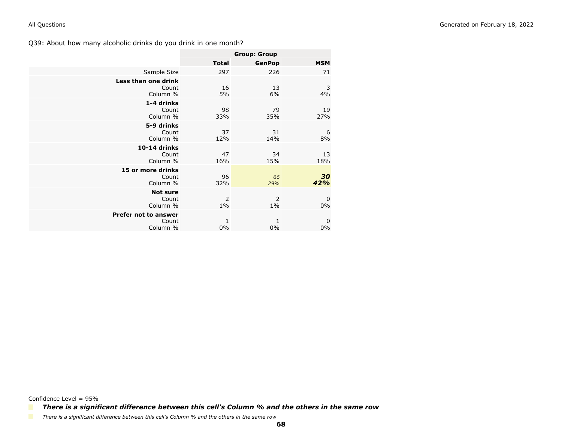|                                           |              | <b>Group: Group</b> |            |
|-------------------------------------------|--------------|---------------------|------------|
|                                           | <b>Total</b> | <b>GenPop</b>       | <b>MSM</b> |
| Sample Size                               | 297          | 226                 | 71         |
| Less than one drink<br>Count<br>Column %  | 16<br>5%     | 13<br>6%            | 3<br>4%    |
| 1-4 drinks<br>Count<br>Column %           | 98<br>33%    | 79<br>35%           | 19<br>27%  |
| 5-9 drinks<br>Count<br>Column %           | 37<br>12%    | 31<br>14%           | 6<br>8%    |
| 10-14 drinks<br>Count<br>Column %         | 47<br>16%    | 34<br>15%           | 13<br>18%  |
| 15 or more drinks<br>Count<br>Column %    | 96<br>32%    | 66<br>29%           | 30<br>42%  |
| <b>Not sure</b><br>Count<br>Column %      | 2<br>$1\%$   | 2<br>$1\%$          | 0<br>$0\%$ |
| Prefer not to answer<br>Count<br>Column % | 1<br>0%      | 1<br>0%             | 0<br>$0\%$ |

Confidence Level = 95%

*There is a significant difference between this cell's Column % and the others in the same row*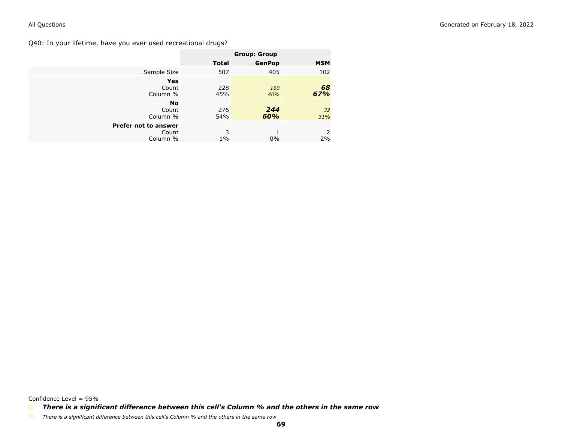Q40: In your lifetime, have you ever used recreational drugs?

|                                           | <b>Group: Group</b> |               |            |
|-------------------------------------------|---------------------|---------------|------------|
|                                           | <b>Total</b>        | <b>GenPop</b> | <b>MSM</b> |
| Sample Size                               | 507                 | 405           | 102        |
| <b>Yes</b><br>Count<br>Column %           | 228<br>45%          | 160<br>40%    | 68<br>67%  |
| <b>No</b><br>Count<br>Column %            | 276<br>54%          | 244<br>60%    | 32<br>31%  |
| Prefer not to answer<br>Count<br>Column % | 3<br>$1\%$          | $0\%$         | 2<br>2%    |

Confidence Level = 95%

*There is a significant difference between this cell's Column % and the others in the same row*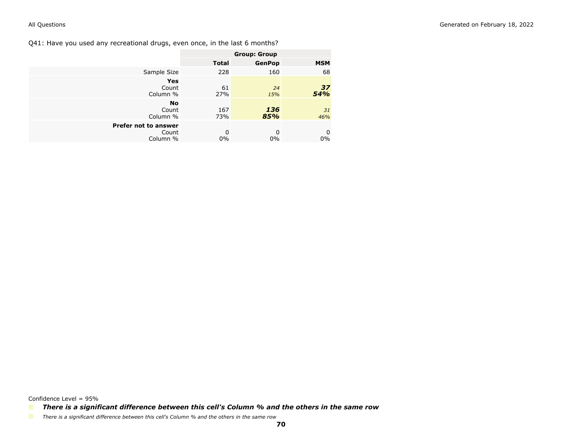Q41: Have you used any recreational drugs, even once, in the last 6 months?

|                                           | <b>Group: Group</b> |               |            |
|-------------------------------------------|---------------------|---------------|------------|
|                                           | <b>Total</b>        | <b>GenPop</b> | <b>MSM</b> |
| Sample Size                               | 228                 | 160           | 68         |
| <b>Yes</b><br>Count<br>Column %           | 61<br>27%           | 24<br>15%     | 37<br>54%  |
| <b>No</b><br>Count<br>Column %            | 167<br>73%          | 136<br>85%    | 31<br>46%  |
| Prefer not to answer<br>Count<br>Column % | 0<br>$0\%$          | 0<br>0%       | 0<br>0%    |

*There is a significant difference between this cell's Column % and the others in the same row*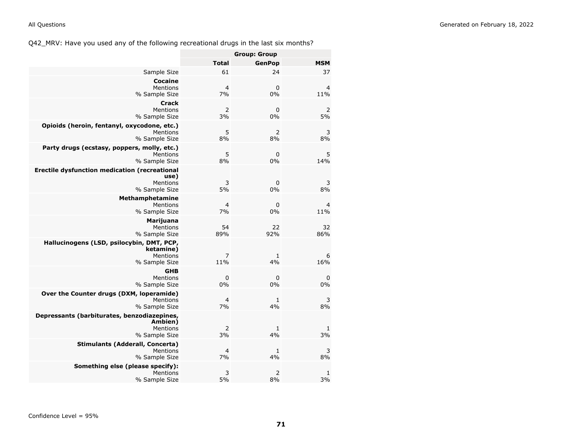Q42\_MRV: Have you used any of the following recreational drugs in the last six months?

|                                                                                           |                      | <b>Group: Group</b>  |                       |
|-------------------------------------------------------------------------------------------|----------------------|----------------------|-----------------------|
|                                                                                           | <b>Total</b>         | <b>GenPop</b>        | <b>MSM</b>            |
| Sample Size                                                                               | 61                   | 24                   | 37                    |
| Cocaine<br>Mentions<br>% Sample Size                                                      | 4<br>7%              | $\mathbf 0$<br>0%    | 4<br>11%              |
| <b>Crack</b><br><b>Mentions</b><br>% Sample Size                                          | 2<br>3%              | 0<br>0%              | $\overline{2}$<br>5%  |
| Opioids (heroin, fentanyl, oxycodone, etc.)<br>Mentions<br>% Sample Size                  | 5<br>8%              | $\overline{2}$<br>8% | 3<br>8%               |
| Party drugs (ecstasy, poppers, molly, etc.)<br>Mentions<br>% Sample Size                  | 5<br>8%              | $\mathbf 0$<br>0%    | 5<br>14%              |
| <b>Erectile dysfunction medication (recreational</b><br>use)<br>Mentions<br>% Sample Size | 3<br>5%              | 0<br>0%              | 3<br>8%               |
| Methamphetamine<br>Mentions<br>% Sample Size                                              | $\overline{4}$<br>7% | $\mathbf 0$<br>0%    | $\overline{4}$<br>11% |
| <b>Marijuana</b><br>Mentions<br>% Sample Size                                             | 54<br>89%            | 22<br>92%            | 32<br>86%             |
| Hallucinogens (LSD, psilocybin, DMT, PCP,<br>ketamine)<br>Mentions<br>% Sample Size       | 7<br>11%             | 1<br>4%              | 6<br>16%              |
| <b>GHB</b><br>Mentions<br>% Sample Size                                                   | 0<br>0%              | 0<br>0%              | 0<br>0%               |
| Over the Counter drugs (DXM, loperamide)<br><b>Mentions</b><br>% Sample Size              | 4<br>7%              | 1<br>4%              | 3<br>8%               |
| Depressants (barbiturates, benzodiazepines,<br>Ambien)<br>Mentions<br>% Sample Size       | 2<br>3%              | 1<br>4%              | 1<br>3%               |
| <b>Stimulants (Adderall, Concerta)</b><br>Mentions<br>% Sample Size                       | $\overline{4}$<br>7% | 1<br>4%              | 3<br>8%               |
| Something else (please specify):<br>Mentions<br>% Sample Size                             | 3<br>5%              | $\overline{2}$<br>8% | $\mathbf{1}$<br>3%    |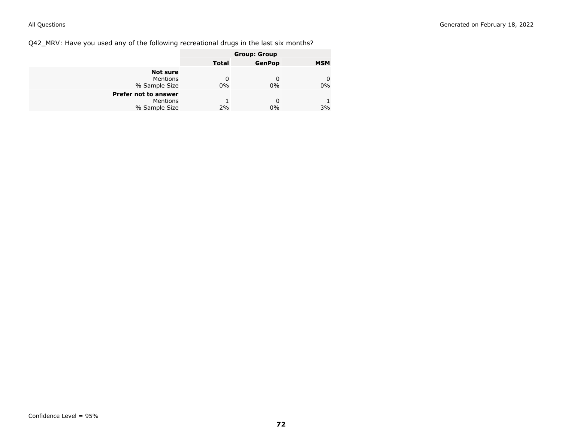Q42\_MRV: Have you used any of the following recreational drugs in the last six months?

|                                                          | <b>Group: Group</b> |               |            |
|----------------------------------------------------------|---------------------|---------------|------------|
|                                                          | Total               | <b>GenPop</b> | <b>MSM</b> |
| <b>Not sure</b><br>Mentions<br>% Sample Size             | 0<br>$0\%$          | 0%            | 0<br>0%    |
| <b>Prefer not to answer</b><br>Mentions<br>% Sample Size | 2%                  | $0\%$         | 3%         |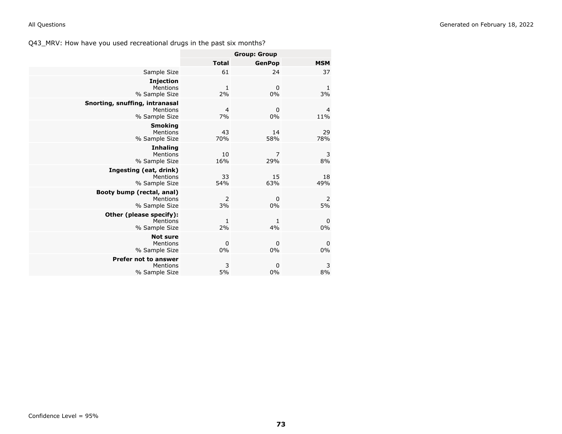| Generated on February 18, 2022 |
|--------------------------------|
|                                |
|                                |

|                                                             |                      | <b>Group: Group</b>   |            |
|-------------------------------------------------------------|----------------------|-----------------------|------------|
|                                                             | <b>Total</b>         | <b>GenPop</b>         | <b>MSM</b> |
| Sample Size                                                 | 61                   | 24                    | 37         |
| <b>Injection</b><br>Mentions<br>% Sample Size               | $\mathbf{1}$<br>2%   | $\mathbf 0$<br>0%     | 1<br>3%    |
| Snorting, snuffing, intranasal<br>Mentions<br>% Sample Size | $\overline{a}$<br>7% | $\mathbf 0$<br>0%     | 4<br>11%   |
| <b>Smoking</b><br>Mentions<br>% Sample Size                 | 43<br>70%            | 14<br>58%             | 29<br>78%  |
| <b>Inhaling</b><br>Mentions<br>% Sample Size                | 10<br>16%            | $\overline{7}$<br>29% | 3<br>8%    |
| Ingesting (eat, drink)<br>Mentions<br>% Sample Size         | 33<br>54%            | 15<br>63%             | 18<br>49%  |
| Booty bump (rectal, anal)<br>Mentions<br>% Sample Size      | 2<br>3%              | $\mathbf 0$<br>0%     | 2<br>5%    |
| Other (please specify):<br>Mentions<br>% Sample Size        | 1<br>2%              | 1<br>4%               | 0<br>0%    |
| <b>Not sure</b><br>Mentions<br>% Sample Size                | $\mathbf 0$<br>0%    | $\mathbf 0$<br>0%     | 0<br>$0\%$ |
| <b>Prefer not to answer</b><br>Mentions<br>% Sample Size    | 3<br>5%              | $\mathbf 0$<br>0%     | 3<br>8%    |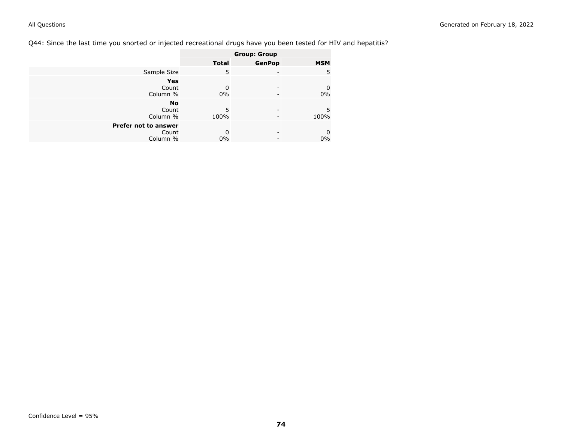# Q44: Since the last time you snorted or injected recreational drugs have you been tested for HIV and hepatitis?

|                                           |              | <b>Group: Group</b> |            |
|-------------------------------------------|--------------|---------------------|------------|
|                                           | <b>Total</b> | <b>GenPop</b>       | <b>MSM</b> |
| Sample Size                               | 5            |                     | 5          |
| Yes<br>Count<br>Column %                  | 0<br>0%      |                     | 0<br>$0\%$ |
| <b>No</b><br>Count<br>Column %            | 5<br>100%    |                     | 5<br>100%  |
| Prefer not to answer<br>Count<br>Column % | 0<br>$0\%$   | -                   | 0<br>$0\%$ |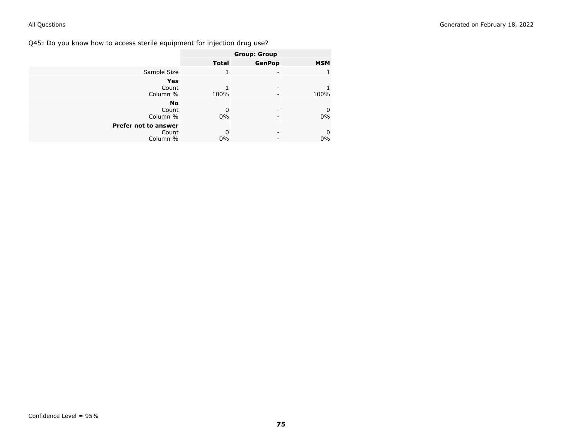Q45: Do you know how to access sterile equipment for injection drug use?

|                      |              | <b>Group: Group</b> |             |
|----------------------|--------------|---------------------|-------------|
|                      | <b>Total</b> | <b>GenPop</b>       | <b>MSM</b>  |
| Sample Size          |              | ۰                   |             |
| <b>Yes</b>           |              |                     |             |
| Count                |              | ۰                   |             |
| Column %             | 100%         |                     | 100%        |
| <b>No</b>            |              |                     |             |
| Count                | 0            | ۰                   | $\mathbf 0$ |
| Column %             | $0\%$        |                     | 0%          |
| Prefer not to answer |              |                     |             |
| Count                | 0            | -                   | 0           |
| Column %             | 0%           |                     | $0\%$       |
|                      |              |                     |             |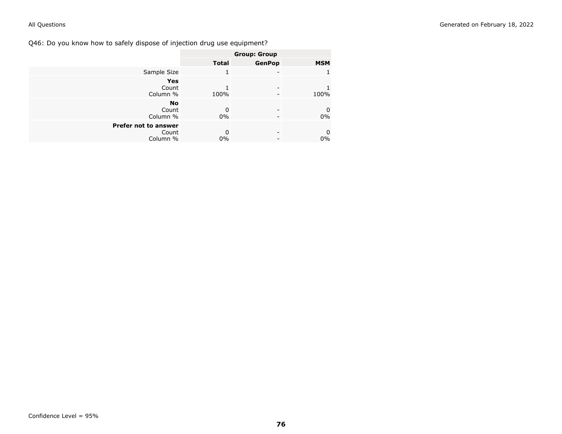Q46: Do you know how to safely dispose of injection drug use equipment?

|                                           |              | <b>Group: Group</b> |                   |
|-------------------------------------------|--------------|---------------------|-------------------|
|                                           | <b>Total</b> | <b>GenPop</b>       | <b>MSM</b>        |
| Sample Size                               |              | ۰                   |                   |
| <b>Yes</b><br>Count<br>Column %           | 100%         |                     | 100%              |
| <b>No</b><br>Count<br>Column %            | 0<br>0%      | -                   | $\mathbf 0$<br>0% |
| Prefer not to answer<br>Count<br>Column % | 0<br>0%      | -                   | 0<br>$0\%$        |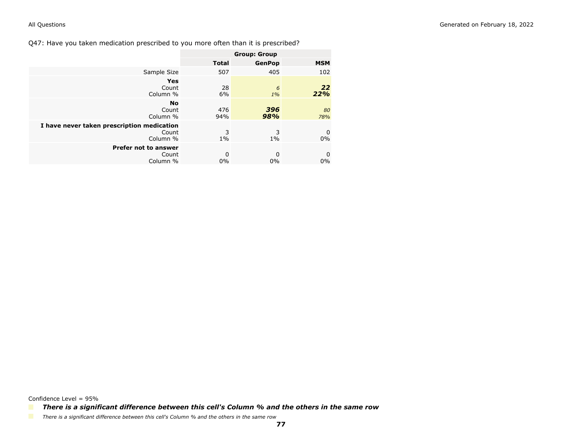Q47: Have you taken medication prescribed to you more often than it is prescribed?

|                                                                 | <b>Group: Group</b> |               |            |
|-----------------------------------------------------------------|---------------------|---------------|------------|
|                                                                 | <b>Total</b>        | <b>GenPop</b> | <b>MSM</b> |
| Sample Size                                                     | 507                 | 405           | 102        |
| Yes<br>Count<br>Column %                                        | 28<br>6%            | 6<br>$1\%$    | 22<br>22%  |
| <b>No</b><br>Count<br>Column %                                  | 476<br>94%          | 396<br>98%    | 80<br>78%  |
| I have never taken prescription medication<br>Count<br>Column % | 3<br>$1\%$          | 3<br>$1\%$    | 0<br>$0\%$ |
| <b>Prefer not to answer</b><br>Count<br>Column %                | 0<br>0%             | 0<br>0%       | 0<br>0%    |

*There is a significant difference between this cell's Column % and the others in the same row*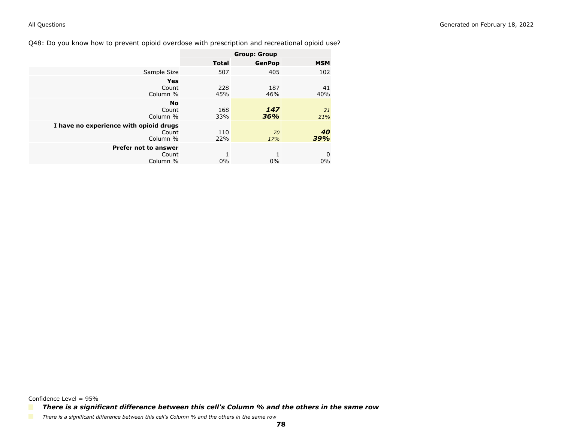Q48: Do you know how to prevent opioid overdose with prescription and recreational opioid use?

|                                                             | <b>Group: Group</b> |               |            |
|-------------------------------------------------------------|---------------------|---------------|------------|
|                                                             | <b>Total</b>        | <b>GenPop</b> | <b>MSM</b> |
| Sample Size                                                 | 507                 | 405           | 102        |
| Yes<br>Count<br>Column %                                    | 228<br>45%          | 187<br>46%    | 41<br>40%  |
| <b>No</b><br>Count<br>Column %                              | 168<br>33%          | 147<br>36%    | 21<br>21%  |
| I have no experience with opioid drugs<br>Count<br>Column % | 110<br>22%          | 70<br>17%     | 40<br>39%  |
| <b>Prefer not to answer</b><br>Count<br>Column %            | $0\%$               | 0%            | 0<br>$0\%$ |

*There is a significant difference between this cell's Column % and the others in the same row*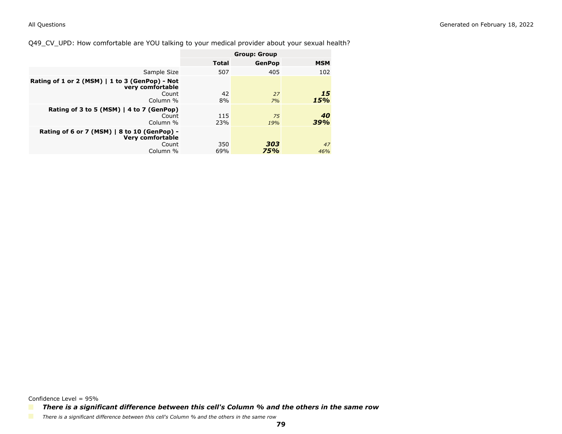Q49\_CV\_UPD: How comfortable are YOU talking to your medical provider about your sexual health?

|                                                                                 | <b>Group: Group</b> |               |            |
|---------------------------------------------------------------------------------|---------------------|---------------|------------|
|                                                                                 | <b>Total</b>        | <b>GenPop</b> | <b>MSM</b> |
| Sample Size                                                                     | 507                 | 405           | 102        |
| Rating of 1 or 2 (MSM) $  1$ to 3 (GenPop) - Not<br>very comfortable            |                     |               |            |
| Count<br>Column %                                                               | 42<br>8%            | 27<br>7%      | 15<br>15%  |
| Rating of 3 to 5 (MSM) $ $ 4 to 7 (GenPop)<br>Count<br>Column %                 | 115<br>23%          | 75<br>19%     | 40<br>39%  |
| Rating of 6 or 7 (MSM)   8 to 10 (GenPop) -<br><b>Very comfortable</b><br>Count | 350                 | 303           | 47         |
| Column %                                                                        | 69%                 | 75%           | 46%        |

Confidence Level = 95%

*There is a significant difference between this cell's Column % and the others in the same row*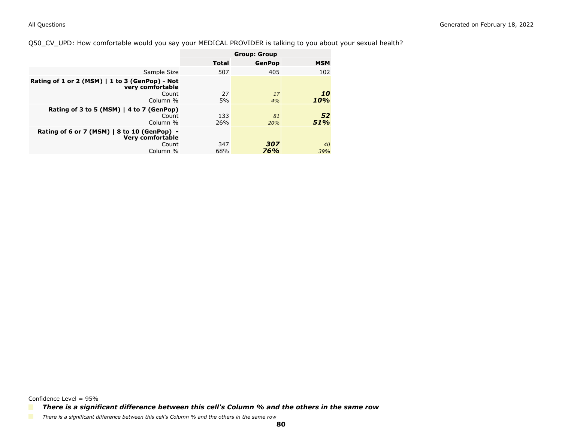### Q50\_CV\_UPD: How comfortable would you say your MEDICAL PROVIDER is talking to you about your sexual health?

|                                                                                                   | <b>Group: Group</b> |               |            |
|---------------------------------------------------------------------------------------------------|---------------------|---------------|------------|
|                                                                                                   | <b>Total</b>        | <b>GenPop</b> | <b>MSM</b> |
| Sample Size                                                                                       | 507                 | 405           | 102        |
| Rating of 1 or 2 (MSM) $  1$ to 3 (GenPop) - Not<br>very comfortable                              |                     |               |            |
| Count<br>Column %                                                                                 | 27<br>5%            | 17<br>4%      | 10<br>10%  |
| Rating of 3 to 5 (MSM)   4 to 7 (GenPop)<br>Count<br>Column %                                     | 133<br>26%          | 81<br>20%     | 52<br>51%  |
| Rating of 6 or 7 (MSM) $\vert$ 8 to 10 (GenPop) -<br><b>Very comfortable</b><br>Count<br>Column % | 347<br>68%          | 307<br>76%    | 40<br>39%  |

Confidence Level = 95%

*There is a significant difference between this cell's Column % and the others in the same row*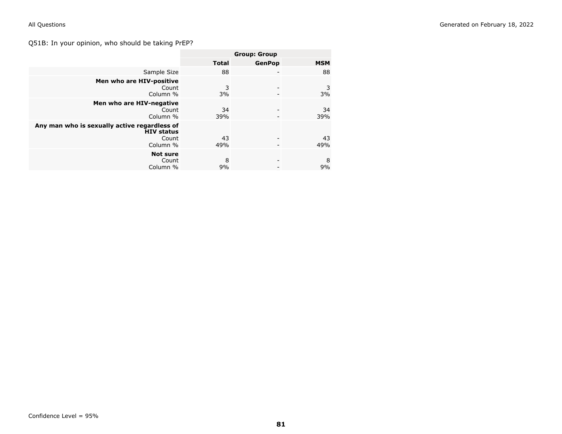# Q51B: In your opinion, who should be taking PrEP?

|                                                                                        | <b>Group: Group</b> |               |            |
|----------------------------------------------------------------------------------------|---------------------|---------------|------------|
|                                                                                        | <b>Total</b>        | <b>GenPop</b> | <b>MSM</b> |
| Sample Size                                                                            | 88                  |               | 88         |
| Men who are HIV-positive<br>Count<br>Column %                                          | 3<br>3%             |               | 3<br>3%    |
| Men who are HIV-negative<br>Count<br>Column %                                          | 34<br>39%           |               | 34<br>39%  |
| Any man who is sexually active regardless of<br><b>HIV status</b><br>Count<br>Column % | 43<br>49%           |               | 43<br>49%  |
| <b>Not sure</b><br>Count<br>Column %                                                   | 8<br>9%             |               | 8<br>9%    |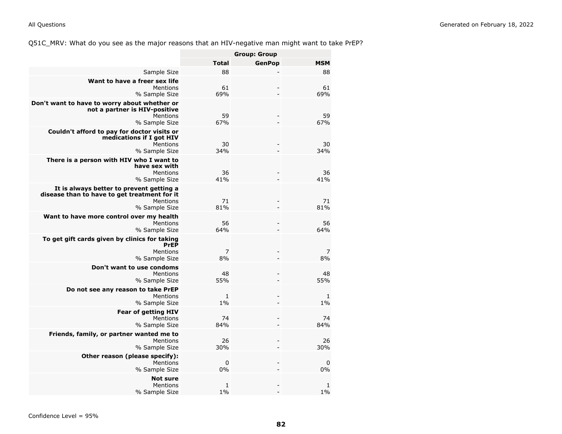Q51C\_MRV: What do you see as the major reasons that an HIV-negative man might want to take PrEP?

|                                                                                                                       |                   | <b>Group: Group</b> |            |
|-----------------------------------------------------------------------------------------------------------------------|-------------------|---------------------|------------|
|                                                                                                                       | <b>Total</b>      | <b>GenPop</b>       | <b>MSM</b> |
| Sample Size                                                                                                           | 88                |                     | 88         |
| Want to have a freer sex life<br>Mentions<br>% Sample Size                                                            | 61<br>69%         |                     | 61<br>69%  |
| Don't want to have to worry about whether or<br>not a partner is HIV-positive<br>Mentions<br>% Sample Size            | 59<br>67%         |                     | 59<br>67%  |
| Couldn't afford to pay for doctor visits or<br>medications if I got HIV<br>Mentions<br>% Sample Size                  | 30<br>34%         |                     | 30<br>34%  |
| There is a person with HIV who I want to<br>have sex with<br>Mentions<br>% Sample Size                                | 36<br>41%         |                     | 36<br>41%  |
| It is always better to prevent getting a<br>disease than to have to get treatment for it<br>Mentions<br>% Sample Size | 71<br>81%         |                     | 71<br>81%  |
| Want to have more control over my health<br>Mentions<br>% Sample Size                                                 | 56<br>64%         |                     | 56<br>64%  |
| To get gift cards given by clinics for taking<br><b>PrEP</b><br>Mentions<br>% Sample Size                             | 7<br>8%           |                     | 7<br>8%    |
| Don't want to use condoms<br>Mentions<br>% Sample Size                                                                | 48<br>55%         |                     | 48<br>55%  |
| Do not see any reason to take PrEP<br>Mentions<br>% Sample Size                                                       | 1<br>1%           |                     | 1<br>1%    |
| <b>Fear of getting HIV</b><br>Mentions<br>% Sample Size                                                               | 74<br>84%         |                     | 74<br>84%  |
| Friends, family, or partner wanted me to<br>Mentions<br>% Sample Size                                                 | 26<br>30%         |                     | 26<br>30%  |
| Other reason (please specify):<br>Mentions<br>% Sample Size                                                           | $\mathbf 0$<br>0% |                     | 0<br>0%    |
| <b>Not sure</b><br>Mentions<br>% Sample Size                                                                          | 1<br>1%           |                     | 1<br>1%    |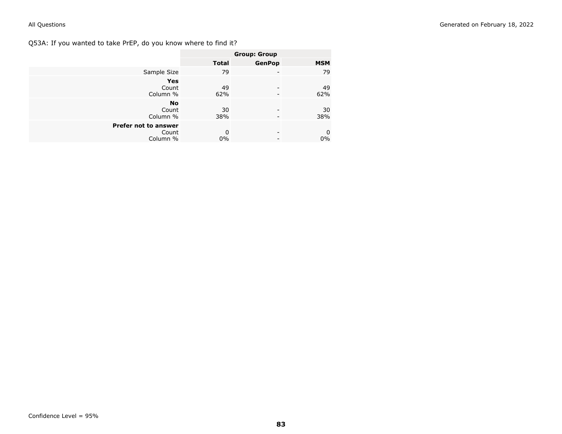Q53A: If you wanted to take PrEP, do you know where to find it?

|                      |              | <b>Group: Group</b> |                  |
|----------------------|--------------|---------------------|------------------|
|                      | <b>Total</b> | <b>GenPop</b>       | <b>MSM</b>       |
| Sample Size          | 79           | -                   | 79               |
| <b>Yes</b>           |              |                     |                  |
| Count                | 49           |                     | 49               |
| Column %             | 62%          | -                   | 62%              |
| <b>No</b>            |              |                     |                  |
| Count                | 30           | -                   | 30               |
| Column %             | 38%          | -                   | 38%              |
| Prefer not to answer |              |                     |                  |
| Count                | 0            | -                   | $\boldsymbol{0}$ |
| Column %             | 0%           | -                   | $0\%$            |
|                      |              |                     |                  |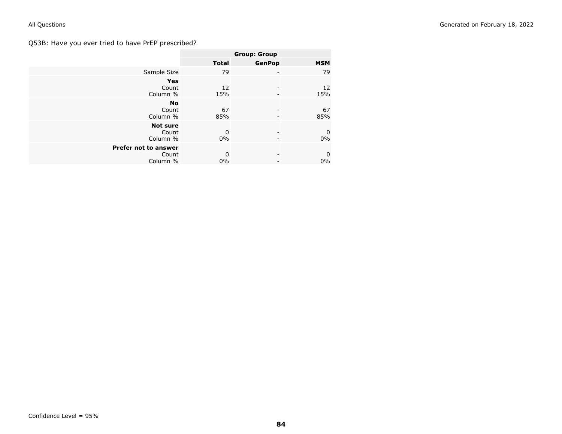# Q53B: Have you ever tried to have PrEP prescribed?

|                                                  | <b>Group: Group</b> |               |                      |
|--------------------------------------------------|---------------------|---------------|----------------------|
|                                                  | <b>Total</b>        | <b>GenPop</b> | <b>MSM</b>           |
| Sample Size                                      | 79                  | -             | 79                   |
| <b>Yes</b><br>Count<br>Column %                  | 12<br>15%           |               | 12<br>15%            |
| <b>No</b><br>Count<br>Column %                   | 67<br>85%           |               | 67<br>85%            |
| <b>Not sure</b><br>Count<br>Column %             | 0<br>$0\%$          |               | 0<br>0%              |
| <b>Prefer not to answer</b><br>Count<br>Column % | 0<br>$0\%$          |               | $\mathbf 0$<br>$0\%$ |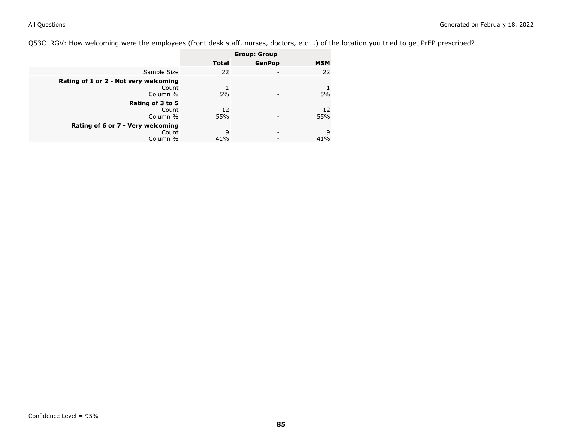Q53C\_RGV: How welcoming were the employees (front desk staff, nurses, doctors, etc….) of the location you tried to get PrEP prescribed?

| <b>Group: Group</b>                                                                                                     |                                                   |            |
|-------------------------------------------------------------------------------------------------------------------------|---------------------------------------------------|------------|
|                                                                                                                         | <b>GenPop</b>                                     | <b>MSM</b> |
| 22                                                                                                                      |                                                   | 22         |
| 5%                                                                                                                      |                                                   | 5%         |
| 12<br>55%                                                                                                               |                                                   | 12<br>55%  |
| 9<br>41%                                                                                                                |                                                   | 9<br>41%   |
| Rating of 1 or 2 - Not very welcoming<br>Column %<br>Count<br>Column %<br>Rating of 6 or 7 - Very welcoming<br>Column % | Sample Size<br>Count<br>Rating of 3 to 5<br>Count | Total      |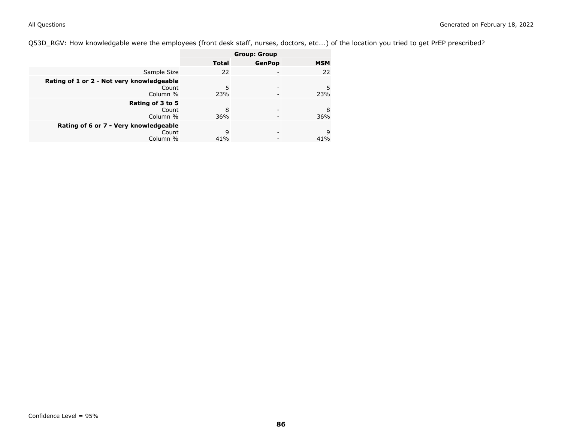Q53D\_RGV: How knowledgable were the employees (front desk staff, nurses, doctors, etc….) of the location you tried to get PrEP prescribed?

|                                                                | <b>Group: Group</b> |               |            |
|----------------------------------------------------------------|---------------------|---------------|------------|
|                                                                | Total               | <b>GenPop</b> | <b>MSM</b> |
| Sample Size                                                    | 22                  |               | 22         |
| Rating of 1 or 2 - Not very knowledgeable<br>Count<br>Column % | 5<br>23%            |               | 5<br>23%   |
| Rating of 3 to 5<br>Count<br>Column %                          | 8<br>36%            |               | 8<br>36%   |
| Rating of 6 or 7 - Very knowledgeable<br>Count<br>Column %     | 9<br>41%            |               | 9<br>41%   |
|                                                                |                     |               |            |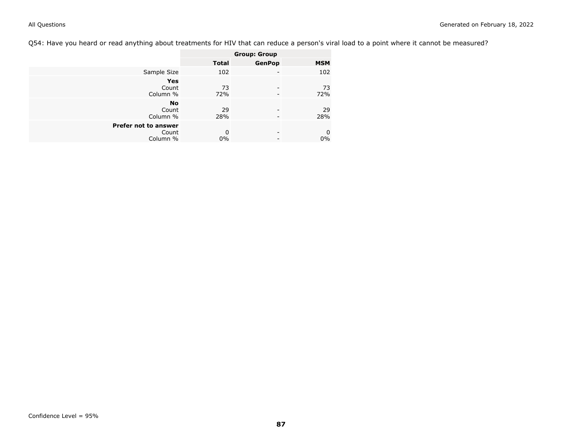Q54: Have you heard or read anything about treatments for HIV that can reduce a person's viral load to a point where it cannot be measured?

|                      | <b>Group: Group</b> |               |            |
|----------------------|---------------------|---------------|------------|
|                      | <b>Total</b>        | <b>GenPop</b> | <b>MSM</b> |
| Sample Size          | 102                 |               | 102        |
| <b>Yes</b>           |                     |               |            |
| Count                | 73                  |               | 73         |
| Column %             | 72%                 |               | 72%        |
| No                   |                     |               |            |
| Count                | 29                  |               | 29         |
| Column %             | 28%                 |               | 28%        |
| Prefer not to answer |                     |               |            |
| Count                | 0                   | -             | $\pmb{0}$  |
| Column %             | $0\%$               |               | $0\%$      |
|                      |                     |               |            |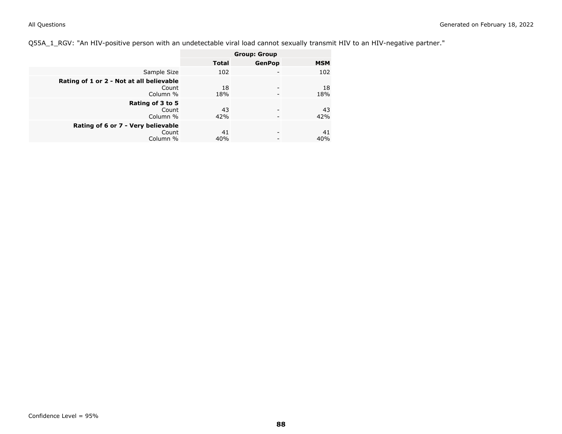Q55A\_1\_RGV: "An HIV-positive person with an undetectable viral load cannot sexually transmit HIV to an HIV-negative partner."

|                                                               | <b>Group: Group</b> |               |            |
|---------------------------------------------------------------|---------------------|---------------|------------|
|                                                               | Total               | <b>GenPop</b> | <b>MSM</b> |
| Sample Size                                                   | 102                 | ۰             | 102        |
| Rating of 1 or 2 - Not at all believable<br>Count<br>Column % | 18<br>18%           | -             | 18<br>18%  |
| Rating of 3 to 5<br>Count<br>Column %                         | 43<br>42%           | -<br>-        | 43<br>42%  |
| Rating of 6 or 7 - Very believable<br>Count<br>Column %       | 41<br>40%           | -             | 41<br>40%  |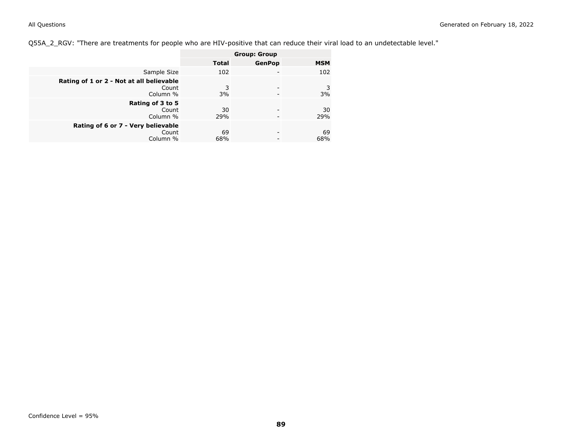Q55A\_2\_RGV: "There are treatments for people who are HIV-positive that can reduce their viral load to an undetectable level."

|                                                               | <b>Group: Group</b> |               |            |
|---------------------------------------------------------------|---------------------|---------------|------------|
|                                                               | <b>Total</b>        | <b>GenPop</b> | <b>MSM</b> |
| Sample Size                                                   | 102                 |               | 102        |
| Rating of 1 or 2 - Not at all believable<br>Count<br>Column % | 3<br>3%             |               | 3<br>3%    |
| Rating of 3 to 5<br>Count<br>Column %                         | 30<br>29%           |               | 30<br>29%  |
| Rating of 6 or 7 - Very believable<br>Count<br>Column %       | 69<br>68%           | -             | 69<br>68%  |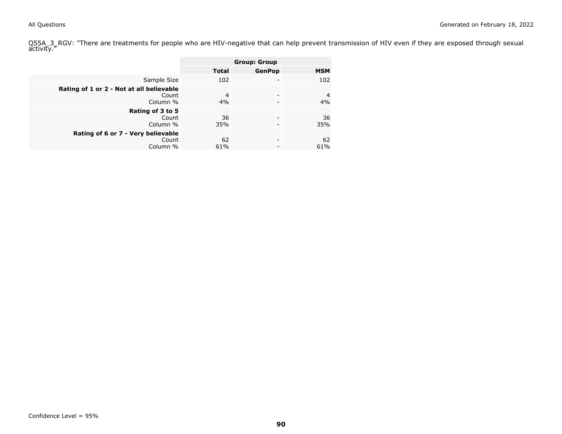Q55A\_3\_RGV: "There are treatments for people who are HIV-negative that can help prevent transmission of HIV even if they are exposed through sexual<br>activity."

|                                                               | <b>Group: Group</b>  |               |                      |
|---------------------------------------------------------------|----------------------|---------------|----------------------|
|                                                               | <b>Total</b>         | <b>GenPop</b> | <b>MSM</b>           |
| Sample Size                                                   | 102                  |               | 102                  |
| Rating of 1 or 2 - Not at all believable<br>Count<br>Column % | $\overline{4}$<br>4% |               | $\overline{4}$<br>4% |
| Rating of 3 to 5<br>Count<br>Column %                         | 36<br>35%            |               | 36<br>35%            |
| Rating of 6 or 7 - Very believable<br>Count<br>Column %       | 62<br>61%            |               | 62<br>61%            |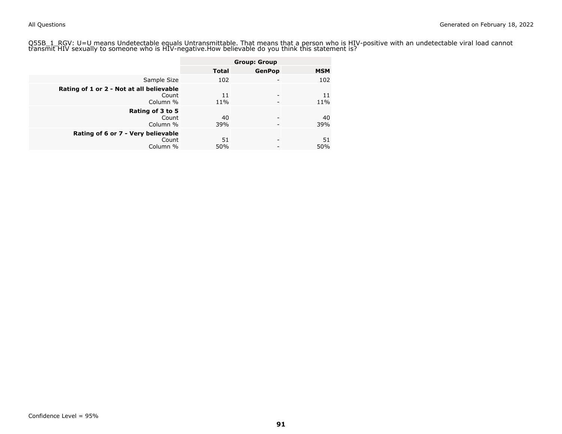Q55B\_1\_RGV: U=U means Undetectable equals Untransmittable. That means that a person who is HIV-positive with an undetectable viral load cannot<br>transmit HIV sexually to someone who is HIV-negative.How believable do you thin

|                                                               |              | <b>Group: Group</b> |            |
|---------------------------------------------------------------|--------------|---------------------|------------|
|                                                               | <b>Total</b> | <b>GenPop</b>       | <b>MSM</b> |
| Sample Size                                                   | 102          |                     | 102        |
| Rating of 1 or 2 - Not at all believable<br>Count<br>Column % | 11<br>$11\%$ | -<br>-              | 11<br>11%  |
| Rating of 3 to 5<br>Count<br>Column %                         | 40<br>39%    | -                   | 40<br>39%  |
| Rating of 6 or 7 - Very believable<br>Count<br>Column %       | 51<br>50%    | -                   | 51<br>50%  |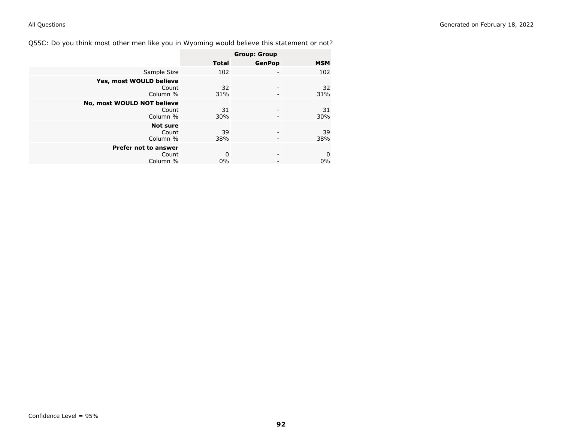Q55C: Do you think most other men like you in Wyoming would believe this statement or not?

|                                                  | <b>Group: Group</b> |               |                      |
|--------------------------------------------------|---------------------|---------------|----------------------|
|                                                  | <b>Total</b>        | <b>GenPop</b> | <b>MSM</b>           |
| Sample Size                                      | 102                 |               | 102                  |
| Yes, most WOULD believe<br>Count<br>Column %     | 32<br>31%           |               | 32<br>31%            |
| No, most WOULD NOT believe<br>Count<br>Column %  | 31<br>30%           |               | 31<br>30%            |
| <b>Not sure</b><br>Count<br>Column %             | 39<br>38%           |               | 39<br>38%            |
| <b>Prefer not to answer</b><br>Count<br>Column % | 0<br>$0\%$          |               | $\mathbf 0$<br>$0\%$ |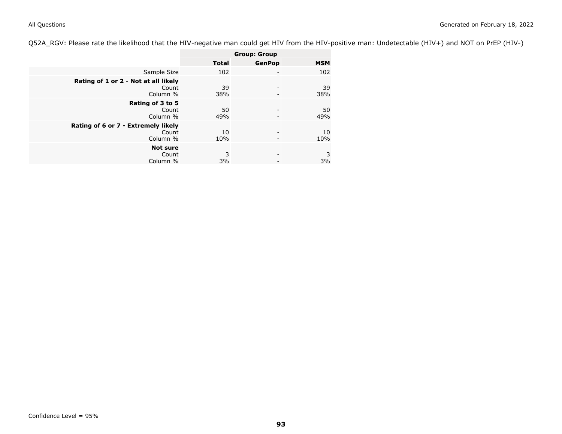Q52A\_RGV: Please rate the likelihood that the HIV-negative man could get HIV from the HIV-positive man: Undetectable (HIV+) and NOT on PrEP (HIV-)

|                                                           | <b>Group: Group</b> |               |            |
|-----------------------------------------------------------|---------------------|---------------|------------|
|                                                           | <b>Total</b>        | <b>GenPop</b> | <b>MSM</b> |
| Sample Size                                               | 102                 |               | 102        |
| Rating of 1 or 2 - Not at all likely<br>Count<br>Column % | 39<br>38%           |               | 39<br>38%  |
| Rating of 3 to 5<br>Count<br>Column %                     | 50<br>49%           |               | 50<br>49%  |
| Rating of 6 or 7 - Extremely likely<br>Count<br>Column %  | 10<br>10%           |               | 10<br>10%  |
| <b>Not sure</b><br>Count<br>Column %                      | 3<br>3%             |               | 3<br>3%    |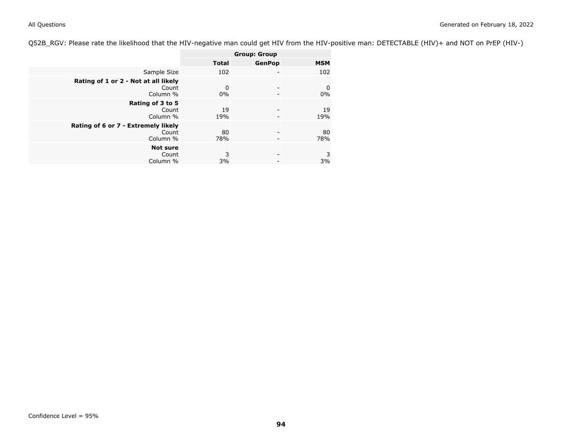Q52B\_RGV: Please rate the likelihood that the HIV-negative man could get HIV from the HIV-positive man: DETECTABLE (HIV)+ and NOT on PrEP (HIV-)

|                                                           | <b>Group: Group</b> |               |            |
|-----------------------------------------------------------|---------------------|---------------|------------|
|                                                           | <b>Total</b>        | <b>GenPop</b> | <b>MSM</b> |
| Sample Size                                               | 102                 |               | 102        |
| Rating of 1 or 2 - Not at all likely<br>Count<br>Column % | $\Omega$<br>$0\%$   |               | 0<br>0%    |
| Rating of 3 to 5<br>Count<br>Column %                     | 19<br>19%           |               | 19<br>19%  |
| Rating of 6 or 7 - Extremely likely<br>Count<br>Column %  | 80<br>78%           |               | 80<br>78%  |
| <b>Not sure</b><br>Count<br>Column %                      | 3<br>3%             |               | 3<br>3%    |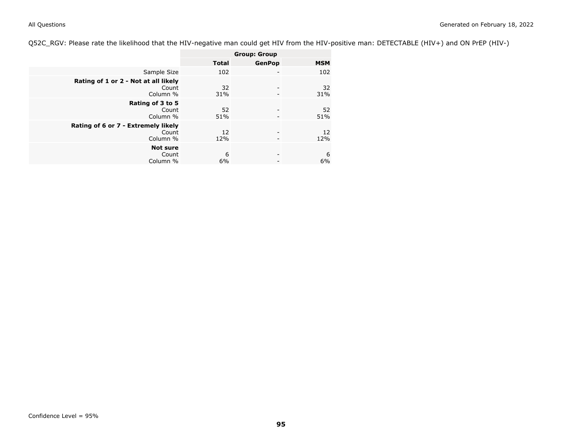Q52C\_RGV: Please rate the likelihood that the HIV-negative man could get HIV from the HIV-positive man: DETECTABLE (HIV+) and ON PrEP (HIV-)

|                                                           | <b>Group: Group</b> |               |            |
|-----------------------------------------------------------|---------------------|---------------|------------|
|                                                           | <b>Total</b>        | <b>GenPop</b> | <b>MSM</b> |
| Sample Size                                               | 102                 |               | 102        |
| Rating of 1 or 2 - Not at all likely<br>Count<br>Column % | 32<br>31%           | -             | 32<br>31%  |
| Rating of 3 to 5<br>Count<br>Column %                     | 52<br>51%           |               | 52<br>51%  |
| Rating of 6 or 7 - Extremely likely<br>Count<br>Column %  | 12<br>12%           |               | 12<br>12%  |
| <b>Not sure</b><br>Count<br>Column %                      | 6<br>6%             |               | 6<br>6%    |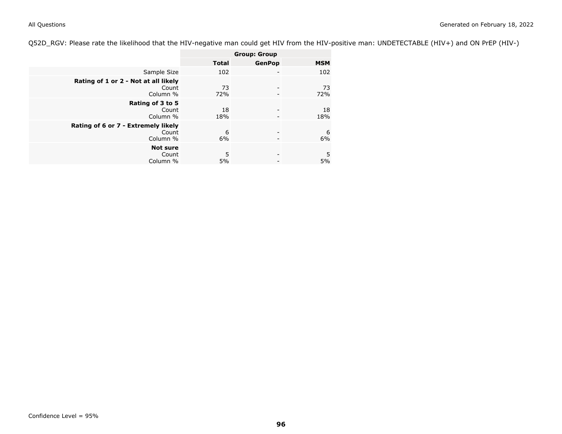Q52D\_RGV: Please rate the likelihood that the HIV-negative man could get HIV from the HIV-positive man: UNDETECTABLE (HIV+) and ON PrEP (HIV-)

|                                                           | <b>Group: Group</b> |               |            |
|-----------------------------------------------------------|---------------------|---------------|------------|
|                                                           | <b>Total</b>        | <b>GenPop</b> | <b>MSM</b> |
| Sample Size                                               | 102                 |               | 102        |
| Rating of 1 or 2 - Not at all likely<br>Count<br>Column % | 73<br>72%           |               | 73<br>72%  |
| Rating of 3 to 5<br>Count<br>Column %                     | 18<br>18%           |               | 18<br>18%  |
| Rating of 6 or 7 - Extremely likely<br>Count<br>Column %  | 6<br>6%             |               | 6<br>6%    |
| <b>Not sure</b><br>Count<br>Column %                      | 5<br>5%             |               | 5<br>5%    |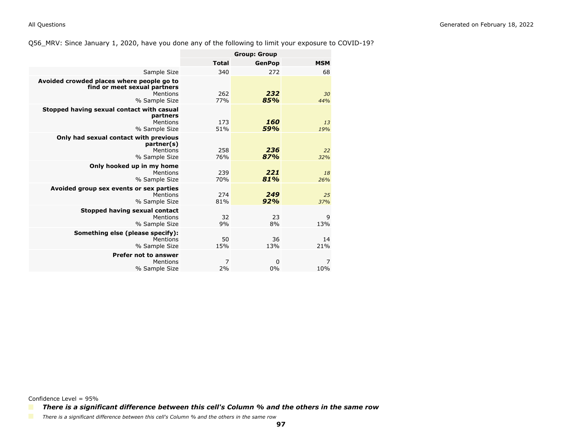### Q56\_MRV: Since January 1, 2020, have you done any of the following to limit your exposure to COVID-19?

|                                                                                                        |                      | <b>Group: Group</b> |            |
|--------------------------------------------------------------------------------------------------------|----------------------|---------------------|------------|
|                                                                                                        | <b>Total</b>         | <b>GenPop</b>       | <b>MSM</b> |
| Sample Size                                                                                            | 340                  | 272                 | 68         |
| Avoided crowded places where people go to<br>find or meet sexual partners<br>Mentions<br>% Sample Size | 262<br>77%           | 232<br>85%          | 30<br>44%  |
| Stopped having sexual contact with casual<br>partners<br>Mentions<br>% Sample Size                     | 173<br>51%           | 160<br>59%          | 13<br>19%  |
| Only had sexual contact with previous<br>partner(s)<br>Mentions<br>% Sample Size                       | 258<br>76%           | 236<br>87%          | 22<br>32%  |
| Only hooked up in my home<br>Mentions<br>% Sample Size                                                 | 239<br>70%           | 221<br>81%          | 18<br>26%  |
| Avoided group sex events or sex parties<br>Mentions<br>% Sample Size                                   | 274<br>81%           | 249<br>92%          | 25<br>37%  |
| Stopped having sexual contact<br>Mentions<br>% Sample Size                                             | 32<br>9%             | 23<br>8%            | 9<br>13%   |
| Something else (please specify):<br>Mentions<br>% Sample Size                                          | 50<br>15%            | 36<br>13%           | 14<br>21%  |
| <b>Prefer not to answer</b><br>Mentions<br>% Sample Size                                               | $\overline{7}$<br>2% | 0<br>0%             | 7<br>10%   |

Confidence Level = 95%

*There is a significant difference between this cell's Column % and the others in the same row*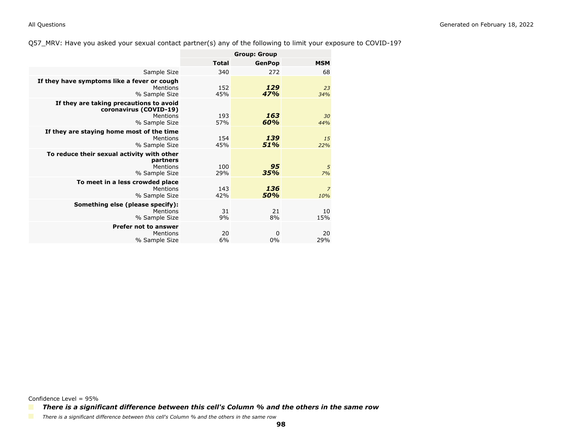### Q57\_MRV: Have you asked your sexual contact partner(s) any of the following to limit your exposure to COVID-19?

|                                                                                                | <b>Group: Group</b> |                   |                       |
|------------------------------------------------------------------------------------------------|---------------------|-------------------|-----------------------|
|                                                                                                | <b>Total</b>        | <b>GenPop</b>     | <b>MSM</b>            |
| Sample Size                                                                                    | 340                 | 272               | 68                    |
| If they have symptoms like a fever or cough<br>Mentions<br>% Sample Size                       | 152<br>45%          | 129<br>47%        | 23<br>34%             |
| If they are taking precautions to avoid<br>coronavirus (COVID-19)<br>Mentions<br>% Sample Size | 193<br>57%          | 163<br>60%        | 30<br>44%             |
| If they are staying home most of the time<br>Mentions<br>% Sample Size                         | 154<br>45%          | 139<br>51%        | 15<br>22%             |
| To reduce their sexual activity with other<br>partners<br>Mentions<br>% Sample Size            | 100<br>29%          | 95<br>35%         | 5<br>7%               |
| To meet in a less crowded place<br>Mentions<br>% Sample Size                                   | 143<br>42%          | 136<br>50%        | $\overline{z}$<br>10% |
| Something else (please specify):<br>Mentions<br>% Sample Size                                  | 31<br>9%            | 21<br>8%          | 10<br>15%             |
| <b>Prefer not to answer</b><br>Mentions<br>% Sample Size                                       | 20<br>6%            | $\mathbf 0$<br>0% | 20<br>29%             |

Confidence Level = 95%

*There is a significant difference between this cell's Column % and the others in the same row*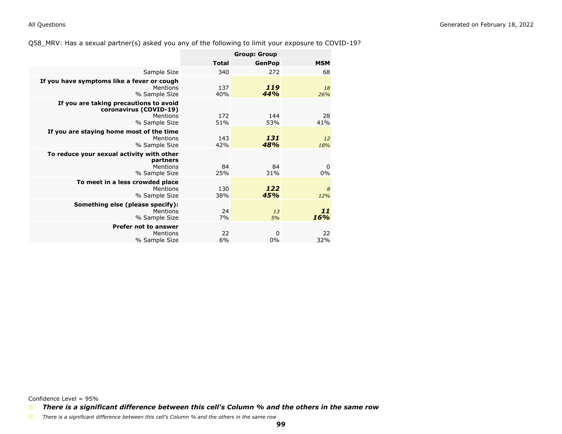### Q58\_MRV: Has a sexual partner(s) asked you any of the following to limit your exposure to COVID-19?

|                                                                                               | <b>Group: Group</b> |               |                      |
|-----------------------------------------------------------------------------------------------|---------------------|---------------|----------------------|
|                                                                                               | <b>Total</b>        | <b>GenPop</b> | <b>MSM</b>           |
| Sample Size                                                                                   | 340                 | 272           | 68                   |
| If you have symptoms like a fever or cough<br>Mentions<br>% Sample Size                       | 137<br>40%          | 119<br>44%    | 18<br>26%            |
| If you are taking precautions to avoid<br>coronavirus (COVID-19)<br>Mentions<br>% Sample Size | 172<br>51%          | 144<br>53%    | 28<br>41%            |
| If you are staying home most of the time<br>Mentions<br>% Sample Size                         | 143<br>42%          | 131<br>48%    | <sup>12</sup><br>18% |
| To reduce your sexual activity with other<br>partners<br>Mentions<br>% Sample Size            | 84<br>25%           | 84<br>31%     | 0<br>0%              |
| To meet in a less crowded place<br>Mentions<br>% Sample Size                                  | 130<br>38%          | 122<br>45%    | 8<br>12%             |
| Something else (please specify):<br>Mentions<br>% Sample Size                                 | 24<br>7%            | 13<br>5%      | 11<br>16%            |
| <b>Prefer not to answer</b><br>Mentions<br>% Sample Size                                      | 22<br>6%            | 0<br>0%       | 22<br>32%            |

Confidence Level = 95%

*There is a significant difference between this cell's Column % and the others in the same row*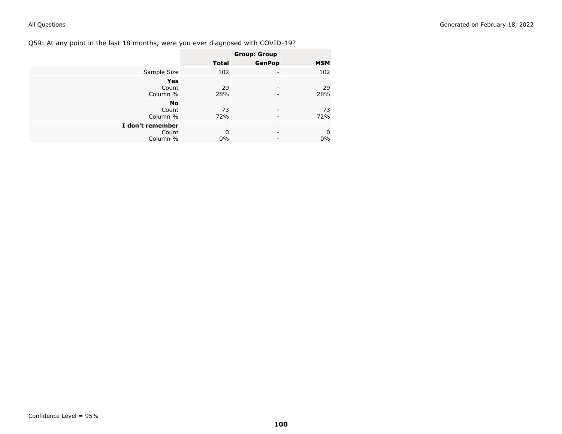Q59: At any point in the last 18 months, were you ever diagnosed with COVID-19?

|                  | <b>Group: Group</b> |               |                  |
|------------------|---------------------|---------------|------------------|
|                  | <b>Total</b>        | <b>GenPop</b> | <b>MSM</b>       |
| Sample Size      | 102                 |               | 102              |
| <b>Yes</b>       |                     |               |                  |
| Count            | 29                  | ۰             | 29               |
| Column %         | 28%                 |               | 28%              |
| <b>No</b>        |                     |               |                  |
| Count            | 73                  | -             | 73               |
| Column %         | 72%                 |               | 72%              |
| I don't remember |                     |               |                  |
| Count            | 0                   | -             | $\boldsymbol{0}$ |
| Column %         | 0%                  |               | 0%               |
|                  |                     |               |                  |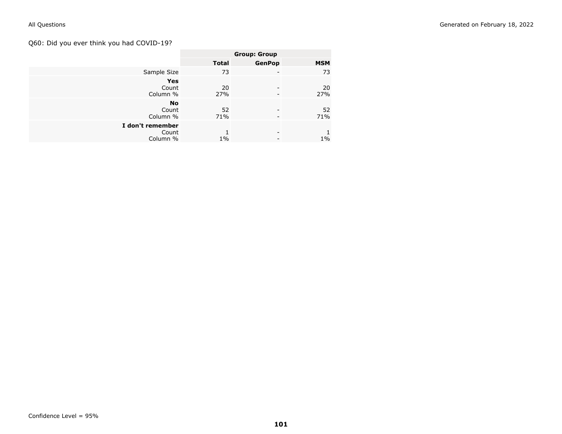# Q60: Did you ever think you had COVID-19?

|                  | <b>Group: Group</b> |                          |            |
|------------------|---------------------|--------------------------|------------|
|                  | <b>Total</b>        | <b>GenPop</b>            | <b>MSM</b> |
| Sample Size      | 73                  | -                        | 73         |
| <b>Yes</b>       |                     |                          |            |
| Count            | 20                  | -                        | 20         |
| Column %         | 27%                 | $\overline{\phantom{0}}$ | 27%        |
| <b>No</b>        |                     |                          |            |
| Count            | 52                  | -                        | 52         |
| Column %         | 71%                 | -                        | 71%        |
| I don't remember |                     |                          |            |
| Count            |                     | -                        |            |
| Column %         | $1\%$               | -                        | $1\%$      |
|                  |                     |                          |            |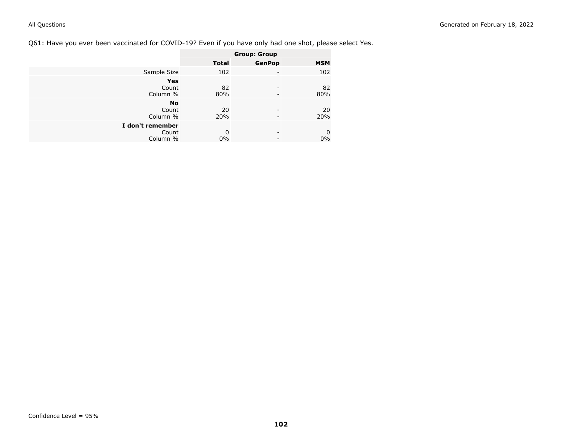# Q61: Have you ever been vaccinated for COVID-19? Even if you have only had one shot, please select Yes.

|                    | <b>Group: Group</b> |               |                  |
|--------------------|---------------------|---------------|------------------|
|                    | <b>Total</b>        | <b>GenPop</b> | <b>MSM</b>       |
| Sample Size        | 102                 | ۰             | 102              |
| <b>Yes</b>         |                     |               |                  |
| Count              | 82                  |               | 82               |
| Column %           | 80%                 |               | 80%              |
| <b>No</b><br>Count | 20                  |               | 20               |
| Column %           | 20%                 |               | 20%              |
| I don't remember   |                     |               |                  |
| Count              | 0                   | -             | $\boldsymbol{0}$ |
| Column %           | 0%                  |               | $0\%$            |
|                    |                     |               |                  |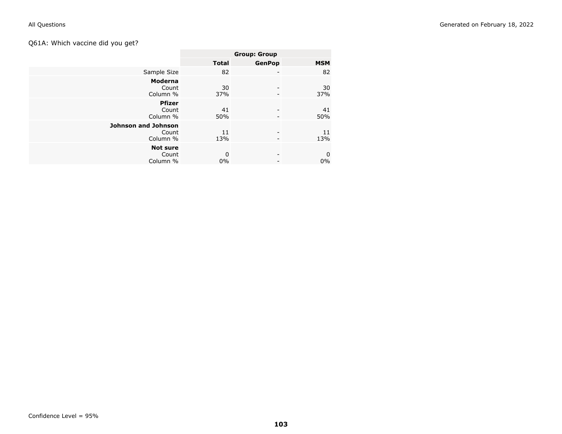# Q61A: Which vaccine did you get?

|                                                 | <b>Group: Group</b> |                          |                      |
|-------------------------------------------------|---------------------|--------------------------|----------------------|
|                                                 | <b>Total</b>        | <b>GenPop</b>            | <b>MSM</b>           |
| Sample Size                                     | 82                  | $\overline{\phantom{a}}$ | 82                   |
| Moderna<br>Count<br>Column %                    | 30<br>37%           |                          | 30<br>37%            |
| <b>Pfizer</b><br>Count<br>Column %              | 41<br>50%           |                          | 41<br>50%            |
| <b>Johnson and Johnson</b><br>Count<br>Column % | 11<br>13%           |                          | 11<br>13%            |
| <b>Not sure</b><br>Count<br>Column %            | 0<br>$0\%$          |                          | $\mathbf 0$<br>$0\%$ |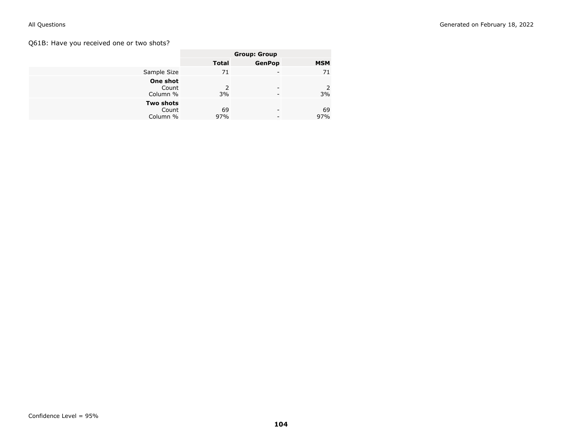# Q61B: Have you received one or two shots?

|                                       |                     | <b>Group: Group</b> |            |
|---------------------------------------|---------------------|---------------------|------------|
|                                       | <b>Total</b>        | <b>GenPop</b>       | <b>MSM</b> |
| Sample Size                           | 71                  |                     | 71         |
| One shot<br>Count<br>Column %         | $\mathcal{P}$<br>3% |                     | 2<br>3%    |
| <b>Two shots</b><br>Count<br>Column % | 69<br>97%           |                     | 69<br>97%  |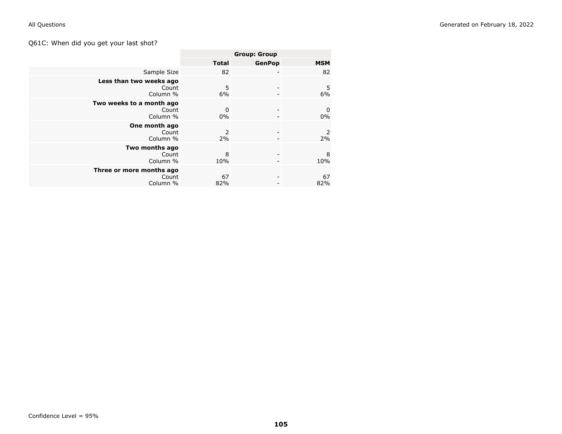# Q61C: When did you get your last shot?

|                                               | <b>Group: Group</b> |                          |                   |
|-----------------------------------------------|---------------------|--------------------------|-------------------|
|                                               | <b>Total</b>        | <b>GenPop</b>            | <b>MSM</b>        |
| Sample Size                                   | 82                  |                          | 82                |
| Less than two weeks ago<br>Count<br>Column %  | 5<br>6%             | $\overline{\phantom{a}}$ | 5<br>6%           |
| Two weeks to a month ago<br>Count<br>Column % | 0<br>0%             | $\overline{\phantom{0}}$ | $\mathbf 0$<br>0% |
| One month ago<br>Count<br>Column %            | 2<br>2%             |                          | 2<br>2%           |
| Two months ago<br>Count<br>Column %           | 8<br>10%            |                          | 8<br>10%          |
| Three or more months ago<br>Count<br>Column % | 67<br>82%           |                          | 67<br>82%         |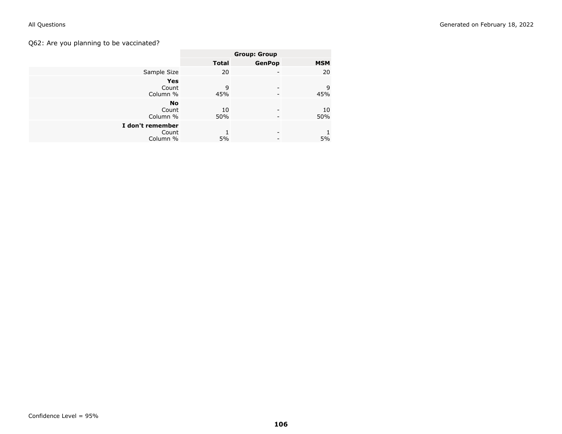# Q62: Are you planning to be vaccinated?

|                  | <b>Group: Group</b> |                          |            |
|------------------|---------------------|--------------------------|------------|
|                  | <b>Total</b>        | <b>GenPop</b>            | <b>MSM</b> |
| Sample Size      | 20                  | -                        | 20         |
| <b>Yes</b>       |                     |                          |            |
| Count            | 9                   | -                        | 9          |
| Column %         | 45%                 | $\overline{\phantom{0}}$ | 45%        |
| <b>No</b>        |                     |                          |            |
| Count            | 10                  | -                        | 10         |
| Column %         | 50%                 | -                        | 50%        |
| I don't remember |                     |                          |            |
| Count            |                     | -                        |            |
| Column %         | 5%                  | -                        | 5%         |
|                  |                     |                          |            |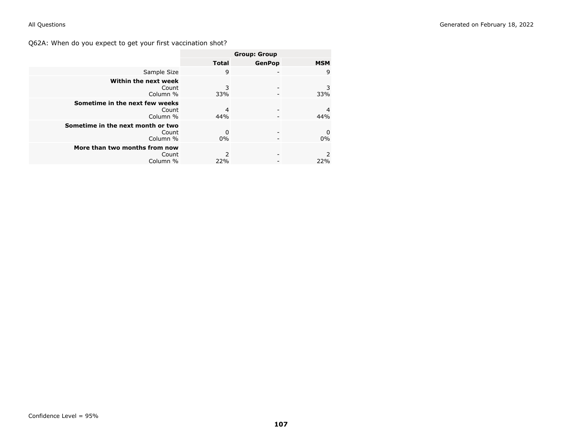Q62A: When do you expect to get your first vaccination shot?

|                                                        |              | <b>Group: Group</b> |            |
|--------------------------------------------------------|--------------|---------------------|------------|
|                                                        | <b>Total</b> | <b>GenPop</b>       | <b>MSM</b> |
| Sample Size                                            | 9            |                     | 9          |
| Within the next week<br>Count<br>Column %              | 3<br>33%     |                     | 3<br>33%   |
| Sometime in the next few weeks<br>Count<br>Column %    | 4<br>44%     |                     | 4<br>44%   |
| Sometime in the next month or two<br>Count<br>Column % | 0<br>$0\%$   |                     | 0<br>0%    |
| More than two months from now<br>Count<br>Column %     | 2<br>22%     |                     | 22%        |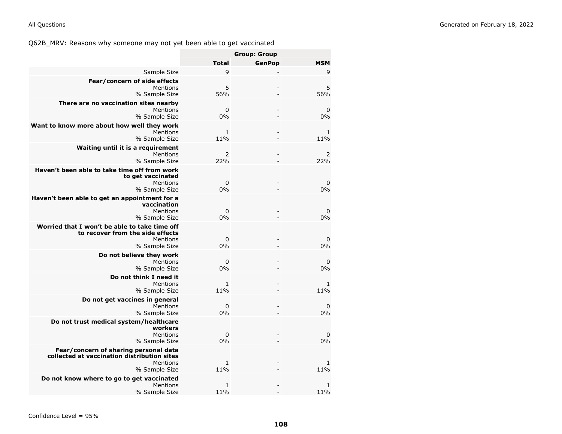Q62B\_MRV: Reasons why someone may not yet been able to get vaccinated

|                                                                                                                   | <b>Group: Group</b> |               |                     |
|-------------------------------------------------------------------------------------------------------------------|---------------------|---------------|---------------------|
|                                                                                                                   | <b>Total</b>        | <b>GenPop</b> | <b>MSM</b>          |
| Sample Size                                                                                                       | 9                   |               | 9                   |
| Fear/concern of side effects<br>Mentions<br>% Sample Size                                                         | 5<br>56%            |               | 5<br>56%            |
| There are no vaccination sites nearby<br>Mentions<br>% Sample Size                                                | 0<br>0%             |               | 0<br>0%             |
| Want to know more about how well they work<br>Mentions<br>% Sample Size                                           | 1<br>11%            |               | 1<br>11%            |
| Waiting until it is a requirement<br>Mentions<br>% Sample Size                                                    | 2<br>22%            |               | 2<br>22%            |
| Haven't been able to take time off from work<br>to get vaccinated<br>Mentions<br>% Sample Size                    | $\mathbf 0$<br>0%   |               | 0<br>0%             |
| Haven't been able to get an appointment for a<br>vaccination<br>Mentions<br>% Sample Size                         | 0<br>0%             |               | 0<br>0%             |
| Worried that I won't be able to take time off<br>to recover from the side effects<br>Mentions<br>% Sample Size    | 0<br>0%             |               | 0<br>0%             |
| Do not believe they work<br>Mentions<br>% Sample Size                                                             | 0<br>0%             |               | $\mathbf 0$<br>0%   |
| Do not think I need it<br>Mentions<br>% Sample Size                                                               | 1<br>11%            |               | 1<br>11%            |
| Do not get vaccines in general<br>Mentions<br>% Sample Size                                                       | $\mathbf 0$<br>0%   |               | 0<br>0%             |
| Do not trust medical system/healthcare<br>workers<br>Mentions<br>% Sample Size                                    | $\Omega$<br>0%      |               | 0<br>0%             |
| Fear/concern of sharing personal data<br>collected at vaccination distribution sites<br>Mentions<br>% Sample Size | $\mathbf{1}$<br>11% |               | $\mathbf{1}$<br>11% |
| Do not know where to go to get vaccinated<br>Mentions<br>% Sample Size                                            | 1<br>11%            |               | 1<br>11%            |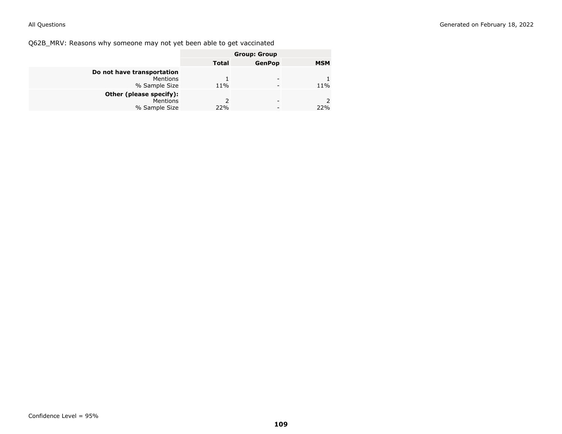Q62B\_MRV: Reasons why someone may not yet been able to get vaccinated

|                            | <b>Group: Group</b> |               |            |
|----------------------------|---------------------|---------------|------------|
|                            | <b>Total</b>        | <b>GenPop</b> | <b>MSM</b> |
| Do not have transportation |                     |               |            |
| <b>Mentions</b>            |                     |               |            |
| % Sample Size              | 11%                 |               | 11%        |
| Other (please specify):    |                     |               |            |
| Mentions                   | $\mathcal{P}$       |               |            |
| % Sample Size              | 22%                 |               | 22%        |
|                            |                     |               |            |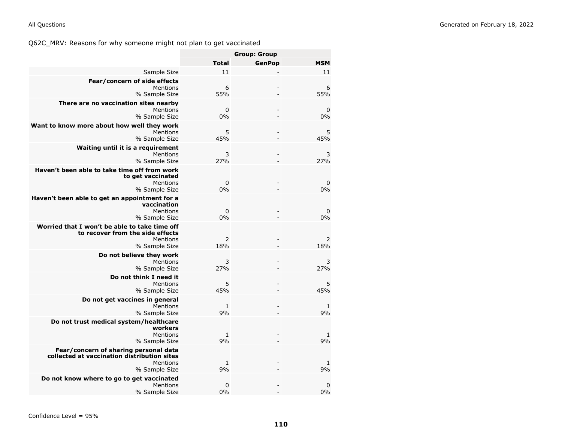|                                                                                                                   | <b>Group: Group</b> |               |                    |
|-------------------------------------------------------------------------------------------------------------------|---------------------|---------------|--------------------|
|                                                                                                                   | <b>Total</b>        | <b>GenPop</b> | <b>MSM</b>         |
| Sample Size                                                                                                       | 11                  |               | 11                 |
| Fear/concern of side effects<br>Mentions<br>% Sample Size                                                         | 6<br>55%            |               | 6<br>55%           |
| There are no vaccination sites nearby<br>Mentions<br>% Sample Size                                                | $\mathbf 0$<br>0%   |               | $\mathbf 0$<br>0%  |
| Want to know more about how well they work<br>Mentions<br>% Sample Size                                           | 5<br>45%            |               | 5<br>45%           |
| Waiting until it is a requirement<br>Mentions<br>% Sample Size                                                    | 3<br>27%            |               | 3<br>27%           |
| Haven't been able to take time off from work<br>to get vaccinated<br>Mentions<br>% Sample Size                    | $\mathbf 0$<br>0%   |               | 0<br>0%            |
| Haven't been able to get an appointment for a<br>vaccination<br>Mentions<br>% Sample Size                         | $\mathbf 0$<br>0%   |               | $\mathbf 0$<br>0%  |
| Worried that I won't be able to take time off<br>to recover from the side effects<br>Mentions<br>% Sample Size    | 2<br>18%            |               | 2<br>18%           |
| Do not believe they work<br>Mentions<br>% Sample Size                                                             | 3<br>27%            |               | 3<br>27%           |
| Do not think I need it<br>Mentions<br>% Sample Size                                                               | 5<br>45%            |               | 5<br>45%           |
| Do not get vaccines in general<br>Mentions<br>% Sample Size                                                       | $\mathbf{1}$<br>9%  |               | $\mathbf{1}$<br>9% |
| Do not trust medical system/healthcare<br>workers<br>Mentions<br>% Sample Size                                    | $\mathbf{1}$<br>9%  |               | $\mathbf{1}$<br>9% |
| Fear/concern of sharing personal data<br>collected at vaccination distribution sites<br>Mentions<br>% Sample Size | $1\,$<br>9%         |               | 1<br>9%            |
| Do not know where to go to get vaccinated<br>Mentions<br>% Sample Size                                            | $\mathbf 0$<br>0%   |               | 0<br>0%            |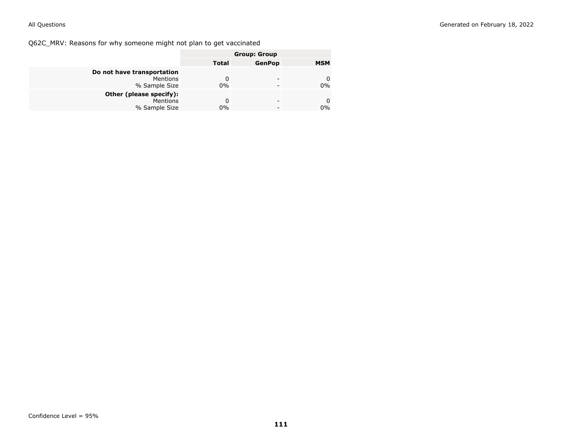Q62C\_MRV: Reasons for why someone might not plan to get vaccinated

|                            | <b>Group: Group</b> |               |            |
|----------------------------|---------------------|---------------|------------|
|                            | <b>Total</b>        | <b>GenPop</b> | <b>MSM</b> |
| Do not have transportation |                     |               |            |
| Mentions                   | 0                   | -             | 0          |
| % Sample Size              | 0%                  |               | $0\%$      |
| Other (please specify):    |                     |               |            |
| Mentions                   | 0                   | -             | 0          |
| % Sample Size              | $0\%$               |               | $0\%$      |
|                            |                     |               |            |